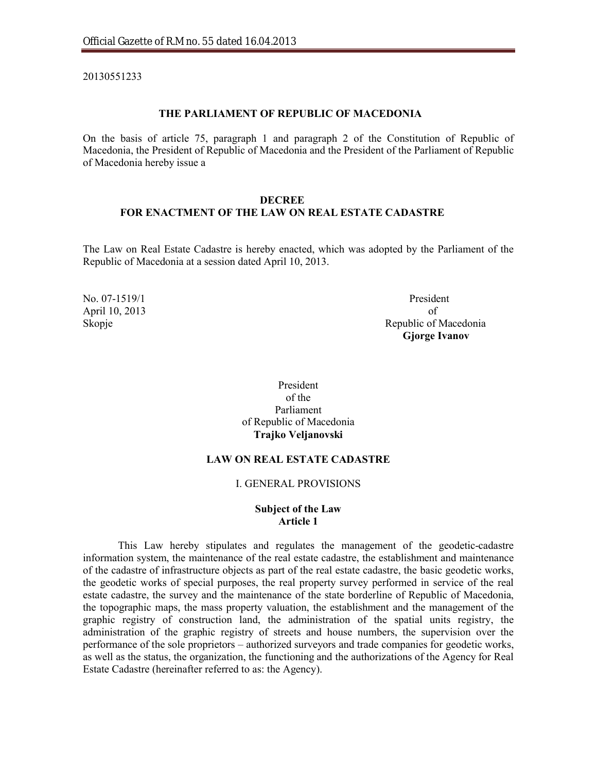20130551233

#### **THE PARLIAMENT OF REPUBLIC OF MACEDONIA**

On the basis of article 75, paragraph 1 and paragraph 2 of the Constitution of Republic of Macedonia, the President of Republic of Macedonia and the President of the Parliament of Republic of Macedonia hereby issue a

#### **DECREE**

## **FOR ENACTMENT OF THE LAW ON REAL ESTATE CADASTRE**

The Law on Real Estate Cadastre is hereby enacted, which was adopted by the Parliament of the Republic of Macedonia at a session dated April 10, 2013.

April 10, 2013 of

No. 07-1519/1 President Skopje Republic of Macedonia **Gjorge Ivanov**

> President of the Parliament of Republic of Macedonia **Trajko Veljanovski**

#### **LAW ON REAL ESTATE CADASTRE**

#### I. GENERAL PROVISIONS

## **Subject of the Law Article 1**

This Law hereby stipulates and regulates the management of the geodetic-cadastre information system, the maintenance of the real estate cadastre, the establishment and maintenance of the cadastre of infrastructure objects as part of the real estate cadastre, the basic geodetic works, the geodetic works of special purposes, the real property survey performed in service of the real estate cadastre, the survey and the maintenance of the state borderline of Republic of Macedonia, the topographic maps, the mass property valuation, the establishment and the management of the graphic registry of construction land, the administration of the spatial units registry, the administration of the graphic registry of streets and house numbers, the supervision over the performance of the sole proprietors – authorized surveyors and trade companies for geodetic works, as well as the status, the organization, the functioning and the authorizations of the Agency for Real Estate Cadastre (hereinafter referred to as: the Agency).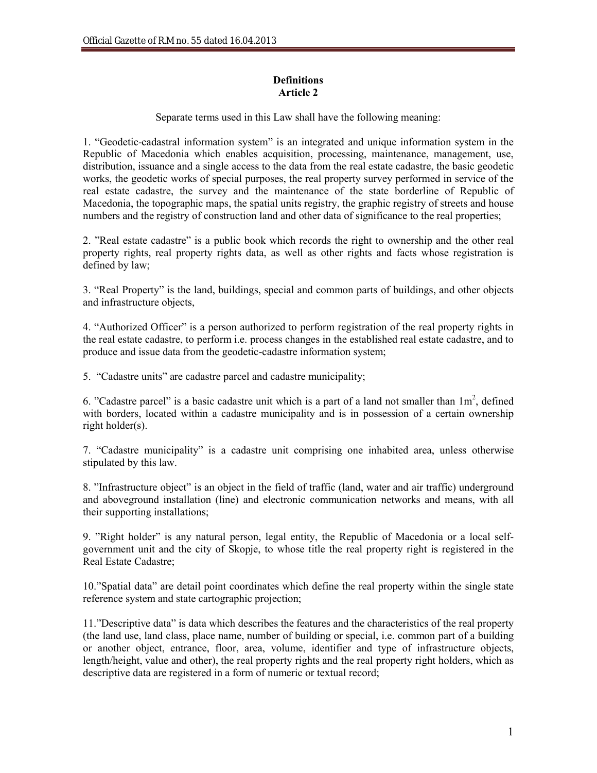# **Definitions Article 2**

Separate terms used in this Law shall have the following meaning:

1. "Geodetic-cadastral information system" is an integrated and unique information system in the Republic of Macedonia which enables acquisition, processing, maintenance, management, use, distribution, issuance and a single access to the data from the real estate cadastre, the basic geodetic works, the geodetic works of special purposes, the real property survey performed in service of the real estate cadastre, the survey and the maintenance of the state borderline of Republic of Macedonia, the topographic maps, the spatial units registry, the graphic registry of streets and house numbers and the registry of construction land and other data of significance to the real properties;

2. "Real estate cadastre" is a public book which records the right to ownership and the other real property rights, real property rights data, as well as other rights and facts whose registration is defined by law;

3. "Real Property" is the land, buildings, special and common parts of buildings, and other objects and infrastructure objects,

4. "Authorized Officer" is a person authorized to perform registration of the real property rights in the real estate cadastre, to perform i.e. process changes in the established real estate cadastre, and to produce and issue data from the geodetic-cadastre information system;

5. "Cadastre units" are cadastre parcel and cadastre municipality;

6. "Cadastre parcel" is a basic cadastre unit which is a part of a land not smaller than  $1m^2$ , defined with borders, located within a cadastre municipality and is in possession of a certain ownership right holder(s).

7. "Cadastre municipality" is a cadastre unit comprising one inhabited area, unless otherwise stipulated by this law.

8. "Infrastructure object" is an object in the field of traffic (land, water and air traffic) underground and aboveground installation (line) and electronic communication networks and means, with all their supporting installations;

9. "Right holder" is any natural person, legal entity, the Republic of Macedonia or a local selfgovernment unit and the city of Skopje, to whose title the real property right is registered in the Real Estate Cadastre;

10."Spatial data" are detail point coordinates which define the real property within the single state reference system and state cartographic projection;

11."Descriptive data" is data which describes the features and the characteristics of the real property (the land use, land class, place name, number of building or special, i.e. common part of a building or another object, entrance, floor, area, volume, identifier and type of infrastructure objects, length/height, value and other), the real property rights and the real property right holders, which as descriptive data are registered in a form of numeric or textual record;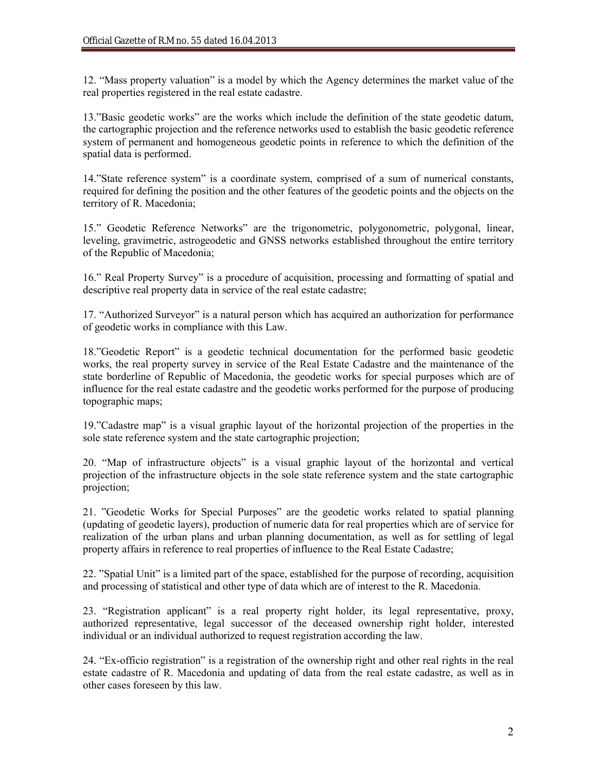12. "Mass property valuation" is a model by which the Agency determines the market value of the real properties registered in the real estate cadastre.

13."Basic geodetic works" are the works which include the definition of the state geodetic datum, the cartographic projection and the reference networks used to establish the basic geodetic reference system of permanent and homogeneous geodetic points in reference to which the definition of the spatial data is performed.

14."State reference system" is a coordinate system, comprised of a sum of numerical constants, required for defining the position and the other features of the geodetic points and the objects on the territory of R. Macedonia;

15." Geodetic Reference Networks" are the trigonometric, polygonometric, polygonal, linear, leveling, gravimetric, astrogeodetic and GNSS networks established throughout the entire territory of the Republic of Macedonia;

16." Real Property Survey" is a procedure of acquisition, processing and formatting of spatial and descriptive real property data in service of the real estate cadastre;

17. "Authorized Surveyor" is a natural person which has acquired an authorization for performance of geodetic works in compliance with this Law.

18."Geodetic Report" is a geodetic technical documentation for the performed basic geodetic works, the real property survey in service of the Real Estate Cadastre and the maintenance of the state borderline of Republic of Macedonia, the geodetic works for special purposes which are of influence for the real estate cadastre and the geodetic works performed for the purpose of producing topographic maps;

19."Cadastre map" is a visual graphic layout of the horizontal projection of the properties in the sole state reference system and the state cartographic projection;

20. "Map of infrastructure objects" is a visual graphic layout of the horizontal and vertical projection of the infrastructure objects in the sole state reference system and the state cartographic projection;

21. "Geodetic Works for Special Purposes" are the geodetic works related to spatial planning (updating of geodetic layers), production of numeric data for real properties which are of service for realization of the urban plans and urban planning documentation, as well as for settling of legal property affairs in reference to real properties of influence to the Real Estate Cadastre;

22. "Spatial Unit" is a limited part of the space, established for the purpose of recording, acquisition and processing of statistical and other type of data which are of interest to the R. Macedonia.

23. "Registration applicant" is a real property right holder, its legal representative, proxy, authorized representative, legal successor of the deceased ownership right holder, interested individual or an individual authorized to request registration according the law.

24. "Ex-officio registration" is a registration of the ownership right and other real rights in the real estate cadastre of R. Macedonia and updating of data from the real estate cadastre, as well as in other cases foreseen by this law.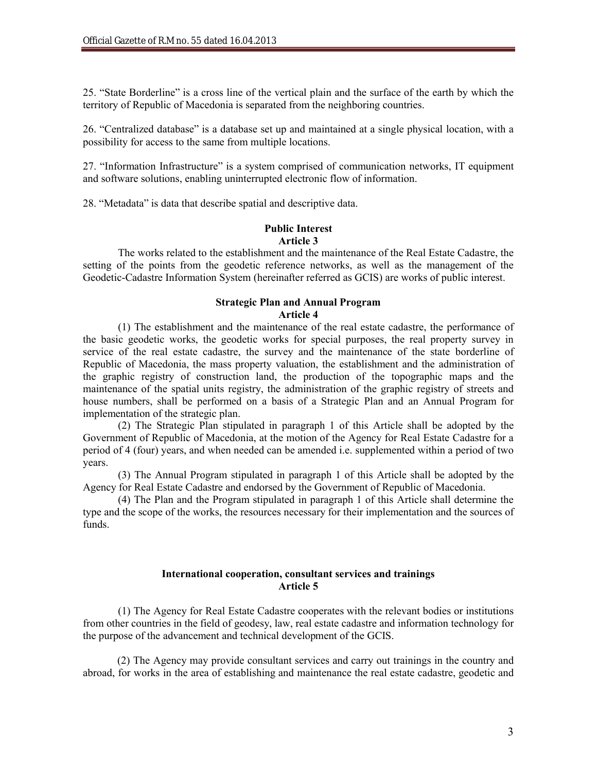25. "State Borderline" is a cross line of the vertical plain and the surface of the earth by which the territory of Republic of Macedonia is separated from the neighboring countries.

26. "Centralized database" is a database set up and maintained at a single physical location, with a possibility for access to the same from multiple locations.

27. "Information Infrastructure" is a system comprised of communication networks, IT equipment and software solutions, enabling uninterrupted electronic flow of information.

28. "Metadata" is data that describe spatial and descriptive data.

#### **Public Interest Article 3**

The works related to the establishment and the maintenance of the Real Estate Cadastre, the setting of the points from the geodetic reference networks, as well as the management of the Geodetic-Cadastre Information System (hereinafter referred as GCIS) are works of public interest.

#### **Strategic Plan and Annual Program Article 4**

(1) The establishment and the maintenance of the real estate cadastre, the performance of the basic geodetic works, the geodetic works for special purposes, the real property survey in service of the real estate cadastre, the survey and the maintenance of the state borderline of Republic of Macedonia, the mass property valuation, the establishment and the administration of the graphic registry of construction land, the production of the topographic maps and the maintenance of the spatial units registry, the administration of the graphic registry of streets and house numbers, shall be performed on a basis of a Strategic Plan and an Annual Program for implementation of the strategic plan.

(2) The Strategic Plan stipulated in paragraph 1 of this Article shall be adopted by the Government of Republic of Macedonia, at the motion of the Agency for Real Estate Cadastre for a period of 4 (four) years, and when needed can be amended i.e. supplemented within a period of two years.

(3) The Annual Program stipulated in paragraph 1 of this Article shall be adopted by the Agency for Real Estate Cadastre and endorsed by the Government of Republic of Macedonia.

(4) The Plan and the Program stipulated in paragraph 1 of this Article shall determine the type and the scope of the works, the resources necessary for their implementation and the sources of funds.

## **International cooperation, consultant services and trainings Article 5**

(1) The Agency for Real Estate Cadastre cooperates with the relevant bodies or institutions from other countries in the field of geodesy, law, real estate cadastre and information technology for the purpose of the advancement and technical development of the GCIS.

(2) The Agency may provide consultant services and carry out trainings in the country and abroad, for works in the area of establishing and maintenance the real estate cadastre, geodetic and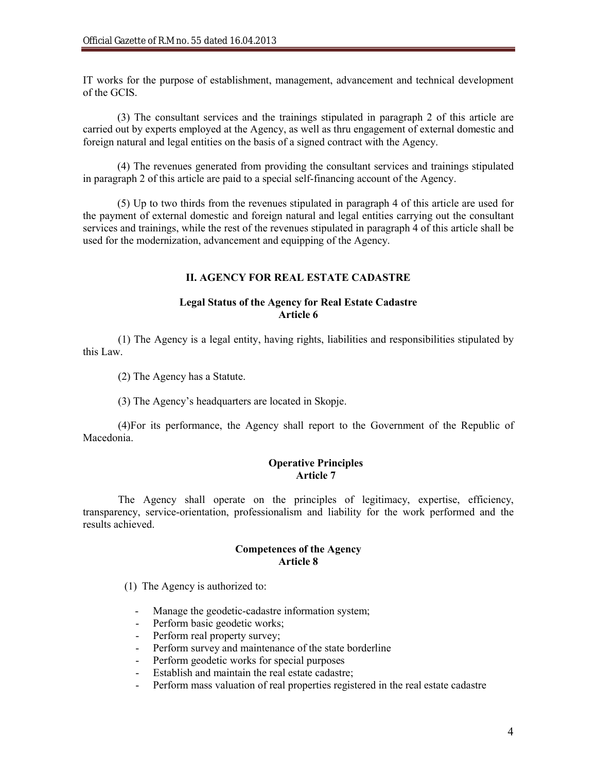IT works for the purpose of establishment, management, advancement and technical development of the GCIS.

(3) The consultant services and the trainings stipulated in paragraph 2 of this article are carried out by experts employed at the Agency, as well as thru engagement of external domestic and foreign natural and legal entities on the basis of a signed contract with the Agency.

(4) The revenues generated from providing the consultant services and trainings stipulated in paragraph 2 of this article are paid to a special self-financing account of the Agency.

(5) Up to two thirds from the revenues stipulated in paragraph 4 of this article are used for the payment of external domestic and foreign natural and legal entities carrying out the consultant services and trainings, while the rest of the revenues stipulated in paragraph 4 of this article shall be used for the modernization, advancement and equipping of the Agency.

## **II. AGENCY FOR REAL ESTATE CADASTRE**

## **Legal Status of the Agency for Real Estate Cadastre Article 6**

(1) The Agency is a legal entity, having rights, liabilities and responsibilities stipulated by this Law.

(2) The Agency has a Statute.

(3) The Agency's headquarters are located in Skopje.

(4)For its performance, the Agency shall report to the Government of the Republic of Macedonia.

# **Operative Principles Article 7**

The Agency shall operate on the principles of legitimacy, expertise, efficiency, transparency, service-orientation, professionalism and liability for the work performed and the results achieved.

## **Competences of the Agency Article 8**

(1) The Agency is authorized to:

- Manage the geodetic-cadastre information system;
- Perform basic geodetic works;
- Perform real property survey;
- Perform survey and maintenance of the state borderline
- Perform geodetic works for special purposes
- Establish and maintain the real estate cadastre;
- Perform mass valuation of real properties registered in the real estate cadastre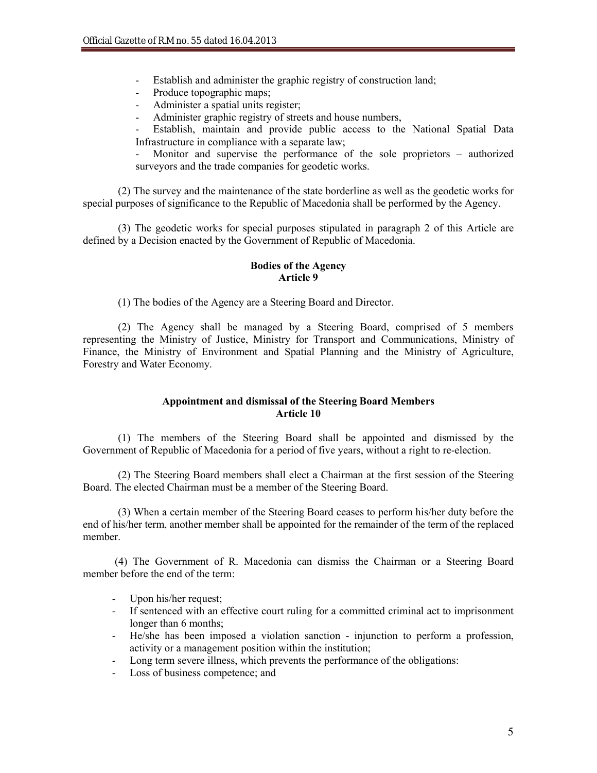- Establish and administer the graphic registry of construction land;
- Produce topographic maps;
- Administer a spatial units register;
- Administer graphic registry of streets and house numbers,
- Establish, maintain and provide public access to the National Spatial Data Infrastructure in compliance with a separate law;

Monitor and supervise the performance of the sole proprietors – authorized surveyors and the trade companies for geodetic works.

(2) The survey and the maintenance of the state borderline as well as the geodetic works for special purposes of significance to the Republic of Macedonia shall be performed by the Agency.

(3) The geodetic works for special purposes stipulated in paragraph 2 of this Article are defined by a Decision enacted by the Government of Republic of Macedonia.

## **Bodies of the Agency Article 9**

(1) The bodies of the Agency are a Steering Board and Director.

(2) The Agency shall be managed by a Steering Board, comprised of 5 members representing the Ministry of Justice, Ministry for Transport and Communications, Ministry of Finance, the Ministry of Environment and Spatial Planning and the Ministry of Agriculture, Forestry and Water Economy.

## **Appointment and dismissal of the Steering Board Members Article 10**

(1) The members of the Steering Board shall be appointed and dismissed by the Government of Republic of Macedonia for a period of five years, without a right to re-election.

(2) The Steering Board members shall elect a Chairman at the first session of the Steering Board. The elected Chairman must be a member of the Steering Board.

(3) When a certain member of the Steering Board ceases to perform his/her duty before the end of his/her term, another member shall be appointed for the remainder of the term of the replaced member.

(4) The Government of R. Macedonia can dismiss the Chairman or a Steering Board member before the end of the term:

- Upon his/her request;
- If sentenced with an effective court ruling for a committed criminal act to imprisonment longer than 6 months;
- He/she has been imposed a violation sanction injunction to perform a profession, activity or a management position within the institution;
- Long term severe illness, which prevents the performance of the obligations:
- Loss of business competence; and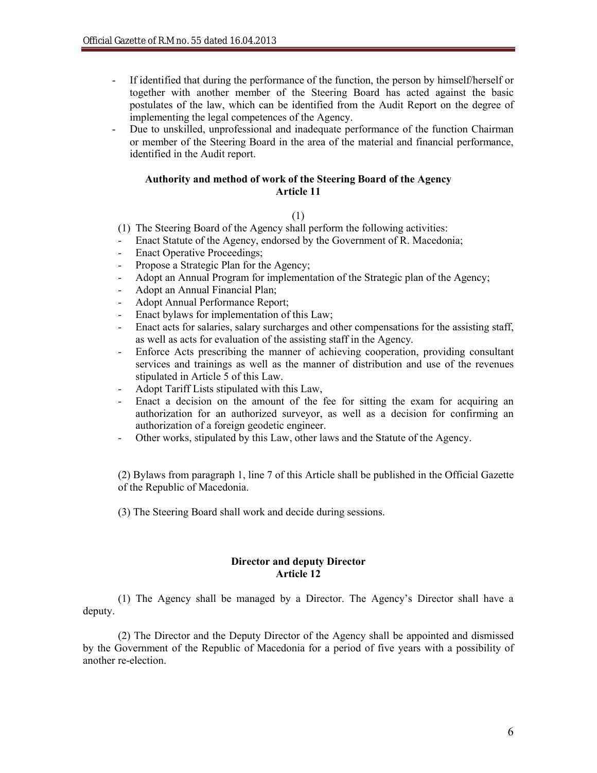- If identified that during the performance of the function, the person by himself/herself or together with another member of the Steering Board has acted against the basic postulates of the law, which can be identified from the Audit Report on the degree of implementing the legal competences of the Agency.
- Due to unskilled, unprofessional and inadequate performance of the function Chairman or member of the Steering Board in the area of the material and financial performance, identified in the Audit report.

#### **Authority and method of work of the Steering Board of the Agency Article 11**

#### (1)

- (1) The Steering Board of the Agency shall perform the following activities:
- Enact Statute of the Agency, endorsed by the Government of R. Macedonia;
- Enact Operative Proceedings;
- Propose a Strategic Plan for the Agency;
- Adopt an Annual Program for implementation of the Strategic plan of the Agency;
- Adopt an Annual Financial Plan;
- Adopt Annual Performance Report;
- Enact bylaws for implementation of this Law;
- Enact acts for salaries, salary surcharges and other compensations for the assisting staff, as well as acts for evaluation of the assisting staff in the Agency.
- Enforce Acts prescribing the manner of achieving cooperation, providing consultant services and trainings as well as the manner of distribution and use of the revenues stipulated in Article 5 of this Law.
- Adopt Tariff Lists stipulated with this Law,
- Enact a decision on the amount of the fee for sitting the exam for acquiring an authorization for an authorized surveyor, as well as a decision for confirming an authorization of a foreign geodetic engineer.
- Other works, stipulated by this Law, other laws and the Statute of the Agency.

(2) Bylaws from paragraph 1, line 7 of this Article shall be published in the Official Gazette of the Republic of Macedonia.

(3) The Steering Board shall work and decide during sessions.

## **Director and deputy Director Article 12**

(1) The Agency shall be managed by a Director. The Agency's Director shall have a deputy.

(2) The Director and the Deputy Director of the Agency shall be appointed and dismissed by the Government of the Republic of Macedonia for a period of five years with a possibility of another re-election.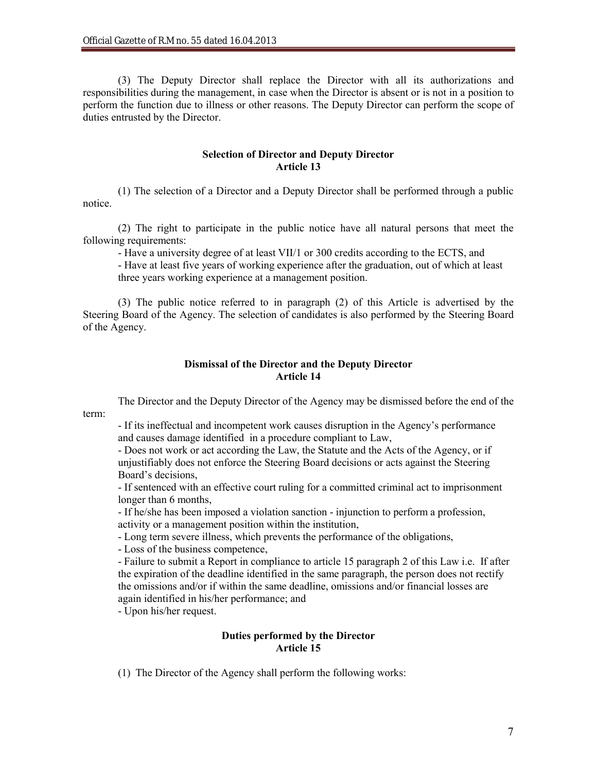(3) The Deputy Director shall replace the Director with all its authorizations and responsibilities during the management, in case when the Director is absent or is not in a position to perform the function due to illness or other reasons. The Deputy Director can perform the scope of duties entrusted by the Director.

#### **Selection of Director and Deputy Director Article 13**

(1) The selection of a Director and a Deputy Director shall be performed through a public notice.

(2) The right to participate in the public notice have all natural persons that meet the following requirements:

- Have a university degree of at least VII/1 or 300 credits according to the ECTS, and

- Have at least five years of working experience after the graduation, out of which at least three years working experience at a management position.

(3) The public notice referred to in paragraph (2) of this Article is advertised by the Steering Board of the Agency. The selection of candidates is also performed by the Steering Board of the Agency.

## **Dismissal of the Director and the Deputy Director Article 14**

The Director and the Deputy Director of the Agency may be dismissed before the end of the term:

- If its ineffectual and incompetent work causes disruption in the Agency's performance and causes damage identified in a procedure compliant to Law,

- Does not work or act according the Law, the Statute and the Acts of the Agency, or if unjustifiably does not enforce the Steering Board decisions or acts against the Steering Board's decisions,

- If sentenced with an effective court ruling for a committed criminal act to imprisonment longer than 6 months,

- If he/she has been imposed a violation sanction - injunction to perform a profession, activity or a management position within the institution,

- Long term severe illness, which prevents the performance of the obligations,

- Loss of the business competence,

- Failure to submit a Report in compliance to article 15 paragraph 2 of this Law i.e. If after the expiration of the deadline identified in the same paragraph, the person does not rectify the omissions and/or if within the same deadline, omissions and/or financial losses are again identified in his/her performance; and

- Upon his/her request.

# **Duties performed by the Director Article 15**

(1) The Director of the Agency shall perform the following works: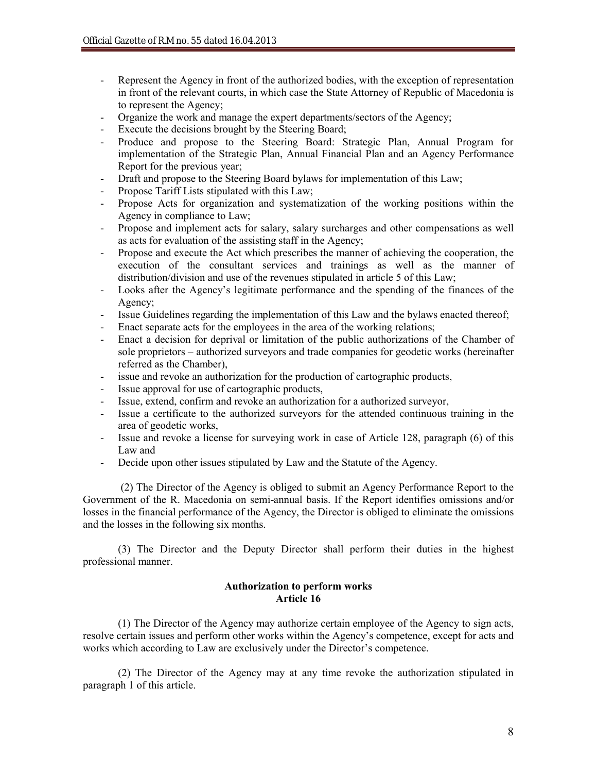- Represent the Agency in front of the authorized bodies, with the exception of representation in front of the relevant courts, in which case the State Attorney of Republic of Macedonia is to represent the Agency;
- Organize the work and manage the expert departments/sectors of the Agency;
- Execute the decisions brought by the Steering Board;
- Produce and propose to the Steering Board: Strategic Plan, Annual Program for implementation of the Strategic Plan, Annual Financial Plan and an Agency Performance Report for the previous year;
- Draft and propose to the Steering Board bylaws for implementation of this Law;
- Propose Tariff Lists stipulated with this Law;
- Propose Acts for organization and systematization of the working positions within the Agency in compliance to Law;
- Propose and implement acts for salary, salary surcharges and other compensations as well as acts for evaluation of the assisting staff in the Agency;
- Propose and execute the Act which prescribes the manner of achieving the cooperation, the execution of the consultant services and trainings as well as the manner of distribution/division and use of the revenues stipulated in article 5 of this Law;
- Looks after the Agency's legitimate performance and the spending of the finances of the Agency;
- Issue Guidelines regarding the implementation of this Law and the bylaws enacted thereof;
- Enact separate acts for the employees in the area of the working relations;
- Enact a decision for deprival or limitation of the public authorizations of the Chamber of sole proprietors – authorized surveyors and trade companies for geodetic works (hereinafter referred as the Chamber),
- issue and revoke an authorization for the production of cartographic products,
- Issue approval for use of cartographic products,
- Issue, extend, confirm and revoke an authorization for a authorized surveyor,
- Issue a certificate to the authorized surveyors for the attended continuous training in the area of geodetic works,
- Issue and revoke a license for surveying work in case of Article 128, paragraph (6) of this Law and
- Decide upon other issues stipulated by Law and the Statute of the Agency.

(2) The Director of the Agency is obliged to submit an Agency Performance Report to the Government of the R. Macedonia on semi-annual basis. If the Report identifies omissions and/or losses in the financial performance of the Agency, the Director is obliged to eliminate the omissions and the losses in the following six months.

(3) The Director and the Deputy Director shall perform their duties in the highest professional manner.

# **Authorization to perform works Article 16**

(1) The Director of the Agency may authorize certain employee of the Agency to sign acts, resolve certain issues and perform other works within the Agency's competence, except for acts and works which according to Law are exclusively under the Director's competence.

(2) The Director of the Agency may at any time revoke the authorization stipulated in paragraph 1 of this article.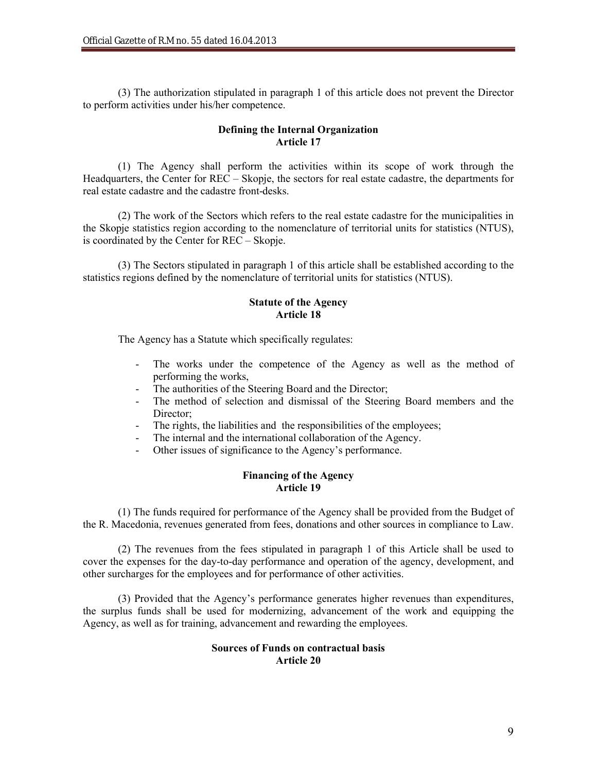(3) The authorization stipulated in paragraph 1 of this article does not prevent the Director to perform activities under his/her competence.

# **Defining the Internal Organization Article 17**

(1) The Agency shall perform the activities within its scope of work through the Headquarters, the Center for REC – Skopje, the sectors for real estate cadastre, the departments for real estate cadastre and the cadastre front-desks.

(2) The work of the Sectors which refers to the real estate cadastre for the municipalities in the Skopje statistics region according to the nomenclature of territorial units for statistics (NTUS), is coordinated by the Center for REC – Skopje.

(3) The Sectors stipulated in paragraph 1 of this article shall be established according to the statistics regions defined by the nomenclature of territorial units for statistics (NTUS).

## **Statute of the Agency Article 18**

The Agency has a Statute which specifically regulates:

- The works under the competence of the Agency as well as the method of performing the works,
- The authorities of the Steering Board and the Director;
- The method of selection and dismissal of the Steering Board members and the Director;
- The rights, the liabilities and the responsibilities of the employees;
- The internal and the international collaboration of the Agency.
- Other issues of significance to the Agency's performance.

## **Financing of the Agency Article 19**

(1) The funds required for performance of the Agency shall be provided from the Budget of the R. Macedonia, revenues generated from fees, donations and other sources in compliance to Law.

(2) The revenues from the fees stipulated in paragraph 1 of this Article shall be used to cover the expenses for the day-to-day performance and operation of the agency, development, and other surcharges for the employees and for performance of other activities.

(3) Provided that the Agency's performance generates higher revenues than expenditures, the surplus funds shall be used for modernizing, advancement of the work and equipping the Agency, as well as for training, advancement and rewarding the employees.

## **Sources of Funds on contractual basis Article 20**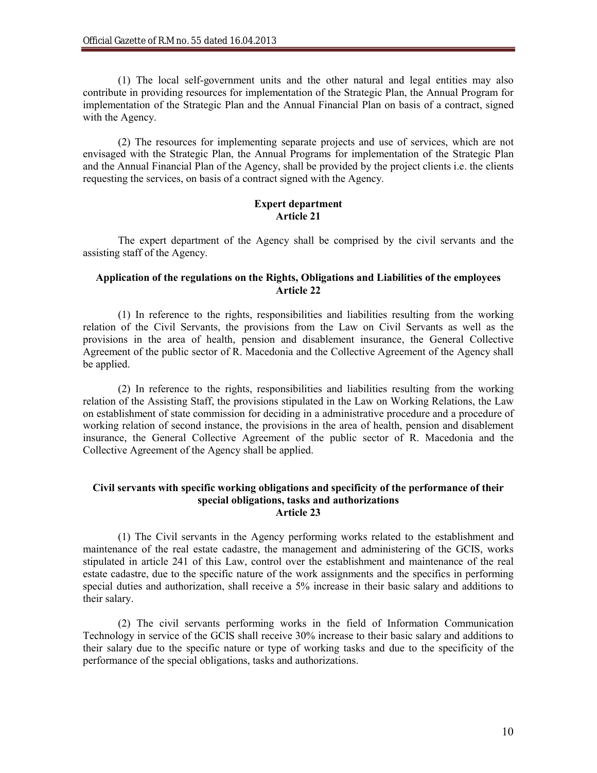(1) The local self-government units and the other natural and legal entities may also contribute in providing resources for implementation of the Strategic Plan, the Annual Program for implementation of the Strategic Plan and the Annual Financial Plan on basis of a contract, signed with the Agency.

(2) The resources for implementing separate projects and use of services, which are not envisaged with the Strategic Plan, the Annual Programs for implementation of the Strategic Plan and the Annual Financial Plan of the Agency, shall be provided by the project clients i.e. the clients requesting the services, on basis of a contract signed with the Agency.

# **Expert department Article 21**

The expert department of the Agency shall be comprised by the civil servants and the assisting staff of the Agency.

## **Application of the regulations on the Rights, Obligations and Liabilities of the employees Article 22**

(1) In reference to the rights, responsibilities and liabilities resulting from the working relation of the Civil Servants, the provisions from the Law on Civil Servants as well as the provisions in the area of health, pension and disablement insurance, the General Collective Agreement of the public sector of R. Macedonia and the Collective Agreement of the Agency shall be applied.

(2) In reference to the rights, responsibilities and liabilities resulting from the working relation of the Assisting Staff, the provisions stipulated in the Law on Working Relations, the Law on establishment of state commission for deciding in a administrative procedure and a procedure of working relation of second instance, the provisions in the area of health, pension and disablement insurance, the General Collective Agreement of the public sector of R. Macedonia and the Collective Agreement of the Agency shall be applied.

#### **Civil servants with specific working obligations and specificity of the performance of their special obligations, tasks and authorizations Article 23**

(1) The Civil servants in the Agency performing works related to the establishment and maintenance of the real estate cadastre, the management and administering of the GCIS, works stipulated in article 241 of this Law, control over the establishment and maintenance of the real estate cadastre, due to the specific nature of the work assignments and the specifics in performing special duties and authorization, shall receive a 5% increase in their basic salary and additions to their salary.

(2) The civil servants performing works in the field of Information Communication Technology in service of the GCIS shall receive 30% increase to their basic salary and additions to their salary due to the specific nature or type of working tasks and due to the specificity of the performance of the special obligations, tasks and authorizations.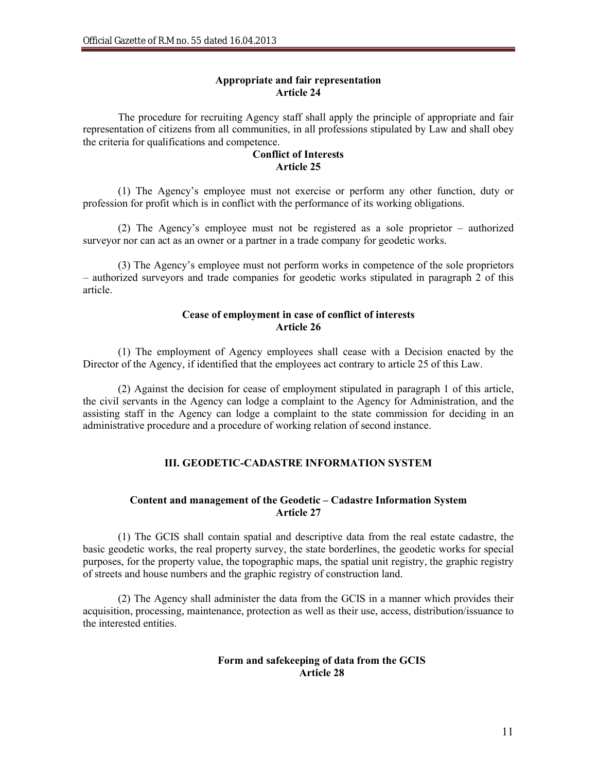## **Appropriate and fair representation Article 24**

The procedure for recruiting Agency staff shall apply the principle of appropriate and fair representation of citizens from all communities, in all professions stipulated by Law and shall obey the criteria for qualifications and competence.

## **Conflict of Interests Article 25**

(1) The Agency's employee must not exercise or perform any other function, duty or profession for profit which is in conflict with the performance of its working obligations.

(2) The Agency's employee must not be registered as a sole proprietor – authorized surveyor nor can act as an owner or a partner in a trade company for geodetic works.

(3) The Agency's employee must not perform works in competence of the sole proprietors – authorized surveyors and trade companies for geodetic works stipulated in paragraph 2 of this article.

# **Cease of employment in case of conflict of interests Article 26**

(1) The employment of Agency employees shall cease with a Decision enacted by the Director of the Agency, if identified that the employees act contrary to article 25 of this Law.

(2) Against the decision for cease of employment stipulated in paragraph 1 of this article, the civil servants in the Agency can lodge a complaint to the Agency for Administration, and the assisting staff in the Agency can lodge a complaint to the state commission for deciding in an administrative procedure and a procedure of working relation of second instance.

# **III. GEODETIC-CADASTRE INFORMATION SYSTEM**

# **Content and management of the Geodetic – Cadastre Information System Article 27**

(1) The GCIS shall contain spatial and descriptive data from the real estate cadastre, the basic geodetic works, the real property survey, the state borderlines, the geodetic works for special purposes, for the property value, the topographic maps, the spatial unit registry, the graphic registry of streets and house numbers and the graphic registry of construction land.

(2) The Agency shall administer the data from the GCIS in a manner which provides their acquisition, processing, maintenance, protection as well as their use, access, distribution/issuance to the interested entities.

## **Form and safekeeping of data from the GCIS Article 28**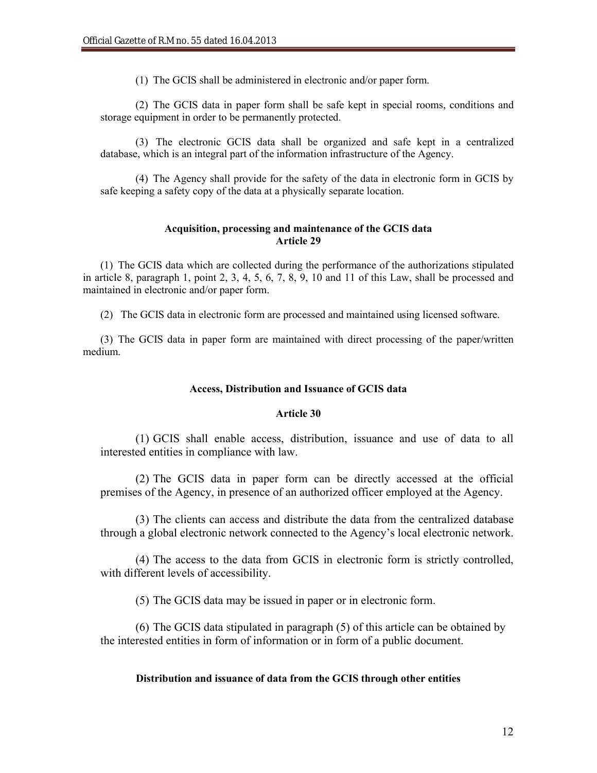(1) The GCIS shall be administered in electronic and/or paper form.

(2) The GCIS data in paper form shall be safe kept in special rooms, conditions and storage equipment in order to be permanently protected.

(3) The electronic GCIS data shall be organized and safe kept in a centralized database, which is an integral part of the information infrastructure of the Agency.

(4) The Agency shall provide for the safety of the data in electronic form in GCIS by safe keeping a safety copy of the data at a physically separate location.

#### **Acquisition, processing and maintenance of the GCIS data Article 29**

(1) The GCIS data which are collected during the performance of the authorizations stipulated in article 8, paragraph 1, point 2, 3, 4, 5, 6, 7, 8, 9, 10 and 11 of this Law, shall be processed and maintained in electronic and/or paper form.

(2) The GCIS data in electronic form are processed and maintained using licensed software.

(3) The GCIS data in paper form are maintained with direct processing of the paper/written medium.

#### **Access, Distribution and Issuance of GCIS data**

## **Article 30**

(1) GCIS shall enable access, distribution, issuance and use of data to all interested entities in compliance with law.

(2) The GCIS data in paper form can be directly accessed at the official premises of the Agency, in presence of an authorized officer employed at the Agency.

(3) The clients can access and distribute the data from the centralized database through a global electronic network connected to the Agency's local electronic network.

(4) The access to the data from GCIS in electronic form is strictly controlled, with different levels of accessibility.

(5) The GCIS data may be issued in paper or in electronic form.

(6) The GCIS data stipulated in paragraph (5) of this article can be obtained by the interested entities in form of information or in form of a public document.

## **Distribution and issuance of data from the GCIS through other entities**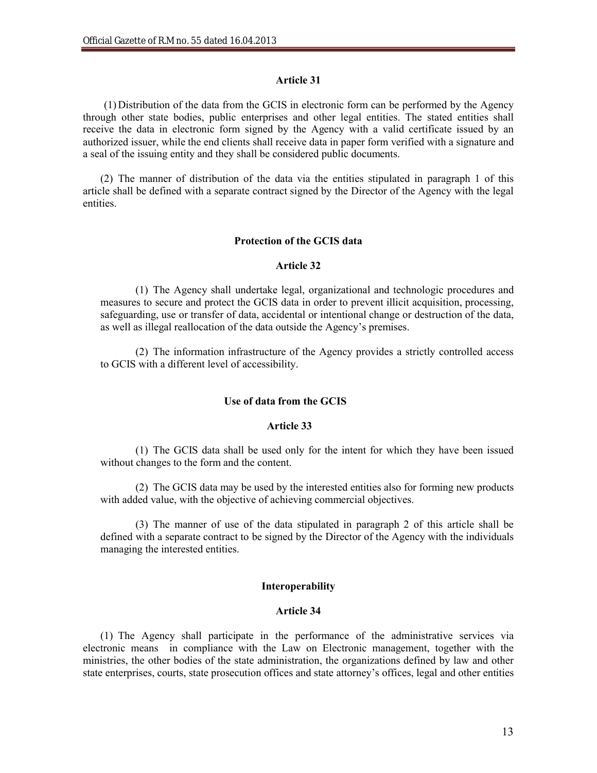## **Article 31**

(1) Distribution of the data from the GCIS in electronic form can be performed by the Agency through other state bodies, public enterprises and other legal entities. The stated entities shall receive the data in electronic form signed by the Agency with a valid certificate issued by an authorized issuer, while the end clients shall receive data in paper form verified with a signature and a seal of the issuing entity and they shall be considered public documents.

(2) The manner of distribution of the data via the entities stipulated in paragraph 1 of this article shall be defined with a separate contract signed by the Director of the Agency with the legal entities.

## **Protection of the GCIS data**

#### **Article 32**

(1) The Agency shall undertake legal, organizational and technologic procedures and measures to secure and protect the GCIS data in order to prevent illicit acquisition, processing, safeguarding, use or transfer of data, accidental or intentional change or destruction of the data, as well as illegal reallocation of the data outside the Agency's premises.

(2) The information infrastructure of the Agency provides a strictly controlled access to GCIS with a different level of accessibility.

#### **Use of data from the GCIS**

#### **Article 33**

(1) The GCIS data shall be used only for the intent for which they have been issued without changes to the form and the content.

(2) The GCIS data may be used by the interested entities also for forming new products with added value, with the objective of achieving commercial objectives.

(3) The manner of use of the data stipulated in paragraph 2 of this article shall be defined with a separate contract to be signed by the Director of the Agency with the individuals managing the interested entities.

#### **Interoperability**

## **Article 34**

(1) The Agency shall participate in the performance of the administrative services via electronic means in compliance with the Law on Electronic management, together with the ministries, the other bodies of the state administration, the organizations defined by law and other state enterprises, courts, state prosecution offices and state attorney's offices, legal and other entities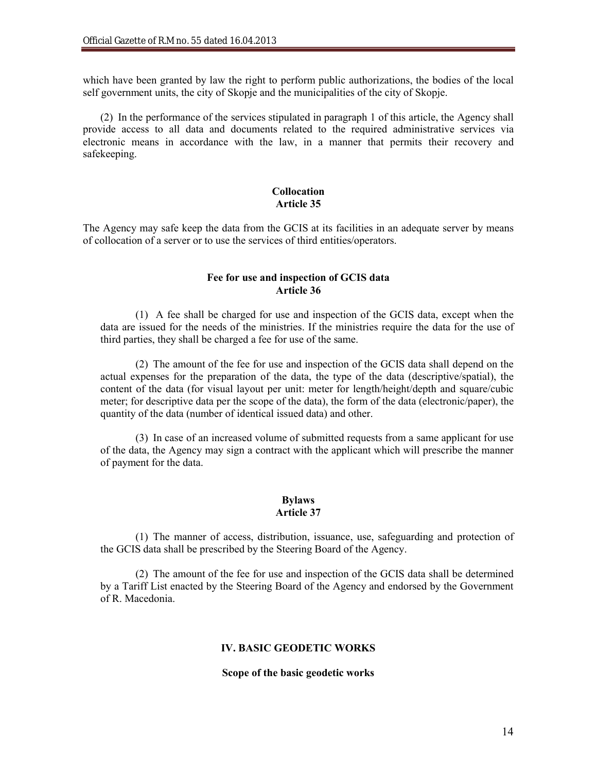which have been granted by law the right to perform public authorizations, the bodies of the local self government units, the city of Skopje and the municipalities of the city of Skopje.

(2) In the performance of the services stipulated in paragraph 1 of this article, the Agency shall provide access to all data and documents related to the required administrative services via electronic means in accordance with the law, in a manner that permits their recovery and safekeeping.

## **Collocation Article 35**

The Agency may safe keep the data from the GCIS at its facilities in an adequate server by means of collocation of a server or to use the services of third entities/operators.

## **Fee for use and inspection of GCIS data Article 36**

(1) A fee shall be charged for use and inspection of the GCIS data, except when the data are issued for the needs of the ministries. If the ministries require the data for the use of third parties, they shall be charged a fee for use of the same.

(2) The amount of the fee for use and inspection of the GCIS data shall depend on the actual expenses for the preparation of the data, the type of the data (descriptive/spatial), the content of the data (for visual layout per unit: meter for length/height/depth and square/cubic meter; for descriptive data per the scope of the data), the form of the data (electronic/paper), the quantity of the data (number of identical issued data) and other.

(3) In case of an increased volume of submitted requests from a same applicant for use of the data, the Agency may sign a contract with the applicant which will prescribe the manner of payment for the data.

# **Bylaws Article 37**

(1) The manner of access, distribution, issuance, use, safeguarding and protection of the GCIS data shall be prescribed by the Steering Board of the Agency.

(2) The amount of the fee for use and inspection of the GCIS data shall be determined by a Tariff List enacted by the Steering Board of the Agency and endorsed by the Government of R. Macedonia.

# **IV. BASIC GEODETIC WORKS**

#### **Scope of the basic geodetic works**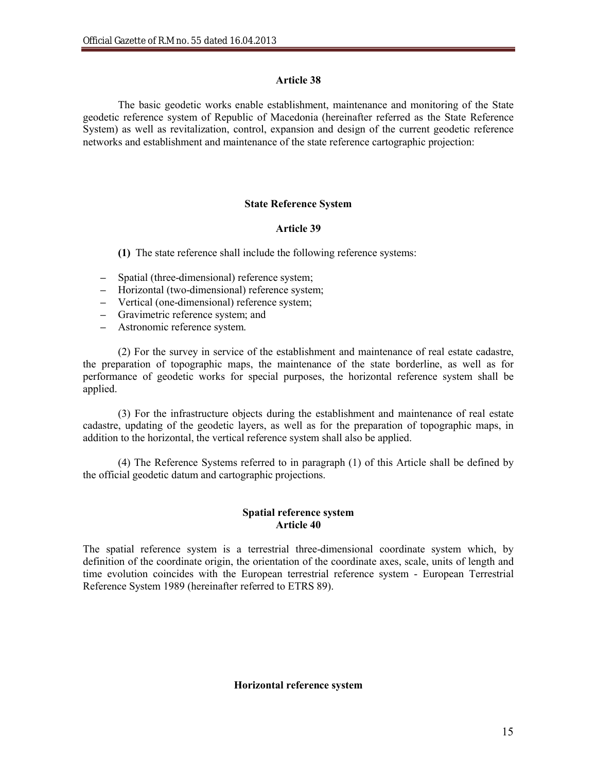## **Article 38**

The basic geodetic works enable establishment, maintenance and monitoring of the State geodetic reference system of Republic of Macedonia (hereinafter referred as the State Reference System) as well as revitalization, control, expansion and design of the current geodetic reference networks and establishment and maintenance of the state reference cartographic projection:

# **State Reference System**

## **Article 39**

**(1)** The state reference shall include the following reference systems:

- **–** Spatial (three-dimensional) reference system;
- **–** Horizontal (two-dimensional) reference system;
- **–** Vertical (one-dimensional) reference system;
- **–** Gravimetric reference system; and
- **–** Astronomic reference system.

(2) For the survey in service of the establishment and maintenance of real estate cadastre, the preparation of topographic maps, the maintenance of the state borderline, as well as for performance of geodetic works for special purposes, the horizontal reference system shall be applied.

(3) For the infrastructure objects during the establishment and maintenance of real estate cadastre, updating of the geodetic layers, as well as for the preparation of topographic maps, in addition to the horizontal, the vertical reference system shall also be applied.

(4) The Reference Systems referred to in paragraph (1) of this Article shall be defined by the official geodetic datum and cartographic projections.

## **Spatial reference system Article 40**

The spatial reference system is a terrestrial three-dimensional coordinate system which, by definition of the coordinate origin, the orientation of the coordinate axes, scale, units of length and time evolution coincides with the European terrestrial reference system - European Terrestrial Reference System 1989 (hereinafter referred to ETRS 89).

#### **Horizontal reference system**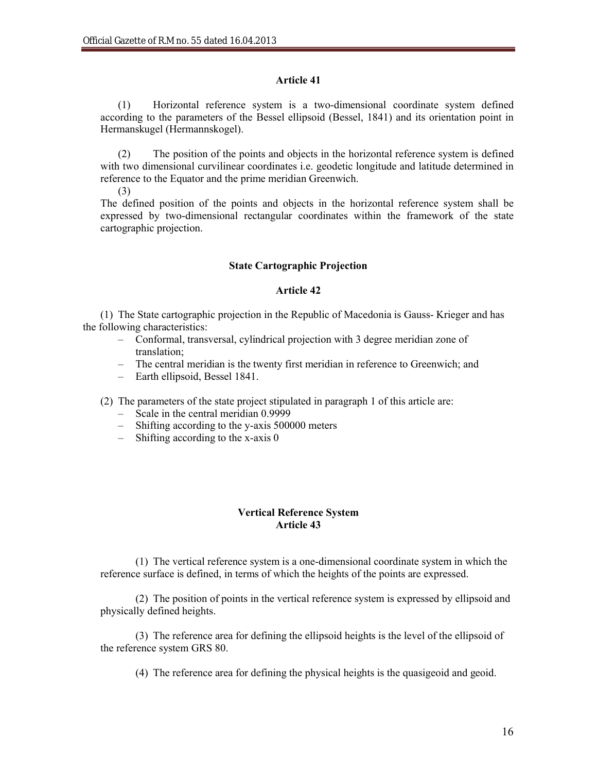## **Article 41**

(1) Horizontal reference system is a two-dimensional coordinate system defined according to the parameters of the Bessel ellipsoid (Bessel, 1841) and its orientation point in Hermanskugel (Hermannskogel).

(2) The position of the points and objects in the horizontal reference system is defined with two dimensional curvilinear coordinates i.e. geodetic longitude and latitude determined in reference to the Equator and the prime meridian Greenwich.

(3)

The defined position of the points and objects in the horizontal reference system shall be expressed by two-dimensional rectangular coordinates within the framework of the state cartographic projection.

## **State Cartographic Projection**

## **Article 42**

(1) The State cartographic projection in the Republic of Macedonia is Gauss- Krieger and has the following characteristics:

- Conformal, transversal, cylindrical projection with 3 degree meridian zone of translation;
- The central meridian is the twenty first meridian in reference to Greenwich; and
- Earth ellipsoid, Bessel 1841.

(2) The parameters of the state project stipulated in paragraph 1 of this article are:

- Scale in the central meridian 0.9999
- Shifting according to the y-axis 500000 meters
- Shifting according to the x-axis 0

# **Vertical Reference System Article 43**

(1) The vertical reference system is a one-dimensional coordinate system in which the reference surface is defined, in terms of which the heights of the points are expressed.

(2) The position of points in the vertical reference system is expressed by ellipsoid and physically defined heights.

(3) The reference area for defining the ellipsoid heights is the level of the ellipsoid of the reference system GRS 80.

(4) The reference area for defining the physical heights is the quasigeoid and geoid.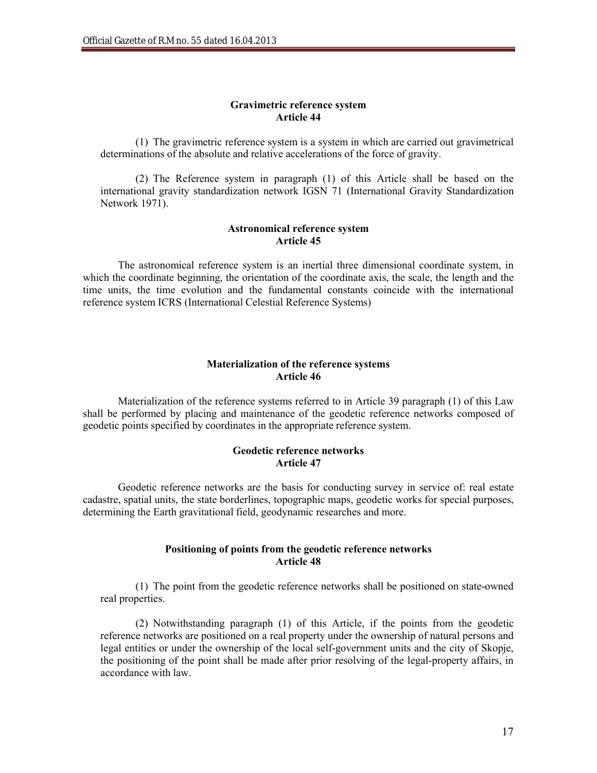#### **Gravimetric reference system Article 44**

(1) The gravimetric reference system is a system in which are carried out gravimetrical determinations of the absolute and relative accelerations of the force of gravity.

(2) The Reference system in paragraph (1) of this Article shall be based on the international gravity standardization network IGSN 71 (International Gravity Standardization Network 1971).

## **Astronomical reference system Article 45**

The astronomical reference system is an inertial three dimensional coordinate system, in which the coordinate beginning, the orientation of the coordinate axis, the scale, the length and the time units, the time evolution and the fundamental constants coincide with the international reference system ICRS (International Celestial Reference Systems)

#### **Materialization of the reference systems Article 46**

Materialization of the reference systems referred to in Article 39 paragraph (1) of this Law shall be performed by placing and maintenance of the geodetic reference networks composed of geodetic points specified by coordinates in the appropriate reference system.

## **Geodetic reference networks Article 47**

Geodetic reference networks are the basis for conducting survey in service of: real estate cadastre, spatial units, the state borderlines, topographic maps, geodetic works for special purposes, determining the Earth gravitational field, geodynamic researches and more.

## **Positioning of points from the geodetic reference networks Article 48**

(1) The point from the geodetic reference networks shall be positioned on state-owned real properties.

(2) Notwithstanding paragraph (1) of this Article, if the points from the geodetic reference networks are positioned on a real property under the ownership of natural persons and legal entities or under the ownership of the local self-government units and the city of Skopje, the positioning of the point shall be made after prior resolving of the legal-property affairs, in accordance with law.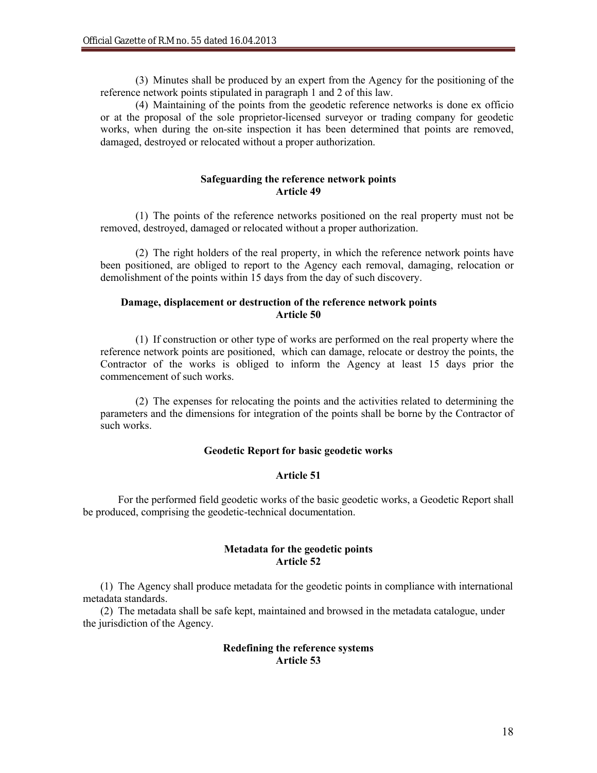(3) Minutes shall be produced by an expert from the Agency for the positioning of the reference network points stipulated in paragraph 1 and 2 of this law.

(4) Maintaining of the points from the geodetic reference networks is done ex officio or at the proposal of the sole proprietor-licensed surveyor or trading company for geodetic works, when during the on-site inspection it has been determined that points are removed, damaged, destroyed or relocated without a proper authorization.

#### **Safeguarding the reference network points Article 49**

(1) The points of the reference networks positioned on the real property must not be removed, destroyed, damaged or relocated without a proper authorization.

(2) The right holders of the real property, in which the reference network points have been positioned, are obliged to report to the Agency each removal, damaging, relocation or demolishment of the points within 15 days from the day of such discovery.

# **Damage, displacement or destruction of the reference network points Article 50**

(1) If construction or other type of works are performed on the real property where the reference network points are positioned, which can damage, relocate or destroy the points, the Contractor of the works is obliged to inform the Agency at least 15 days prior the commencement of such works.

(2) The expenses for relocating the points and the activities related to determining the parameters and the dimensions for integration of the points shall be borne by the Contractor of such works.

# **Geodetic Report for basic geodetic works**

## **Article 51**

For the performed field geodetic works of the basic geodetic works, a Geodetic Report shall be produced, comprising the geodetic-technical documentation.

#### **Metadata for the geodetic points Article 52**

(1) The Agency shall produce metadata for the geodetic points in compliance with international metadata standards.

(2) The metadata shall be safe kept, maintained and browsed in the metadata catalogue, under the jurisdiction of the Agency.

#### **Redefining the reference systems Article 53**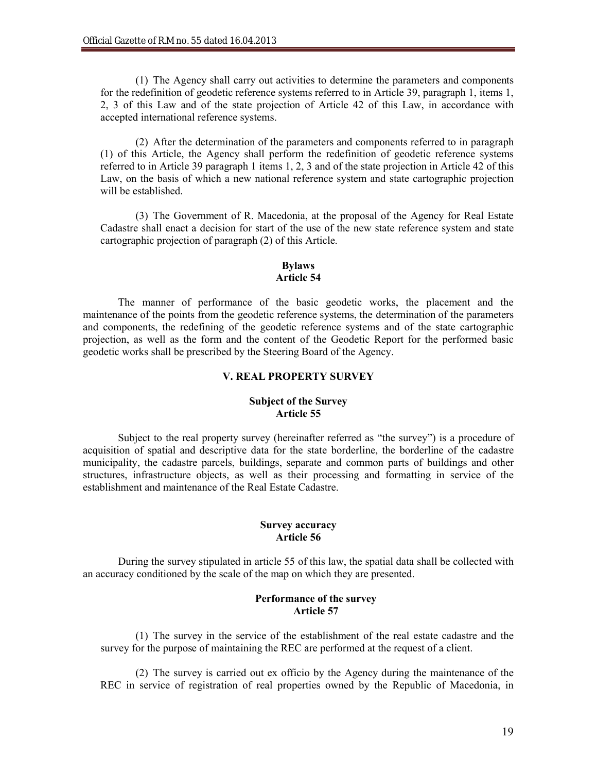(1) The Agency shall carry out activities to determine the parameters and components for the redefinition of geodetic reference systems referred to in Article 39, paragraph 1, items 1, 2, 3 of this Law and of the state projection of Article 42 of this Law, in accordance with accepted international reference systems.

(2) After the determination of the parameters and components referred to in paragraph (1) of this Article, the Agency shall perform the redefinition of geodetic reference systems referred to in Article 39 paragraph 1 items 1, 2, 3 and of the state projection in Article 42 of this Law, on the basis of which a new national reference system and state cartographic projection will be established.

(3) The Government of R. Macedonia, at the proposal of the Agency for Real Estate Cadastre shall enact a decision for start of the use of the new state reference system and state cartographic projection of paragraph (2) of this Article.

## **Bylaws Article 54**

The manner of performance of the basic geodetic works, the placement and the maintenance of the points from the geodetic reference systems, the determination of the parameters and components, the redefining of the geodetic reference systems and of the state cartographic projection, as well as the form and the content of the Geodetic Report for the performed basic geodetic works shall be prescribed by the Steering Board of the Agency.

## **V. REAL PROPERTY SURVEY**

## **Subject of the Survey Article 55**

Subject to the real property survey (hereinafter referred as "the survey") is a procedure of acquisition of spatial and descriptive data for the state borderline, the borderline of the cadastre municipality, the cadastre parcels, buildings, separate and common parts of buildings and other structures, infrastructure objects, as well as their processing and formatting in service of the establishment and maintenance of the Real Estate Cadastre.

## **Survey accuracy Article 56**

During the survey stipulated in article 55 of this law, the spatial data shall be collected with an accuracy conditioned by the scale of the map on which they are presented.

## **Performance of the survey Article 57**

(1) The survey in the service of the establishment of the real estate cadastre and the survey for the purpose of maintaining the REC are performed at the request of a client.

(2) The survey is carried out ex officio by the Agency during the maintenance of the REC in service of registration of real properties owned by the Republic of Macedonia, in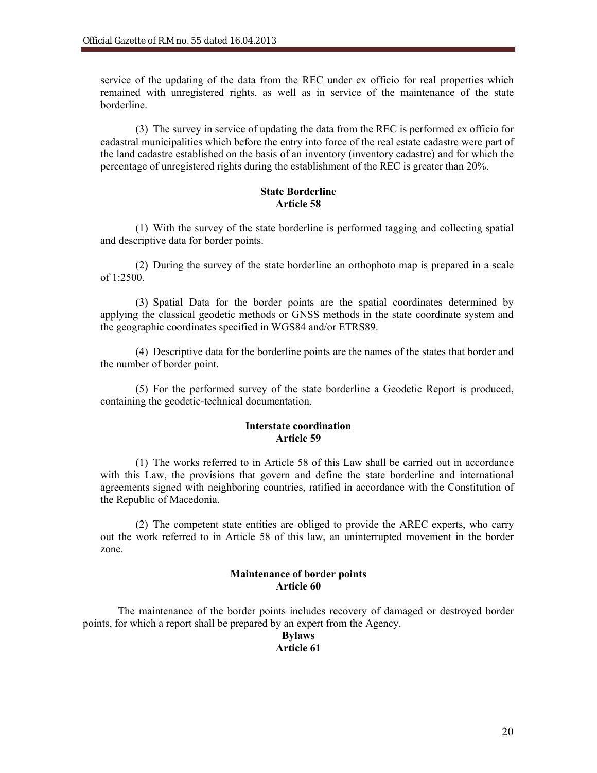service of the updating of the data from the REC under ex officio for real properties which remained with unregistered rights, as well as in service of the maintenance of the state borderline.

(3) The survey in service of updating the data from the REC is performed ex officio for cadastral municipalities which before the entry into force of the real estate cadastre were part of the land cadastre established on the basis of an inventory (inventory cadastre) and for which the percentage of unregistered rights during the establishment of the REC is greater than 20%.

## **State Borderline Article 58**

(1) With the survey of the state borderline is performed tagging and collecting spatial and descriptive data for border points.

(2) During the survey of the state borderline an orthophoto map is prepared in a scale of 1:2500.

(3) Spatial Data for the border points are the spatial coordinates determined by applying the classical geodetic methods or GNSS methods in the state coordinate system and the geographic coordinates specified in WGS84 and/or ETRS89.

(4) Descriptive data for the borderline points are the names of the states that border and the number of border point.

(5) For the performed survey of the state borderline a Geodetic Report is produced, containing the geodetic-technical documentation.

## **Interstate coordination Article 59**

(1) The works referred to in Article 58 of this Law shall be carried out in accordance with this Law, the provisions that govern and define the state borderline and international agreements signed with neighboring countries, ratified in accordance with the Constitution of the Republic of Macedonia.

(2) The competent state entities are obliged to provide the AREC experts, who carry out the work referred to in Article 58 of this law, an uninterrupted movement in the border zone.

# **Maintenance of border points Article 60**

The maintenance of the border points includes recovery of damaged or destroyed border points, for which a report shall be prepared by an expert from the Agency.

#### **Bylaws Article 61**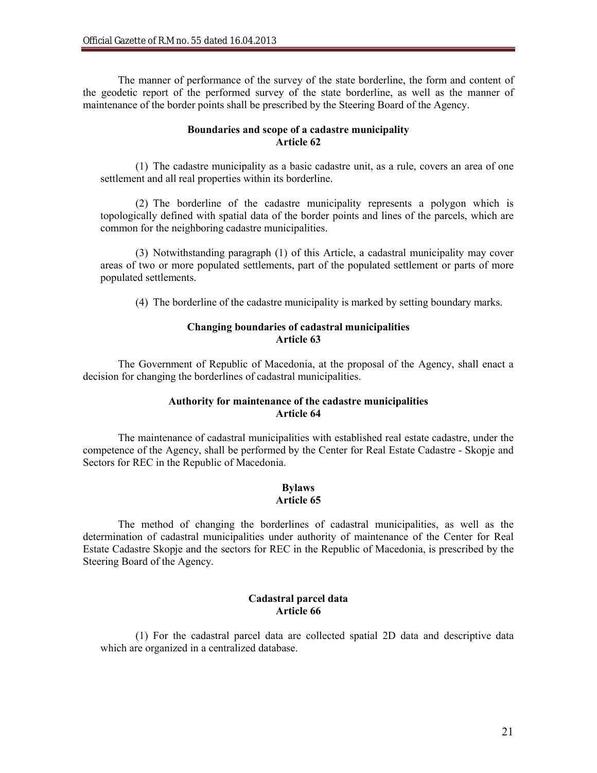The manner of performance of the survey of the state borderline, the form and content of the geodetic report of the performed survey of the state borderline, as well as the manner of maintenance of the border points shall be prescribed by the Steering Board of the Agency.

## **Boundaries and scope of a cadastre municipality Article 62**

(1) The cadastre municipality as a basic cadastre unit, as a rule, covers an area of one settlement and all real properties within its borderline.

(2) The borderline of the cadastre municipality represents a polygon which is topologically defined with spatial data of the border points and lines of the parcels, which are common for the neighboring cadastre municipalities.

(3) Notwithstanding paragraph (1) of this Article, a cadastral municipality may cover areas of two or more populated settlements, part of the populated settlement or parts of more populated settlements.

(4) The borderline of the cadastre municipality is marked by setting boundary marks.

# **Changing boundaries of cadastral municipalities Article 63**

The Government of Republic of Macedonia, at the proposal of the Agency, shall enact a decision for changing the borderlines of cadastral municipalities.

## **Authority for maintenance of the cadastre municipalities Article 64**

The maintenance of cadastral municipalities with established real estate cadastre, under the competence of the Agency, shall be performed by the Center for Real Estate Cadastre - Skopje and Sectors for REC in the Republic of Macedonia.

#### **Bylaws Article 65**

The method of changing the borderlines of cadastral municipalities, as well as the determination of cadastral municipalities under authority of maintenance of the Center for Real Estate Cadastre Skopje and the sectors for REC in the Republic of Macedonia, is prescribed by the Steering Board of the Agency.

# **Cadastral parcel data Article 66**

(1) For the cadastral parcel data are collected spatial 2D data and descriptive data which are organized in a centralized database.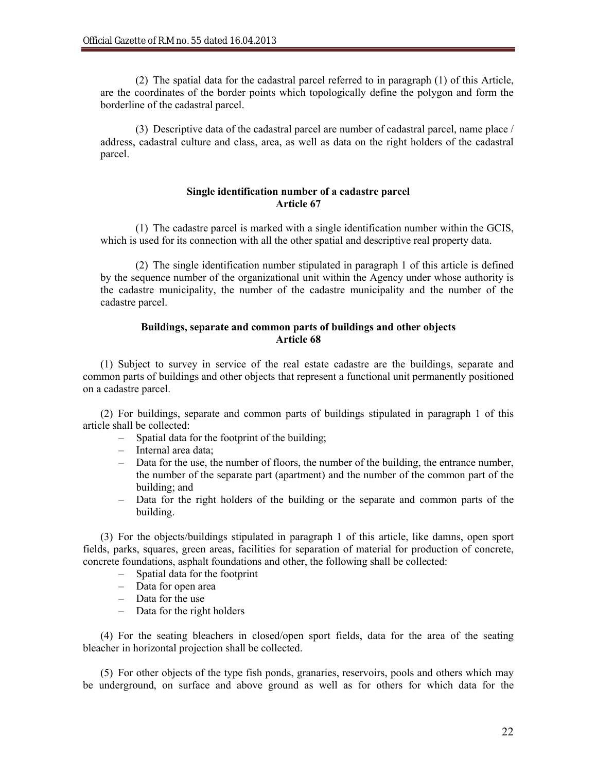(2) The spatial data for the cadastral parcel referred to in paragraph (1) of this Article, are the coordinates of the border points which topologically define the polygon and form the borderline of the cadastral parcel.

(3) Descriptive data of the cadastral parcel are number of cadastral parcel, name place / address, cadastral culture and class, area, as well as data on the right holders of the cadastral parcel.

## **Single identification number of a cadastre parcel Article 67**

(1) The cadastre parcel is marked with a single identification number within the GCIS, which is used for its connection with all the other spatial and descriptive real property data.

(2) The single identification number stipulated in paragraph 1 of this article is defined by the sequence number of the organizational unit within the Agency under whose authority is the cadastre municipality, the number of the cadastre municipality and the number of the cadastre parcel.

## **Buildings, separate and common parts of buildings and other objects Article 68**

(1) Subject to survey in service of the real estate cadastre are the buildings, separate and common parts of buildings and other objects that represent a functional unit permanently positioned on a cadastre parcel.

(2) For buildings, separate and common parts of buildings stipulated in paragraph 1 of this article shall be collected:

- Spatial data for the footprint of the building;
- Internal area data;
- Data for the use, the number of floors, the number of the building, the entrance number, the number of the separate part (apartment) and the number of the common part of the building; and
- Data for the right holders of the building or the separate and common parts of the building.

(3) For the objects/buildings stipulated in paragraph 1 of this article, like damns, open sport fields, parks, squares, green areas, facilities for separation of material for production of concrete, concrete foundations, asphalt foundations and other, the following shall be collected:

- Spatial data for the footprint
- Data for open area
- Data for the use
- Data for the right holders

(4) For the seating bleachers in closed/open sport fields, data for the area of the seating bleacher in horizontal projection shall be collected.

(5) For other objects of the type fish ponds, granaries, reservoirs, pools and others which may be underground, on surface and above ground as well as for others for which data for the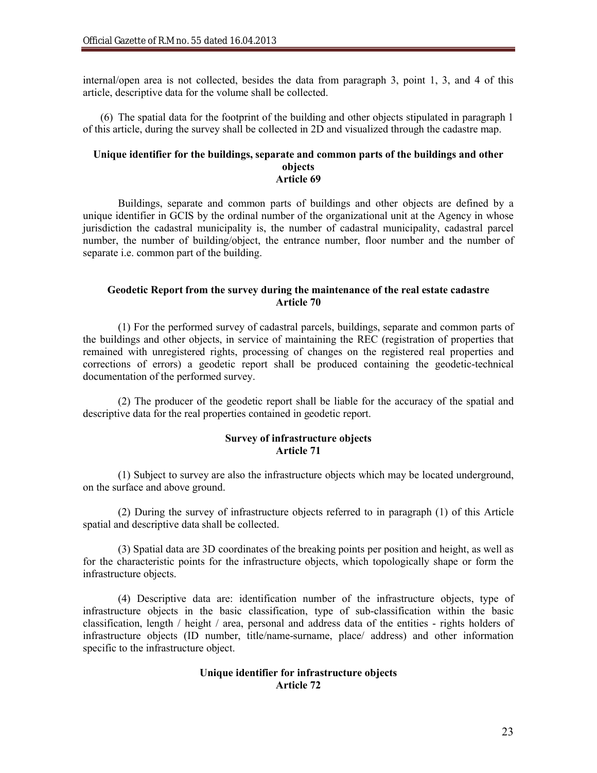internal/open area is not collected, besides the data from paragraph 3, point 1, 3, and 4 of this article, descriptive data for the volume shall be collected.

(6) The spatial data for the footprint of the building and other objects stipulated in paragraph 1 of this article, during the survey shall be collected in 2D and visualized through the cadastre map.

#### **Unique identifier for the buildings, separate and common parts of the buildings and other objects Article 69**

Buildings, separate and common parts of buildings and other objects are defined by a unique identifier in GCIS by the ordinal number of the organizational unit at the Agency in whose jurisdiction the cadastral municipality is, the number of cadastral municipality, cadastral parcel number, the number of building/object, the entrance number, floor number and the number of separate i.e. common part of the building.

## **Geodetic Report from the survey during the maintenance of the real estate cadastre Article 70**

(1) For the performed survey of cadastral parcels, buildings, separate and common parts of the buildings and other objects, in service of maintaining the REC (registration of properties that remained with unregistered rights, processing of changes on the registered real properties and corrections of errors) a geodetic report shall be produced containing the geodetic-technical documentation of the performed survey.

(2) The producer of the geodetic report shall be liable for the accuracy of the spatial and descriptive data for the real properties contained in geodetic report.

#### **Survey of infrastructure objects Article 71**

(1) Subject to survey are also the infrastructure objects which may be located underground, on the surface and above ground.

(2) During the survey of infrastructure objects referred to in paragraph (1) of this Article spatial and descriptive data shall be collected.

(3) Spatial data are 3D coordinates of the breaking points per position and height, as well as for the characteristic points for the infrastructure objects, which topologically shape or form the infrastructure objects.

(4) Descriptive data are: identification number of the infrastructure objects, type of infrastructure objects in the basic classification, type of sub-classification within the basic classification, length / height / area, personal and address data of the entities - rights holders of infrastructure objects (ID number, title/name-surname, place/ address) and other information specific to the infrastructure object.

## **Unique identifier for infrastructure objects Article 72**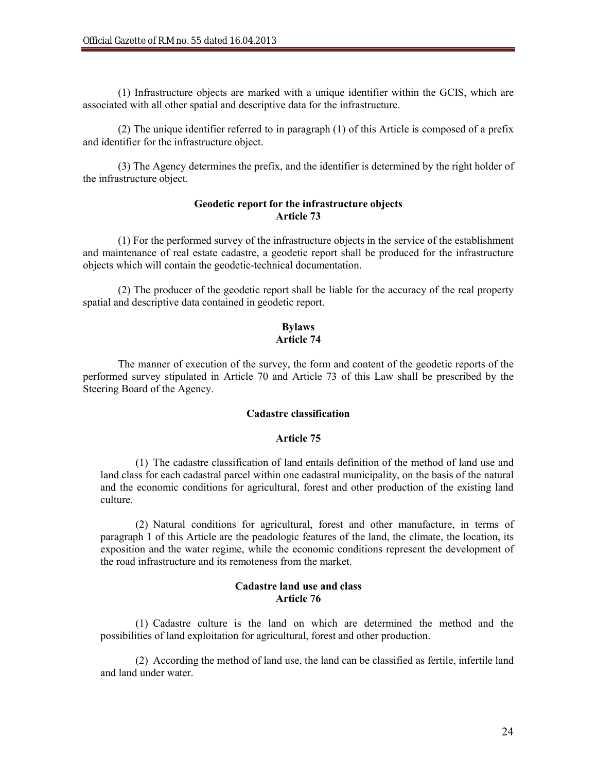(1) Infrastructure objects are marked with a unique identifier within the GCIS, which are associated with all other spatial and descriptive data for the infrastructure.

(2) The unique identifier referred to in paragraph (1) of this Article is composed of a prefix and identifier for the infrastructure object.

(3) The Agency determines the prefix, and the identifier is determined by the right holder of the infrastructure object.

## **Geodetic report for the infrastructure objects Article 73**

(1) For the performed survey of the infrastructure objects in the service of the establishment and maintenance of real estate cadastre, a geodetic report shall be produced for the infrastructure objects which will contain the geodetic-technical documentation.

(2) The producer of the geodetic report shall be liable for the accuracy of the real property spatial and descriptive data contained in geodetic report.

# **Bylaws Article 74**

The manner of execution of the survey, the form and content of the geodetic reports of the performed survey stipulated in Article 70 and Article 73 of this Law shall be prescribed by the Steering Board of the Agency.

## **Cadastre classification**

#### **Article 75**

(1) The cadastre classification of land entails definition of the method of land use and land class for each cadastral parcel within one cadastral municipality, on the basis of the natural and the economic conditions for agricultural, forest and other production of the existing land culture.

(2) Natural conditions for agricultural, forest and other manufacture, in terms of paragraph 1 of this Article are the peadologic features of the land, the climate, the location, its exposition and the water regime, while the economic conditions represent the development of the road infrastructure and its remoteness from the market.

# **Cadastre land use and class Article 76**

(1) Cadastre culture is the land on which are determined the method and the possibilities of land exploitation for agricultural, forest and other production.

(2) According the method of land use, the land can be classified as fertile, infertile land and land under water.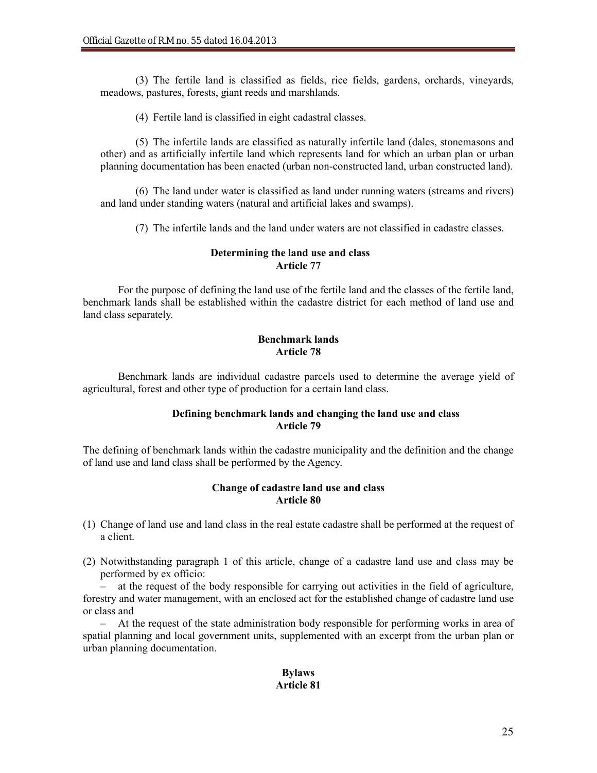(3) The fertile land is classified as fields, rice fields, gardens, orchards, vineyards, meadows, pastures, forests, giant reeds and marshlands.

(4) Fertile land is classified in eight cadastral classes.

(5) The infertile lands are classified as naturally infertile land (dales, stonemasons and other) and as artificially infertile land which represents land for which an urban plan or urban planning documentation has been enacted (urban non-constructed land, urban constructed land).

(6) The land under water is classified as land under running waters (streams and rivers) and land under standing waters (natural and artificial lakes and swamps).

(7) The infertile lands and the land under waters are not classified in cadastre classes.

## **Determining the land use and class Article 77**

For the purpose of defining the land use of the fertile land and the classes of the fertile land, benchmark lands shall be established within the cadastre district for each method of land use and land class separately.

# **Benchmark lands Article 78**

Benchmark lands are individual cadastre parcels used to determine the average yield of agricultural, forest and other type of production for a certain land class.

# **Defining benchmark lands and changing the land use and class Article 79**

The defining of benchmark lands within the cadastre municipality and the definition and the change of land use and land class shall be performed by the Agency.

## **Change of cadastre land use and class Article 80**

- (1) Change of land use and land class in the real estate cadastre shall be performed at the request of a client.
- (2) Notwithstanding paragraph 1 of this article, change of a cadastre land use and class may be performed by ex officio:

– at the request of the body responsible for carrying out activities in the field of agriculture, forestry and water management, with an enclosed act for the established change of cadastre land use or class and

– At the request of the state administration body responsible for performing works in area of spatial planning and local government units, supplemented with an excerpt from the urban plan or urban planning documentation.

# **Bylaws Article 81**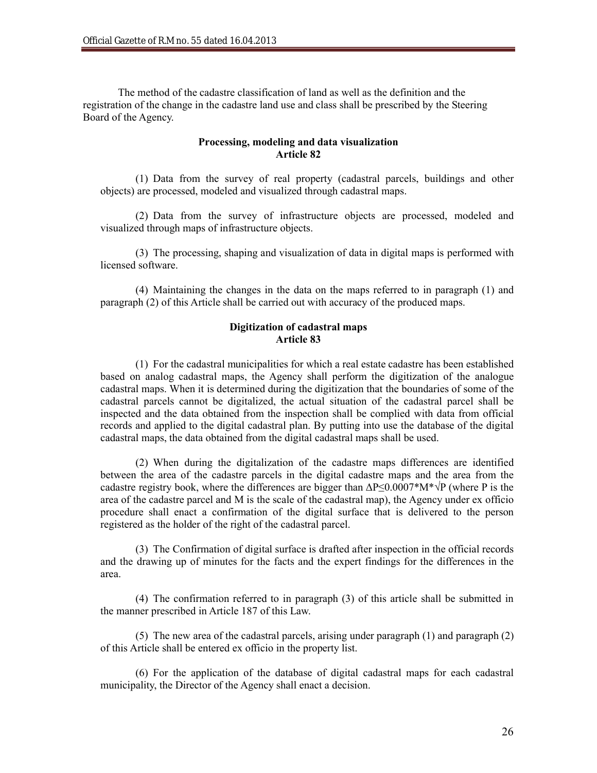The method of the cadastre classification of land as well as the definition and the registration of the change in the cadastre land use and class shall be prescribed by the Steering Board of the Agency.

# **Processing, modeling and data visualization Article 82**

(1) Data from the survey of real property (cadastral parcels, buildings and other objects) are processed, modeled and visualized through cadastral maps.

(2) Data from the survey of infrastructure objects are processed, modeled and visualized through maps of infrastructure objects.

(3) The processing, shaping and visualization of data in digital maps is performed with licensed software.

(4) Maintaining the changes in the data on the maps referred to in paragraph (1) and paragraph (2) of this Article shall be carried out with accuracy of the produced maps.

# **Digitization of cadastral maps Article 83**

(1) For the cadastral municipalities for which a real estate cadastre has been established based on analog cadastral maps, the Agency shall perform the digitization of the analogue cadastral maps. When it is determined during the digitization that the boundaries of some of the cadastral parcels cannot be digitalized, the actual situation of the cadastral parcel shall be inspected and the data obtained from the inspection shall be complied with data from official records and applied to the digital cadastral plan. By putting into use the database of the digital cadastral maps, the data obtained from the digital cadastral maps shall be used.

(2) When during the digitalization of the cadastre maps differences are identified between the area of the cadastre parcels in the digital cadastre maps and the area from the cadastre registry book, where the differences are bigger than  $\Delta P \leq 0.0007^* M^* \sqrt{P}$  (where P is the area of the cadastre parcel and M is the scale of the cadastral map), the Agency under ex officio procedure shall enact a confirmation of the digital surface that is delivered to the person registered as the holder of the right of the cadastral parcel.

(3) The Confirmation of digital surface is drafted after inspection in the official records and the drawing up of minutes for the facts and the expert findings for the differences in the area.

(4) The confirmation referred to in paragraph (3) of this article shall be submitted in the manner prescribed in Article 187 of this Law.

(5) The new area of the cadastral parcels, arising under paragraph (1) and paragraph (2) of this Article shall be entered ex officio in the property list.

(6) For the application of the database of digital cadastral maps for each cadastral municipality, the Director of the Agency shall enact a decision.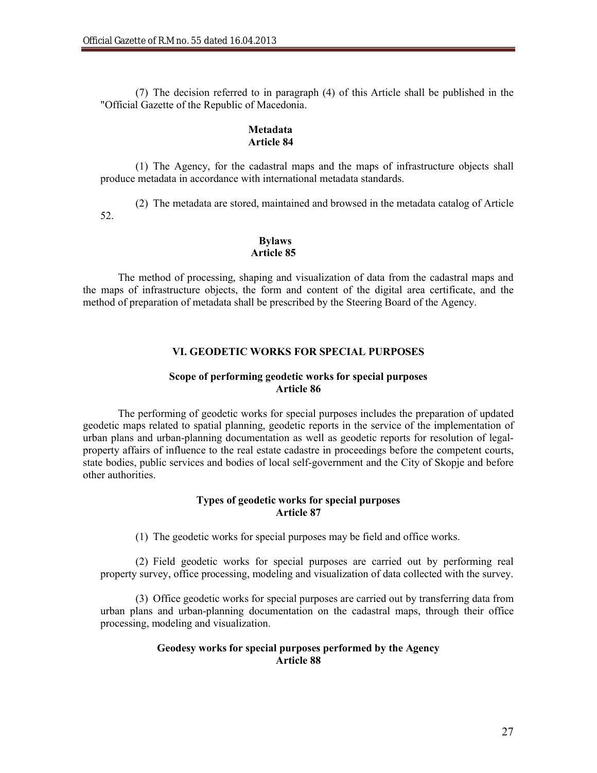(7) The decision referred to in paragraph (4) of this Article shall be published in the "Official Gazette of the Republic of Macedonia.

## **Metadata Article 84**

(1) The Agency, for the cadastral maps and the maps of infrastructure objects shall produce metadata in accordance with international metadata standards.

(2) The metadata are stored, maintained and browsed in the metadata catalog of Article 52.

# **Bylaws Article 85**

The method of processing, shaping and visualization of data from the cadastral maps and the maps of infrastructure objects, the form and content of the digital area certificate, and the method of preparation of metadata shall be prescribed by the Steering Board of the Agency.

# **VI. GEODETIC WORKS FOR SPECIAL PURPOSES**

# **Scope of performing geodetic works for special purposes Article 86**

The performing of geodetic works for special purposes includes the preparation of updated geodetic maps related to spatial planning, geodetic reports in the service of the implementation of urban plans and urban-planning documentation as well as geodetic reports for resolution of legalproperty affairs of influence to the real estate cadastre in proceedings before the competent courts, state bodies, public services and bodies of local self-government and the City of Skopje and before other authorities.

## **Types of geodetic works for special purposes Article 87**

(1) The geodetic works for special purposes may be field and office works.

(2) Field geodetic works for special purposes are carried out by performing real property survey, office processing, modeling and visualization of data collected with the survey.

(3) Office geodetic works for special purposes are carried out by transferring data from urban plans and urban-planning documentation on the cadastral maps, through their office processing, modeling and visualization.

## **Geodesy works for special purposes performed by the Agency Article 88**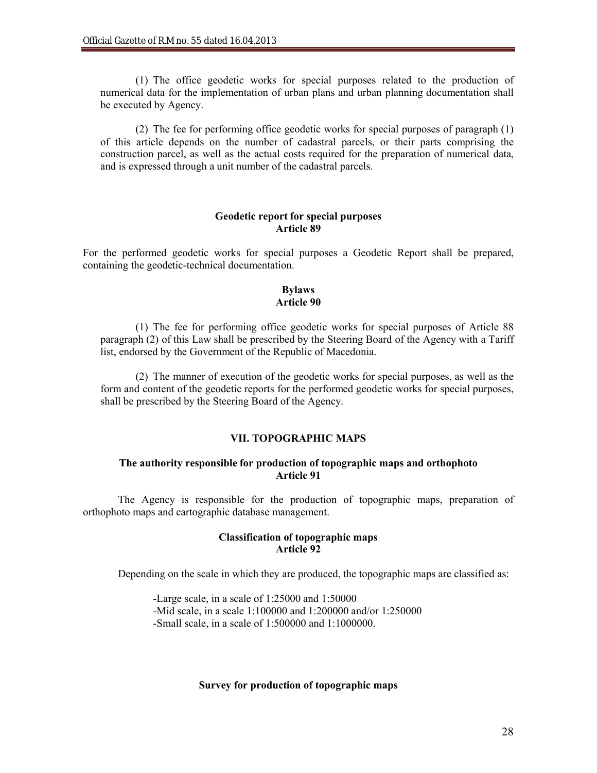(1) The office geodetic works for special purposes related to the production of numerical data for the implementation of urban plans and urban planning documentation shall be executed by Agency.

(2) The fee for performing office geodetic works for special purposes of paragraph (1) of this article depends on the number of cadastral parcels, or their parts comprising the construction parcel, as well as the actual costs required for the preparation of numerical data, and is expressed through a unit number of the cadastral parcels.

#### **Geodetic report for special purposes Article 89**

For the performed geodetic works for special purposes a Geodetic Report shall be prepared, containing the geodetic-technical documentation.

## **Bylaws Article 90**

(1) The fee for performing office geodetic works for special purposes of Article 88 paragraph (2) of this Law shall be prescribed by the Steering Board of the Agency with a Tariff list, endorsed by the Government of the Republic of Macedonia.

(2) The manner of execution of the geodetic works for special purposes, as well as the form and content of the geodetic reports for the performed geodetic works for special purposes, shall be prescribed by the Steering Board of the Agency.

# **VII. TOPOGRAPHIC MAPS**

# **The authority responsible for production of topographic maps and orthophoto Article 91**

The Agency is responsible for the production of topographic maps, preparation of orthophoto maps and cartographic database management.

#### **Classification of topographic maps Article 92**

Depending on the scale in which they are produced, the topographic maps are classified as:

-Large scale, in a scale of 1:25000 and 1:50000 -Mid scale, in a scale 1:100000 and 1:200000 and/or 1:250000 -Small scale, in a scale of 1:500000 and 1:1000000.

#### **Survey for production of topographic maps**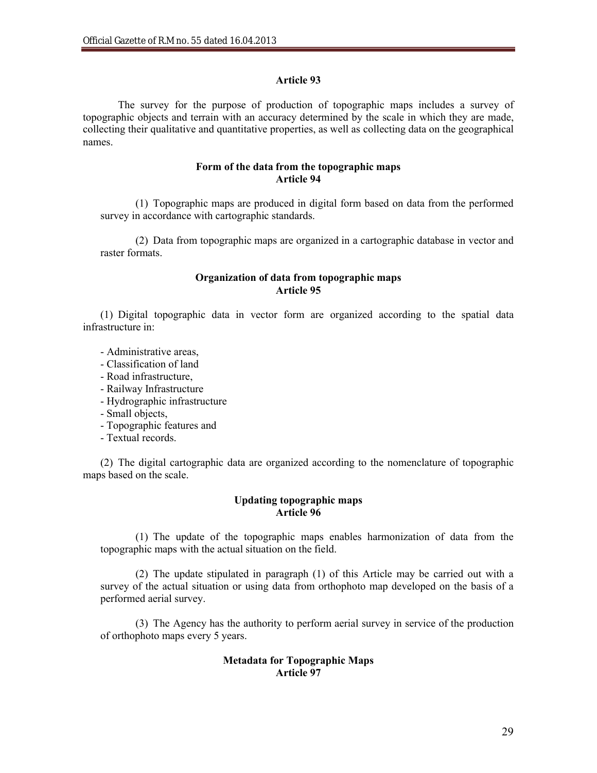## **Article 93**

The survey for the purpose of production of topographic maps includes a survey of topographic objects and terrain with an accuracy determined by the scale in which they are made, collecting their qualitative and quantitative properties, as well as collecting data on the geographical names.

# **Form of the data from the topographic maps Article 94**

(1) Topographic maps are produced in digital form based on data from the performed survey in accordance with cartographic standards.

(2) Data from topographic maps are organized in a cartographic database in vector and raster formats.

## **Organization of data from topographic maps Article 95**

(1) Digital topographic data in vector form are organized according to the spatial data infrastructure in:

- Administrative areas,
- Classification of land
- Road infrastructure,
- Railway Infrastructure
- Hydrographic infrastructure
- Small objects,
- Topographic features and
- Textual records.

(2) The digital cartographic data are organized according to the nomenclature of topographic maps based on the scale.

# **Updating topographic maps Article 96**

(1) The update of the topographic maps enables harmonization of data from the topographic maps with the actual situation on the field.

(2) The update stipulated in paragraph (1) of this Article may be carried out with a survey of the actual situation or using data from orthophoto map developed on the basis of a performed aerial survey.

(3) The Agency has the authority to perform aerial survey in service of the production of orthophoto maps every 5 years.

## **Metadata for Topographic Maps Article 97**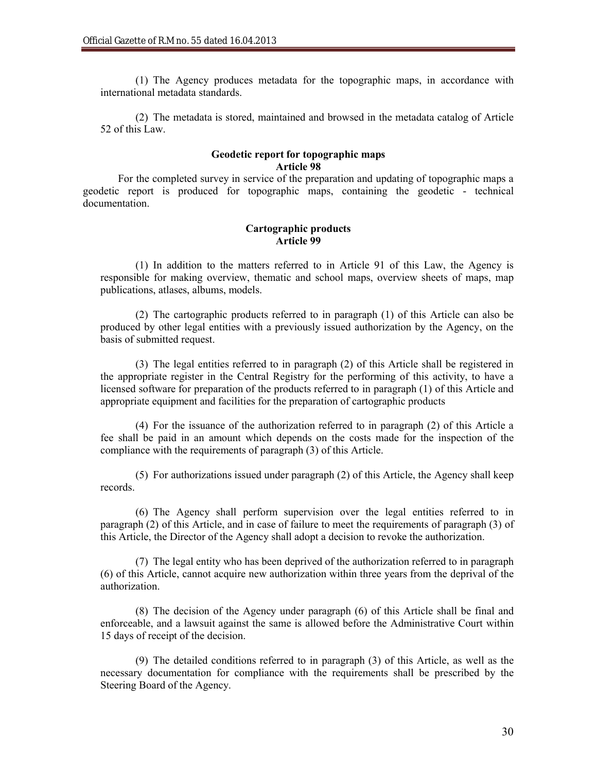(1) The Agency produces metadata for the topographic maps, in accordance with international metadata standards.

(2) The metadata is stored, maintained and browsed in the metadata catalog of Article 52 of this Law.

#### **Geodetic report for topographic maps Article 98**

For the completed survey in service of the preparation and updating of topographic maps a geodetic report is produced for topographic maps, containing the geodetic - technical documentation.

## **Cartographic products Article 99**

(1) In addition to the matters referred to in Article 91 of this Law, the Agency is responsible for making overview, thematic and school maps, overview sheets of maps, map publications, atlases, albums, models.

(2) The cartographic products referred to in paragraph (1) of this Article can also be produced by other legal entities with a previously issued authorization by the Agency, on the basis of submitted request.

(3) The legal entities referred to in paragraph (2) of this Article shall be registered in the appropriate register in the Central Registry for the performing of this activity, to have a licensed software for preparation of the products referred to in paragraph (1) of this Article and appropriate equipment and facilities for the preparation of cartographic products

(4) For the issuance of the authorization referred to in paragraph (2) of this Article a fee shall be paid in an amount which depends on the costs made for the inspection of the compliance with the requirements of paragraph (3) of this Article.

(5) For authorizations issued under paragraph (2) of this Article, the Agency shall keep records.

(6) The Agency shall perform supervision over the legal entities referred to in paragraph (2) of this Article, and in case of failure to meet the requirements of paragraph (3) of this Article, the Director of the Agency shall adopt a decision to revoke the authorization.

(7) The legal entity who has been deprived of the authorization referred to in paragraph (6) of this Article, cannot acquire new authorization within three years from the deprival of the authorization.

(8) The decision of the Agency under paragraph (6) of this Article shall be final and enforceable, and a lawsuit against the same is allowed before the Administrative Court within 15 days of receipt of the decision.

(9) The detailed conditions referred to in paragraph (3) of this Article, as well as the necessary documentation for compliance with the requirements shall be prescribed by the Steering Board of the Agency.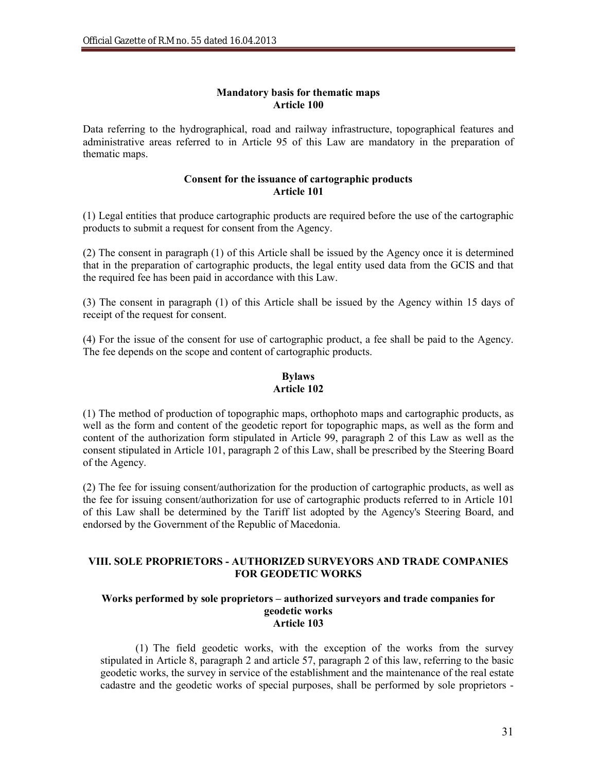# **Mandatory basis for thematic maps Article 100**

Data referring to the hydrographical, road and railway infrastructure, topographical features and administrative areas referred to in Article 95 of this Law are mandatory in the preparation of thematic maps.

## **Consent for the issuance of cartographic products Article 101**

(1) Legal entities that produce cartographic products are required before the use of the cartographic products to submit a request for consent from the Agency.

(2) The consent in paragraph (1) of this Article shall be issued by the Agency once it is determined that in the preparation of cartographic products, the legal entity used data from the GCIS and that the required fee has been paid in accordance with this Law.

(3) The consent in paragraph (1) of this Article shall be issued by the Agency within 15 days of receipt of the request for consent.

(4) For the issue of the consent for use of cartographic product, a fee shall be paid to the Agency. The fee depends on the scope and content of cartographic products.

# **Bylaws Article 102**

(1) The method of production of topographic maps, orthophoto maps and cartographic products, as well as the form and content of the geodetic report for topographic maps, as well as the form and content of the authorization form stipulated in Article 99, paragraph 2 of this Law as well as the consent stipulated in Article 101, paragraph 2 of this Law, shall be prescribed by the Steering Board of the Agency.

(2) The fee for issuing consent/authorization for the production of cartographic products, as well as the fee for issuing consent/authorization for use of cartographic products referred to in Article 101 of this Law shall be determined by the Tariff list adopted by the Agency's Steering Board, and endorsed by the Government of the Republic of Macedonia.

# **VIII. SOLE PROPRIETORS - AUTHORIZED SURVEYORS AND TRADE COMPANIES FOR GEODETIC WORKS**

#### **Works performed by sole proprietors – authorized surveyors and trade companies for geodetic works Article 103**

(1) The field geodetic works, with the exception of the works from the survey stipulated in Article 8, paragraph 2 and article 57, paragraph 2 of this law, referring to the basic geodetic works, the survey in service of the establishment and the maintenance of the real estate cadastre and the geodetic works of special purposes, shall be performed by sole proprietors -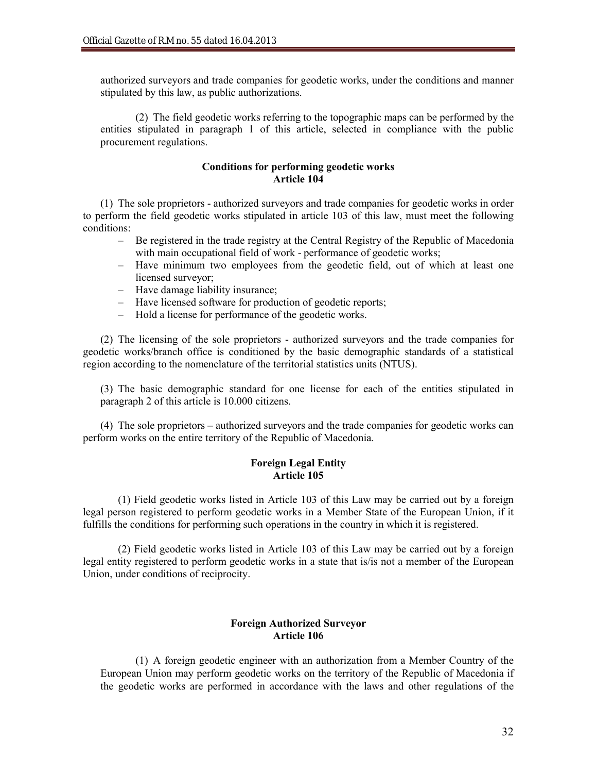authorized surveyors and trade companies for geodetic works, under the conditions and manner stipulated by this law, as public authorizations.

(2) The field geodetic works referring to the topographic maps can be performed by the entities stipulated in paragraph 1 of this article, selected in compliance with the public procurement regulations.

# **Conditions for performing geodetic works Article 104**

(1) The sole proprietors - authorized surveyors and trade companies for geodetic works in order to perform the field geodetic works stipulated in article 103 of this law, must meet the following conditions:

- Be registered in the trade registry at the Central Registry of the Republic of Macedonia with main occupational field of work - performance of geodetic works;
- Have minimum two employees from the geodetic field, out of which at least one licensed surveyor;
- Have damage liability insurance;
- Have licensed software for production of geodetic reports;
- Hold a license for performance of the geodetic works.

(2) The licensing of the sole proprietors - authorized surveyors and the trade companies for geodetic works/branch office is conditioned by the basic demographic standards of a statistical region according to the nomenclature of the territorial statistics units (NTUS).

(3) The basic demographic standard for one license for each of the entities stipulated in paragraph 2 of this article is 10.000 citizens.

(4) The sole proprietors – authorized surveyors and the trade companies for geodetic works can perform works on the entire territory of the Republic of Macedonia.

# **Foreign Legal Entity Article 105**

(1) Field geodetic works listed in Article 103 of this Law may be carried out by a foreign legal person registered to perform geodetic works in a Member State of the European Union, if it fulfills the conditions for performing such operations in the country in which it is registered.

(2) Field geodetic works listed in Article 103 of this Law may be carried out by a foreign legal entity registered to perform geodetic works in a state that is/is not a member of the European Union, under conditions of reciprocity.

## **Foreign Authorized Surveyor Article 106**

(1) A foreign geodetic engineer with an authorization from a Member Country of the European Union may perform geodetic works on the territory of the Republic of Macedonia if the geodetic works are performed in accordance with the laws and other regulations of the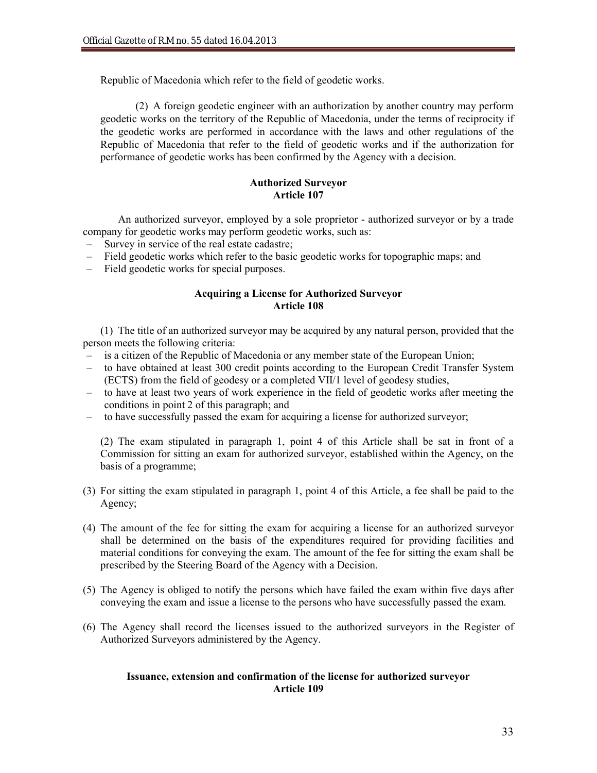Republic of Macedonia which refer to the field of geodetic works.

(2) A foreign geodetic engineer with an authorization by another country may perform geodetic works on the territory of the Republic of Macedonia, under the terms of reciprocity if the geodetic works are performed in accordance with the laws and other regulations of the Republic of Macedonia that refer to the field of geodetic works and if the authorization for performance of geodetic works has been confirmed by the Agency with a decision.

# **Authorized Surveyor Article 107**

An authorized surveyor, employed by a sole proprietor - authorized surveyor or by a trade company for geodetic works may perform geodetic works, such as:

- Survey in service of the real estate cadastre;
- Field geodetic works which refer to the basic geodetic works for topographic maps; and
- Field geodetic works for special purposes.

# **Acquiring a License for Authorized Surveyor Article 108**

(1) The title of an authorized surveyor may be acquired by any natural person, provided that the person meets the following criteria:

- is a citizen of the Republic of Macedonia or any member state of the European Union;
- to have obtained at least 300 credit points according to the European Credit Transfer System (ECTS) from the field of geodesy or a completed VII/1 level of geodesy studies,
- to have at least two years of work experience in the field of geodetic works after meeting the conditions in point 2 of this paragraph; and
- to have successfully passed the exam for acquiring a license for authorized surveyor;

(2) The exam stipulated in paragraph 1, point 4 of this Article shall be sat in front of a Commission for sitting an exam for authorized surveyor, established within the Agency, on the basis of a programme;

- (3) For sitting the exam stipulated in paragraph 1, point 4 of this Article, a fee shall be paid to the Agency;
- (4) The amount of the fee for sitting the exam for acquiring a license for an authorized surveyor shall be determined on the basis of the expenditures required for providing facilities and material conditions for conveying the exam. The amount of the fee for sitting the exam shall be prescribed by the Steering Board of the Agency with a Decision.
- (5) The Agency is obliged to notify the persons which have failed the exam within five days after conveying the exam and issue a license to the persons who have successfully passed the exam.
- (6) The Agency shall record the licenses issued to the authorized surveyors in the Register of Authorized Surveyors administered by the Agency.

# **Issuance, extension and confirmation of the license for authorized surveyor Article 109**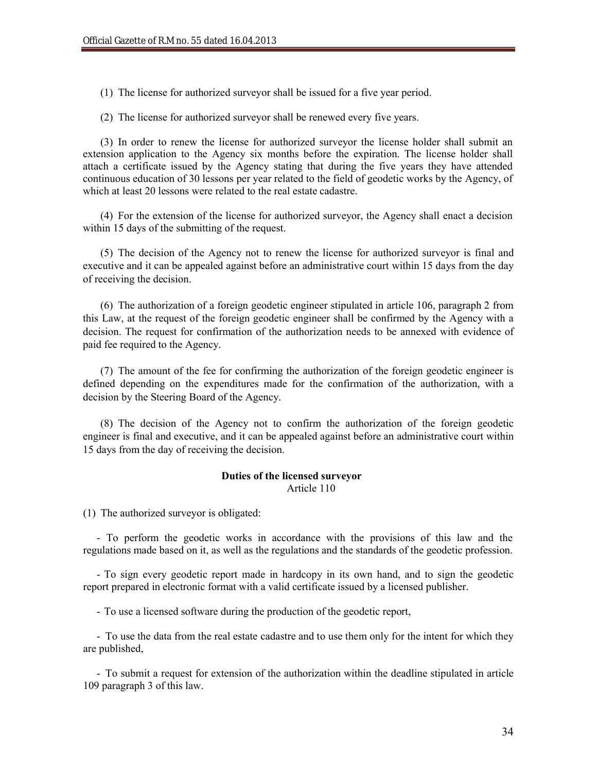(1) The license for authorized surveyor shall be issued for a five year period.

(2) The license for authorized surveyor shall be renewed every five years.

(3) In order to renew the license for authorized surveyor the license holder shall submit an extension application to the Agency six months before the expiration. The license holder shall attach a certificate issued by the Agency stating that during the five years they have attended continuous education of 30 lessons per year related to the field of geodetic works by the Agency, of which at least 20 lessons were related to the real estate cadastre.

(4) For the extension of the license for authorized surveyor, the Agency shall enact a decision within 15 days of the submitting of the request.

(5) The decision of the Agency not to renew the license for authorized surveyor is final and executive and it can be appealed against before an administrative court within 15 days from the day of receiving the decision.

(6) The authorization of a foreign geodetic engineer stipulated in article 106, paragraph 2 from this Law, at the request of the foreign geodetic engineer shall be confirmed by the Agency with a decision. The request for confirmation of the authorization needs to be annexed with evidence of paid fee required to the Agency.

(7) The amount of the fee for confirming the authorization of the foreign geodetic engineer is defined depending on the expenditures made for the confirmation of the authorization, with a decision by the Steering Board of the Agency.

(8) The decision of the Agency not to confirm the authorization of the foreign geodetic engineer is final and executive, and it can be appealed against before an administrative court within 15 days from the day of receiving the decision.

#### **Duties of the licensed surveyor** Article 110

(1) The authorized surveyor is obligated:

- To perform the geodetic works in accordance with the provisions of this law and the regulations made based on it, as well as the regulations and the standards of the geodetic profession.

- To sign every geodetic report made in hardcopy in its own hand, and to sign the geodetic report prepared in electronic format with a valid certificate issued by a licensed publisher.

- To use a licensed software during the production of the geodetic report,

- To use the data from the real estate cadastre and to use them only for the intent for which they are published,

- To submit a request for extension of the authorization within the deadline stipulated in article 109 paragraph 3 of this law.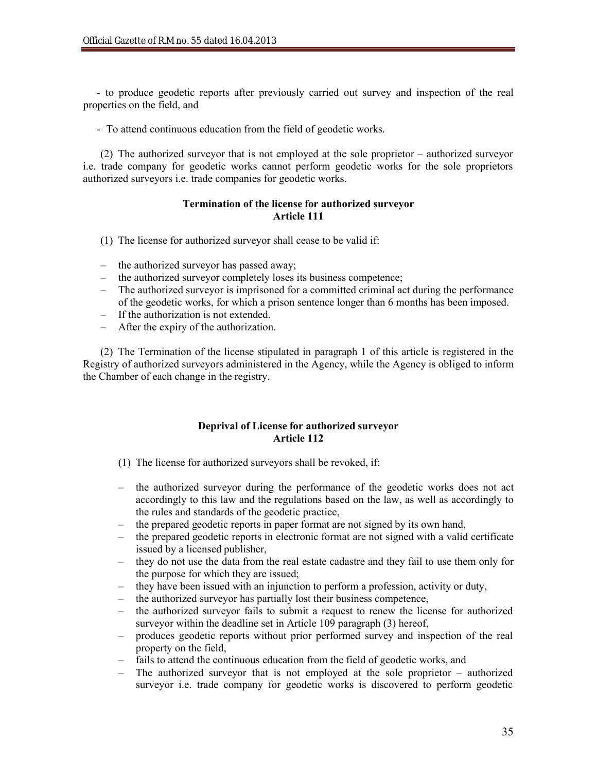- to produce geodetic reports after previously carried out survey and inspection of the real properties on the field, and

- To attend continuous education from the field of geodetic works.

(2) The authorized surveyor that is not employed at the sole proprietor – authorized surveyor i.e. trade company for geodetic works cannot perform geodetic works for the sole proprietors authorized surveyors i.e. trade companies for geodetic works.

## **Termination of the license for authorized surveyor Article 111**

- (1) The license for authorized surveyor shall cease to be valid if:
- the authorized surveyor has passed away;
- the authorized surveyor completely loses its business competence;
- The authorized surveyor is imprisoned for a committed criminal act during the performance of the geodetic works, for which a prison sentence longer than 6 months has been imposed.
- If the authorization is not extended.
- After the expiry of the authorization.

(2) The Termination of the license stipulated in paragraph 1 of this article is registered in the Registry of authorized surveyors administered in the Agency, while the Agency is obliged to inform the Chamber of each change in the registry.

# **Deprival of License for authorized surveyor Article 112**

- (1) The license for authorized surveyors shall be revoked, if:
- the authorized surveyor during the performance of the geodetic works does not act accordingly to this law and the regulations based on the law, as well as accordingly to the rules and standards of the geodetic practice,
- the prepared geodetic reports in paper format are not signed by its own hand,
- the prepared geodetic reports in electronic format are not signed with a valid certificate issued by a licensed publisher,
- they do not use the data from the real estate cadastre and they fail to use them only for the purpose for which they are issued;
- they have been issued with an injunction to perform a profession, activity or duty,
- the authorized surveyor has partially lost their business competence,
- the authorized surveyor fails to submit a request to renew the license for authorized surveyor within the deadline set in Article 109 paragraph (3) hereof,
- produces geodetic reports without prior performed survey and inspection of the real property on the field,
- fails to attend the continuous education from the field of geodetic works, and
- The authorized surveyor that is not employed at the sole proprietor authorized surveyor i.e. trade company for geodetic works is discovered to perform geodetic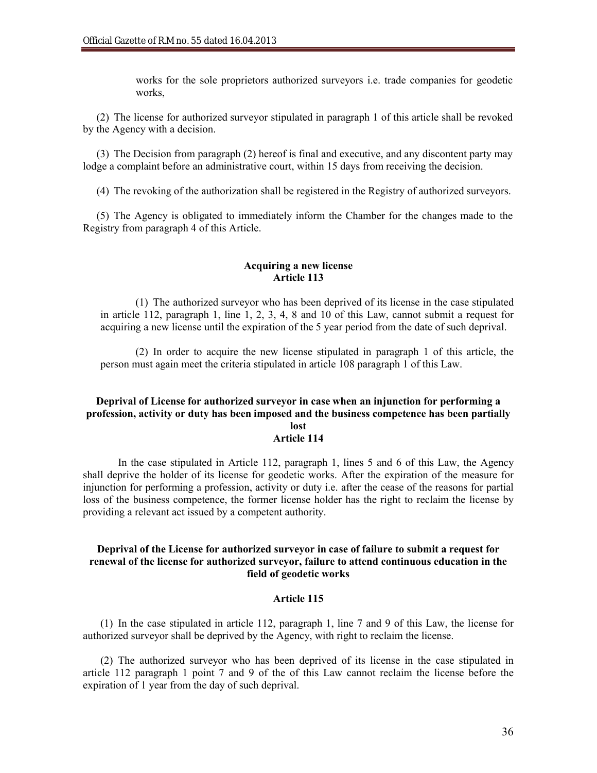works for the sole proprietors authorized surveyors i.e. trade companies for geodetic works,

(2) The license for authorized surveyor stipulated in paragraph 1 of this article shall be revoked by the Agency with a decision.

(3) The Decision from paragraph (2) hereof is final and executive, and any discontent party may lodge a complaint before an administrative court, within 15 days from receiving the decision.

(4) The revoking of the authorization shall be registered in the Registry of authorized surveyors.

(5) The Agency is obligated to immediately inform the Chamber for the changes made to the Registry from paragraph 4 of this Article.

### **Acquiring a new license Article 113**

(1) The authorized surveyor who has been deprived of its license in the case stipulated in article 112, paragraph 1, line 1, 2, 3, 4, 8 and 10 of this Law, cannot submit a request for acquiring a new license until the expiration of the 5 year period from the date of such deprival.

(2) In order to acquire the new license stipulated in paragraph 1 of this article, the person must again meet the criteria stipulated in article 108 paragraph 1 of this Law.

#### **Deprival of License for authorized surveyor in case when an injunction for performing a profession, activity or duty has been imposed and the business competence has been partially lost**

### **Article 114**

In the case stipulated in Article 112, paragraph 1, lines 5 and 6 of this Law, the Agency shall deprive the holder of its license for geodetic works. After the expiration of the measure for injunction for performing a profession, activity or duty i.e. after the cease of the reasons for partial loss of the business competence, the former license holder has the right to reclaim the license by providing a relevant act issued by a competent authority.

## **Deprival of the License for authorized surveyor in case of failure to submit a request for renewal of the license for authorized surveyor, failure to attend continuous education in the field of geodetic works**

#### **Article 115**

(1) In the case stipulated in article 112, paragraph 1, line 7 and 9 of this Law, the license for authorized surveyor shall be deprived by the Agency, with right to reclaim the license.

(2) The authorized surveyor who has been deprived of its license in the case stipulated in article 112 paragraph 1 point 7 and 9 of the of this Law cannot reclaim the license before the expiration of 1 year from the day of such deprival.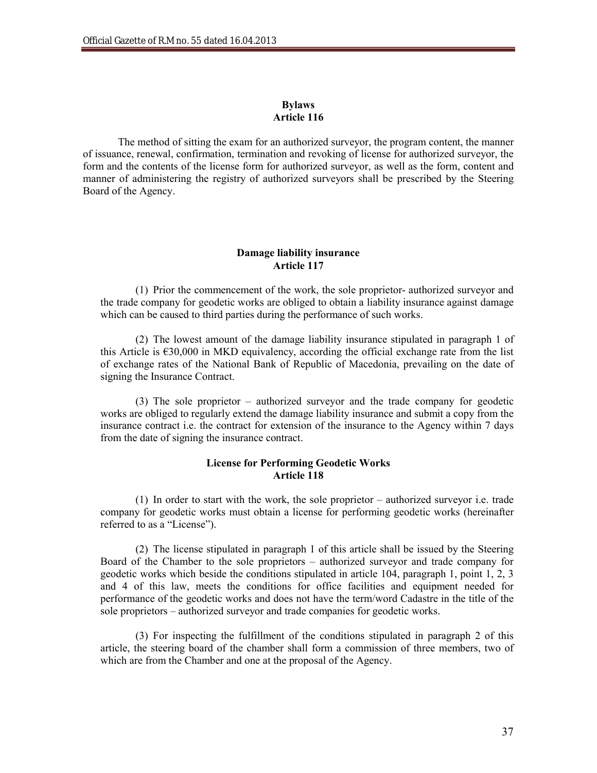### **Bylaws Article 116**

The method of sitting the exam for an authorized surveyor, the program content, the manner of issuance, renewal, confirmation, termination and revoking of license for authorized surveyor, the form and the contents of the license form for authorized surveyor, as well as the form, content and manner of administering the registry of authorized surveyors shall be prescribed by the Steering Board of the Agency.

## **Damage liability insurance Article 117**

(1) Prior the commencement of the work, the sole proprietor- authorized surveyor and the trade company for geodetic works are obliged to obtain a liability insurance against damage which can be caused to third parties during the performance of such works.

(2) The lowest amount of the damage liability insurance stipulated in paragraph 1 of this Article is  $\epsilon$ 30,000 in MKD equivalency, according the official exchange rate from the list of exchange rates of the National Bank of Republic of Macedonia, prevailing on the date of signing the Insurance Contract.

(3) The sole proprietor – authorized surveyor and the trade company for geodetic works are obliged to regularly extend the damage liability insurance and submit a copy from the insurance contract i.e. the contract for extension of the insurance to the Agency within 7 days from the date of signing the insurance contract.

## **License for Performing Geodetic Works Article 118**

(1) In order to start with the work, the sole proprietor – authorized surveyor i.e. trade company for geodetic works must obtain a license for performing geodetic works (hereinafter referred to as a "License").

(2) The license stipulated in paragraph 1 of this article shall be issued by the Steering Board of the Chamber to the sole proprietors – authorized surveyor and trade company for geodetic works which beside the conditions stipulated in article 104, paragraph 1, point 1, 2, 3 and 4 of this law, meets the conditions for office facilities and equipment needed for performance of the geodetic works and does not have the term/word Cadastre in the title of the sole proprietors – authorized surveyor and trade companies for geodetic works.

(3) For inspecting the fulfillment of the conditions stipulated in paragraph 2 of this article, the steering board of the chamber shall form a commission of three members, two of which are from the Chamber and one at the proposal of the Agency.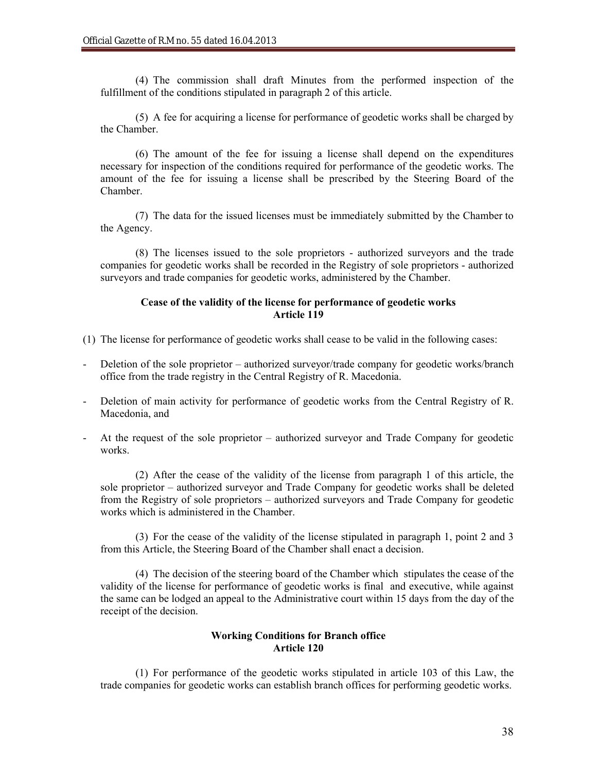(4) The commission shall draft Minutes from the performed inspection of the fulfillment of the conditions stipulated in paragraph 2 of this article.

(5) A fee for acquiring a license for performance of geodetic works shall be charged by the Chamber.

(6) The amount of the fee for issuing a license shall depend on the expenditures necessary for inspection of the conditions required for performance of the geodetic works. The amount of the fee for issuing a license shall be prescribed by the Steering Board of the Chamber.

(7) The data for the issued licenses must be immediately submitted by the Chamber to the Agency.

(8) The licenses issued to the sole proprietors - authorized surveyors and the trade companies for geodetic works shall be recorded in the Registry of sole proprietors - authorized surveyors and trade companies for geodetic works, administered by the Chamber.

## **Cease of the validity of the license for performance of geodetic works Article 119**

- (1) The license for performance of geodetic works shall cease to be valid in the following cases:
- Deletion of the sole proprietor authorized surveyor/trade company for geodetic works/branch office from the trade registry in the Central Registry of R. Macedonia.
- Deletion of main activity for performance of geodetic works from the Central Registry of R. Macedonia, and
- At the request of the sole proprietor authorized surveyor and Trade Company for geodetic works.

(2) After the cease of the validity of the license from paragraph 1 of this article, the sole proprietor – authorized surveyor and Trade Company for geodetic works shall be deleted from the Registry of sole proprietors – authorized surveyors and Trade Company for geodetic works which is administered in the Chamber.

(3) For the cease of the validity of the license stipulated in paragraph 1, point 2 and 3 from this Article, the Steering Board of the Chamber shall enact a decision.

(4) The decision of the steering board of the Chamber which stipulates the cease of the validity of the license for performance of geodetic works is final and executive, while against the same can be lodged an appeal to the Administrative court within 15 days from the day of the receipt of the decision.

## **Working Conditions for Branch office Article 120**

(1) For performance of the geodetic works stipulated in article 103 of this Law, the trade companies for geodetic works can establish branch offices for performing geodetic works.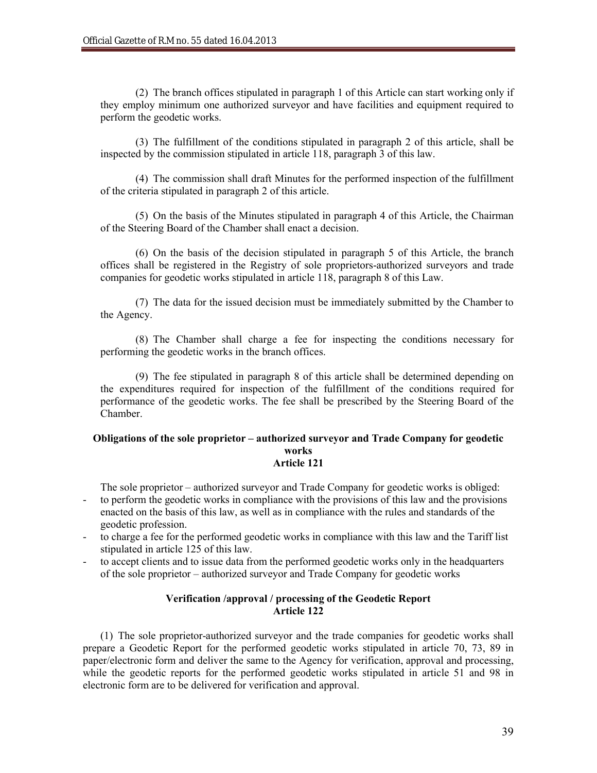(2) The branch offices stipulated in paragraph 1 of this Article can start working only if they employ minimum one authorized surveyor and have facilities and equipment required to perform the geodetic works.

(3) The fulfillment of the conditions stipulated in paragraph 2 of this article, shall be inspected by the commission stipulated in article 118, paragraph 3 of this law.

(4) The commission shall draft Minutes for the performed inspection of the fulfillment of the criteria stipulated in paragraph 2 of this article.

(5) On the basis of the Minutes stipulated in paragraph 4 of this Article, the Chairman of the Steering Board of the Chamber shall enact a decision.

(6) On the basis of the decision stipulated in paragraph 5 of this Article, the branch offices shall be registered in the Registry of sole proprietors-authorized surveyors and trade companies for geodetic works stipulated in article 118, paragraph 8 of this Law.

(7) The data for the issued decision must be immediately submitted by the Chamber to the Agency.

(8) The Chamber shall charge a fee for inspecting the conditions necessary for performing the geodetic works in the branch offices.

(9) The fee stipulated in paragraph 8 of this article shall be determined depending on the expenditures required for inspection of the fulfillment of the conditions required for performance of the geodetic works. The fee shall be prescribed by the Steering Board of the Chamber.

#### **Obligations of the sole proprietor – authorized surveyor and Trade Company for geodetic works Article 121**

The sole proprietor – authorized surveyor and Trade Company for geodetic works is obliged:

- to perform the geodetic works in compliance with the provisions of this law and the provisions enacted on the basis of this law, as well as in compliance with the rules and standards of the geodetic profession.
- to charge a fee for the performed geodetic works in compliance with this law and the Tariff list stipulated in article 125 of this law.
- to accept clients and to issue data from the performed geodetic works only in the headquarters of the sole proprietor – authorized surveyor and Trade Company for geodetic works

## **Verification /approval / processing of the Geodetic Report Article 122**

(1) The sole proprietor-authorized surveyor and the trade companies for geodetic works shall prepare a Geodetic Report for the performed geodetic works stipulated in article 70, 73, 89 in paper/electronic form and deliver the same to the Agency for verification, approval and processing, while the geodetic reports for the performed geodetic works stipulated in article 51 and 98 in electronic form are to be delivered for verification and approval.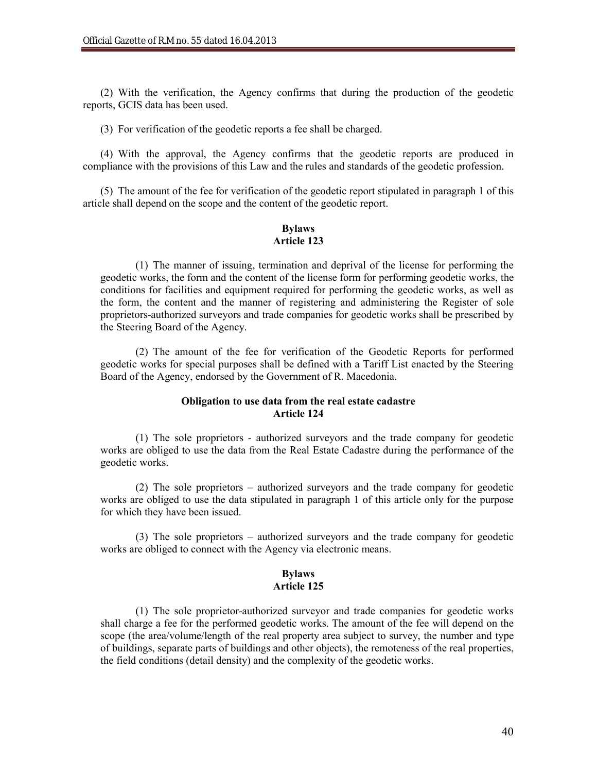(2) With the verification, the Agency confirms that during the production of the geodetic reports, GCIS data has been used.

(3) For verification of the geodetic reports a fee shall be charged.

(4) With the approval, the Agency confirms that the geodetic reports are produced in compliance with the provisions of this Law and the rules and standards of the geodetic profession.

(5) The amount of the fee for verification of the geodetic report stipulated in paragraph 1 of this article shall depend on the scope and the content of the geodetic report.

#### **Bylaws Article 123**

(1) The manner of issuing, termination and deprival of the license for performing the geodetic works, the form and the content of the license form for performing geodetic works, the conditions for facilities and equipment required for performing the geodetic works, as well as the form, the content and the manner of registering and administering the Register of sole proprietors-authorized surveyors and trade companies for geodetic works shall be prescribed by the Steering Board of the Agency.

(2) The amount of the fee for verification of the Geodetic Reports for performed geodetic works for special purposes shall be defined with a Tariff List enacted by the Steering Board of the Agency, endorsed by the Government of R. Macedonia.

## **Obligation to use data from the real estate cadastre Article 124**

(1) The sole proprietors - authorized surveyors and the trade company for geodetic works are obliged to use the data from the Real Estate Cadastre during the performance of the geodetic works.

(2) The sole proprietors – authorized surveyors and the trade company for geodetic works are obliged to use the data stipulated in paragraph 1 of this article only for the purpose for which they have been issued.

(3) The sole proprietors – authorized surveyors and the trade company for geodetic works are obliged to connect with the Agency via electronic means.

### **Bylaws Article 125**

(1) The sole proprietor-authorized surveyor and trade companies for geodetic works shall charge a fee for the performed geodetic works. The amount of the fee will depend on the scope (the area/volume/length of the real property area subject to survey, the number and type of buildings, separate parts of buildings and other objects), the remoteness of the real properties, the field conditions (detail density) and the complexity of the geodetic works.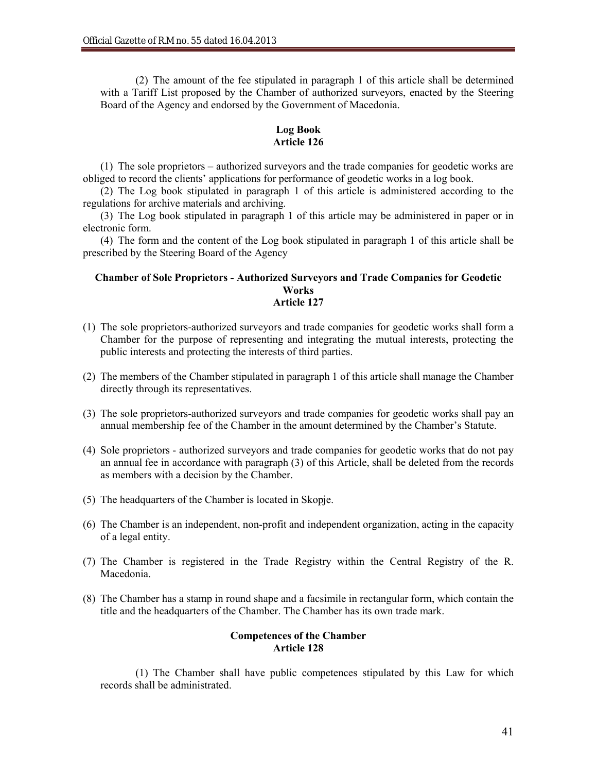(2) The amount of the fee stipulated in paragraph 1 of this article shall be determined with a Tariff List proposed by the Chamber of authorized surveyors, enacted by the Steering Board of the Agency and endorsed by the Government of Macedonia.

## **Log Book Article 126**

(1) The sole proprietors – authorized surveyors and the trade companies for geodetic works are obliged to record the clients' applications for performance of geodetic works in a log book.

(2) The Log book stipulated in paragraph 1 of this article is administered according to the regulations for archive materials and archiving.

(3) The Log book stipulated in paragraph 1 of this article may be administered in paper or in electronic form.

(4) The form and the content of the Log book stipulated in paragraph 1 of this article shall be prescribed by the Steering Board of the Agency

### **Chamber of Sole Proprietors - Authorized Surveyors and Trade Companies for Geodetic Works Article 127**

- (1) The sole proprietors-authorized surveyors and trade companies for geodetic works shall form a Chamber for the purpose of representing and integrating the mutual interests, protecting the public interests and protecting the interests of third parties.
- (2) The members of the Chamber stipulated in paragraph 1 of this article shall manage the Chamber directly through its representatives.
- (3) The sole proprietors-authorized surveyors and trade companies for geodetic works shall pay an annual membership fee of the Chamber in the amount determined by the Chamber's Statute.
- (4) Sole proprietors authorized surveyors and trade companies for geodetic works that do not pay an annual fee in accordance with paragraph (3) of this Article, shall be deleted from the records as members with a decision by the Chamber.
- (5) The headquarters of the Chamber is located in Skopje.
- (6) The Chamber is an independent, non-profit and independent organization, acting in the capacity of a legal entity.
- (7) The Chamber is registered in the Trade Registry within the Central Registry of the R. Macedonia.
- (8) The Chamber has a stamp in round shape and a facsimile in rectangular form, which contain the title and the headquarters of the Chamber. The Chamber has its own trade mark.

### **Competences of the Chamber Article 128**

(1) The Chamber shall have public competences stipulated by this Law for which records shall be administrated.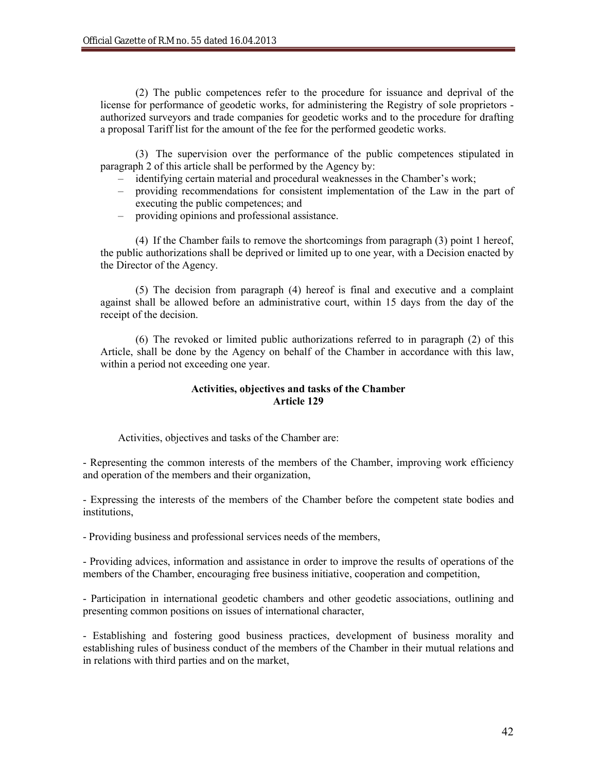(2) The public competences refer to the procedure for issuance and deprival of the license for performance of geodetic works, for administering the Registry of sole proprietors authorized surveyors and trade companies for geodetic works and to the procedure for drafting a proposal Tariff list for the amount of the fee for the performed geodetic works.

(3) The supervision over the performance of the public competences stipulated in paragraph 2 of this article shall be performed by the Agency by:

- identifying certain material and procedural weaknesses in the Chamber's work;
- providing recommendations for consistent implementation of the Law in the part of executing the public competences; and
- providing opinions and professional assistance.

(4) If the Chamber fails to remove the shortcomings from paragraph (3) point 1 hereof, the public authorizations shall be deprived or limited up to one year, with a Decision enacted by the Director of the Agency.

(5) The decision from paragraph (4) hereof is final and executive and a complaint against shall be allowed before an administrative court, within 15 days from the day of the receipt of the decision.

(6) The revoked or limited public authorizations referred to in paragraph (2) of this Article, shall be done by the Agency on behalf of the Chamber in accordance with this law, within a period not exceeding one year.

## **Activities, objectives and tasks of the Chamber Article 129**

Activities, objectives and tasks of the Chamber are:

- Representing the common interests of the members of the Chamber, improving work efficiency and operation of the members and their organization,

- Expressing the interests of the members of the Chamber before the competent state bodies and institutions,

- Providing business and professional services needs of the members,

- Providing advices, information and assistance in order to improve the results of operations of the members of the Chamber, encouraging free business initiative, cooperation and competition,

- Participation in international geodetic chambers and other geodetic associations, outlining and presenting common positions on issues of international character,

- Establishing and fostering good business practices, development of business morality and establishing rules of business conduct of the members of the Chamber in their mutual relations and in relations with third parties and on the market,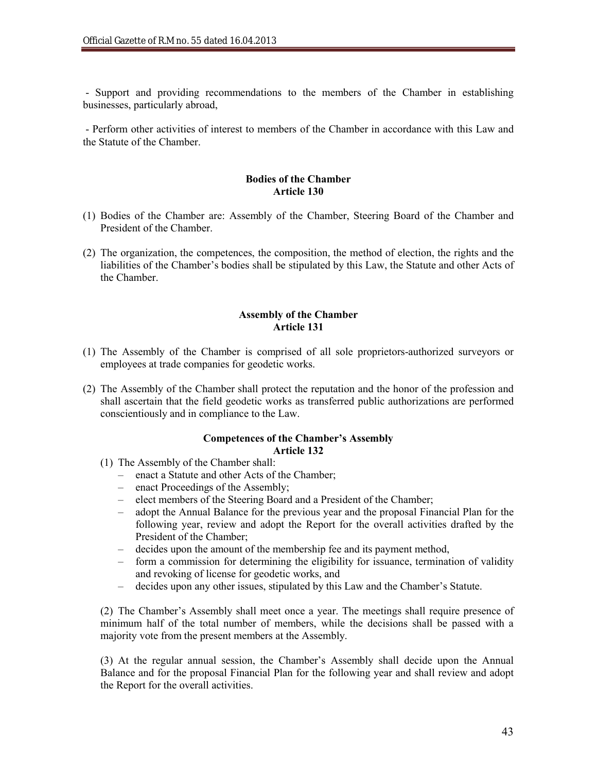- Support and providing recommendations to the members of the Chamber in establishing businesses, particularly abroad,

- Perform other activities of interest to members of the Chamber in accordance with this Law and the Statute of the Chamber.

### **Bodies of the Chamber Article 130**

- (1) Bodies of the Chamber are: Assembly of the Chamber, Steering Board of the Chamber and President of the Chamber.
- (2) The organization, the competences, the composition, the method of election, the rights and the liabilities of the Chamber's bodies shall be stipulated by this Law, the Statute and other Acts of the Chamber.

## **Assembly of the Chamber Article 131**

- (1) The Assembly of the Chamber is comprised of all sole proprietors-authorized surveyors or employees at trade companies for geodetic works.
- (2) The Assembly of the Chamber shall protect the reputation and the honor of the profession and shall ascertain that the field geodetic works as transferred public authorizations are performed conscientiously and in compliance to the Law.

#### **Competences of the Chamber's Assembly Article 132**

- (1) The Assembly of the Chamber shall:
	- enact a Statute and other Acts of the Chamber;
	- enact Proceedings of the Assembly;
	- elect members of the Steering Board and a President of the Chamber;
	- adopt the Annual Balance for the previous year and the proposal Financial Plan for the following year, review and adopt the Report for the overall activities drafted by the President of the Chamber;
	- decides upon the amount of the membership fee and its payment method,
	- form a commission for determining the eligibility for issuance, termination of validity and revoking of license for geodetic works, and
	- decides upon any other issues, stipulated by this Law and the Chamber's Statute.

(2) The Chamber's Assembly shall meet once a year. The meetings shall require presence of minimum half of the total number of members, while the decisions shall be passed with a majority vote from the present members at the Assembly.

(3) At the regular annual session, the Chamber's Assembly shall decide upon the Annual Balance and for the proposal Financial Plan for the following year and shall review and adopt the Report for the overall activities.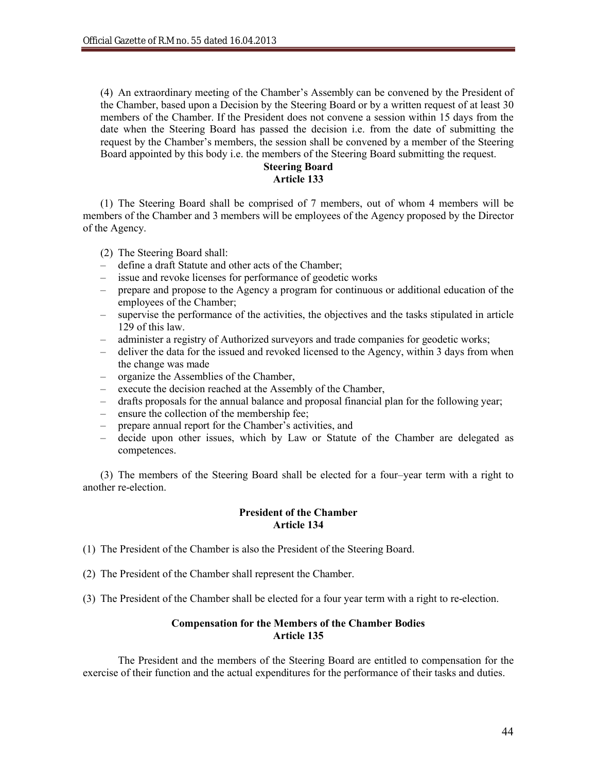(4) An extraordinary meeting of the Chamber's Assembly can be convened by the President of the Chamber, based upon a Decision by the Steering Board or by a written request of at least 30 members of the Chamber. If the President does not convene a session within 15 days from the date when the Steering Board has passed the decision i.e. from the date of submitting the request by the Chamber's members, the session shall be convened by a member of the Steering Board appointed by this body i.e. the members of the Steering Board submitting the request.

## **Steering Board Article 133**

(1) The Steering Board shall be comprised of 7 members, out of whom 4 members will be members of the Chamber and 3 members will be employees of the Agency proposed by the Director of the Agency.

- (2) The Steering Board shall:
- define a draft Statute and other acts of the Chamber;
- issue and revoke licenses for performance of geodetic works
- prepare and propose to the Agency a program for continuous or additional education of the employees of the Chamber;
- supervise the performance of the activities, the objectives and the tasks stipulated in article 129 of this law.
- administer a registry of Authorized surveyors and trade companies for geodetic works;
- deliver the data for the issued and revoked licensed to the Agency, within 3 days from when the change was made
- organize the Assemblies of the Chamber,
- execute the decision reached at the Assembly of the Chamber,
- drafts proposals for the annual balance and proposal financial plan for the following year;
- ensure the collection of the membership fee;
- prepare annual report for the Chamber's activities, and
- decide upon other issues, which by Law or Statute of the Chamber are delegated as competences.

(3) The members of the Steering Board shall be elected for a four–year term with a right to another re-election.

## **President of the Chamber Article 134**

- (1) The President of the Chamber is also the President of the Steering Board.
- (2) The President of the Chamber shall represent the Chamber.
- (3) The President of the Chamber shall be elected for a four year term with a right to re-election.

## **Compensation for the Members of the Chamber Bodies Article 135**

The President and the members of the Steering Board are entitled to compensation for the exercise of their function and the actual expenditures for the performance of their tasks and duties.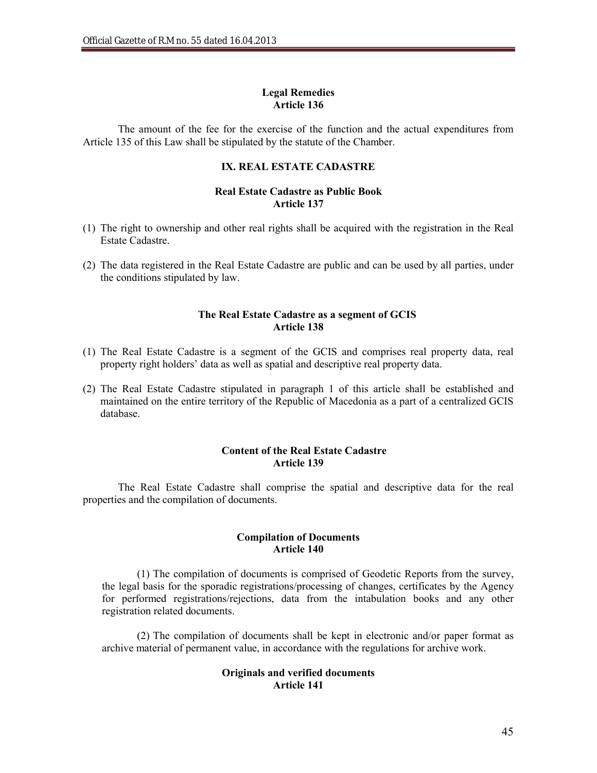## **Legal Remedies Article 136**

The amount of the fee for the exercise of the function and the actual expenditures from Article 135 of this Law shall be stipulated by the statute of the Chamber.

## **IX. REAL ESTATE CADASTRE**

## **Real Estate Cadastre as Public Book Article 137**

- (1) The right to ownership and other real rights shall be acquired with the registration in the Real Estate Cadastre.
- (2) The data registered in the Real Estate Cadastre are public and can be used by all parties, under the conditions stipulated by law.

## **The Real Estate Cadastre as a segment of GCIS Article 138**

- (1) The Real Estate Cadastre is a segment of the GCIS and comprises real property data, real property right holders' data as well as spatial and descriptive real property data.
- (2) The Real Estate Cadastre stipulated in paragraph 1 of this article shall be established and maintained on the entire territory of the Republic of Macedonia as a part of a centralized GCIS database.

### **Content of the Real Estate Cadastre Article 139**

The Real Estate Cadastre shall comprise the spatial and descriptive data for the real properties and the compilation of documents.

### **Compilation of Documents Article 140**

(1) The compilation of documents is comprised of Geodetic Reports from the survey, the legal basis for the sporadic registrations/processing of changes, certificates by the Agency for performed registrations/rejections, data from the intabulation books and any other registration related documents.

(2) The compilation of documents shall be kept in electronic and/or paper format as archive material of permanent value, in accordance with the regulations for archive work.

## **Originals and verified documents Article 141**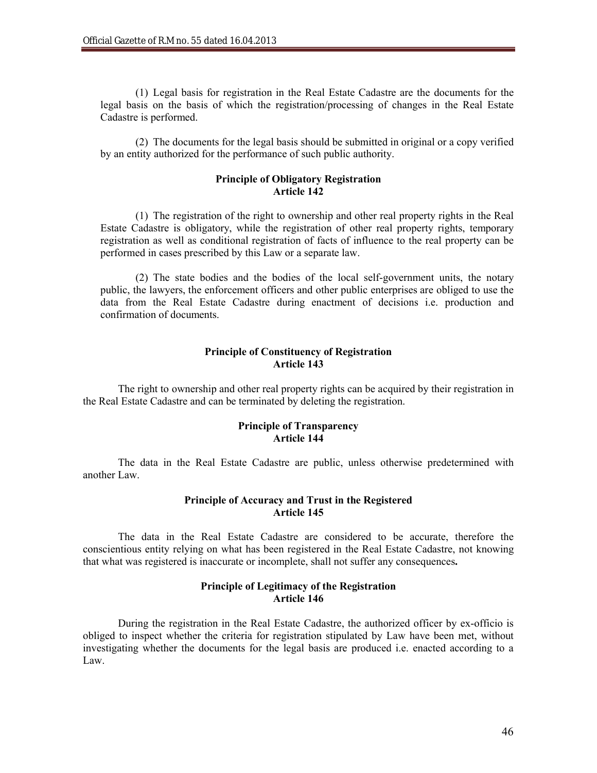(1) Legal basis for registration in the Real Estate Cadastre are the documents for the legal basis on the basis of which the registration/processing of changes in the Real Estate Cadastre is performed.

(2) The documents for the legal basis should be submitted in original or a copy verified by an entity authorized for the performance of such public authority.

### **Principle of Obligatory Registration Article 142**

(1) The registration of the right to ownership and other real property rights in the Real Estate Cadastre is obligatory, while the registration of other real property rights, temporary registration as well as conditional registration of facts of influence to the real property can be performed in cases prescribed by this Law or a separate law.

(2) The state bodies and the bodies of the local self-government units, the notary public, the lawyers, the enforcement officers and other public enterprises are obliged to use the data from the Real Estate Cadastre during enactment of decisions i.e. production and confirmation of documents.

### **Principle of Constituency of Registration Article 143**

The right to ownership and other real property rights can be acquired by their registration in the Real Estate Cadastre and can be terminated by deleting the registration.

### **Principle of Transparency Article 144**

The data in the Real Estate Cadastre are public, unless otherwise predetermined with another Law.

## **Principle of Accuracy and Trust in the Registered Article 145**

The data in the Real Estate Cadastre are considered to be accurate, therefore the conscientious entity relying on what has been registered in the Real Estate Cadastre, not knowing that what was registered is inaccurate or incomplete, shall not suffer any consequences**.**

## **Principle of Legitimacy of the Registration Article 146**

During the registration in the Real Estate Cadastre, the authorized officer by ex-officio is obliged to inspect whether the criteria for registration stipulated by Law have been met, without investigating whether the documents for the legal basis are produced i.e. enacted according to a Law.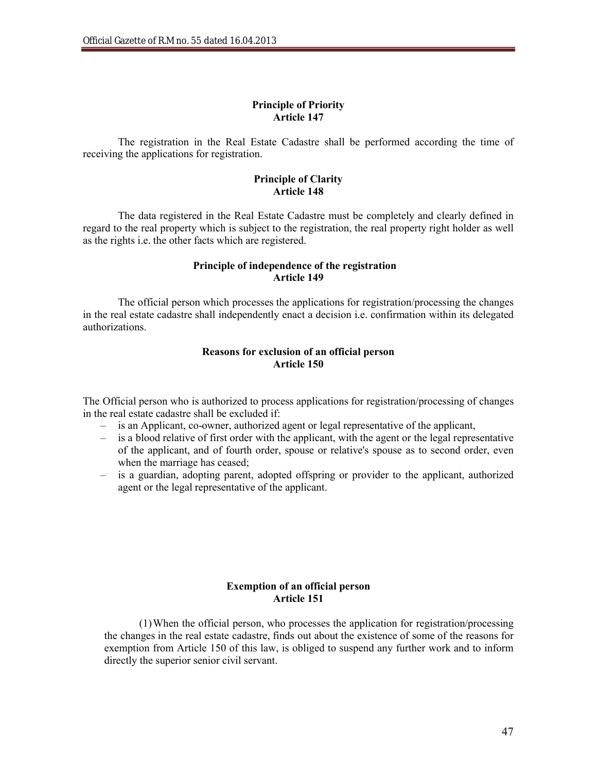## **Principle of Priority Article 147**

The registration in the Real Estate Cadastre shall be performed according the time of receiving the applications for registration.

### **Principle of Clarity Article 148**

The data registered in the Real Estate Cadastre must be completely and clearly defined in regard to the real property which is subject to the registration, the real property right holder as well as the rights i.e. the other facts which are registered.

## **Principle of independence of the registration Article 149**

The official person which processes the applications for registration/processing the changes in the real estate cadastre shall independently enact a decision i.e. confirmation within its delegated authorizations.

## **Reasons for exclusion of an official person Article 150**

The Official person who is authorized to process applications for registration/processing of changes in the real estate cadastre shall be excluded if:

- is an Applicant, co-owner, authorized agent or legal representative of the applicant,
- is a blood relative of first order with the applicant, with the agent or the legal representative of the applicant, and of fourth order, spouse or relative's spouse as to second order, even when the marriage has ceased;
- is a guardian, adopting parent, adopted offspring or provider to the applicant, authorized agent or the legal representative of the applicant.

## **Exemption of an official person Article 151**

(1)When the official person, who processes the application for registration/processing the changes in the real estate cadastre, finds out about the existence of some of the reasons for exemption from Article 150 of this law, is obliged to suspend any further work and to inform directly the superior senior civil servant.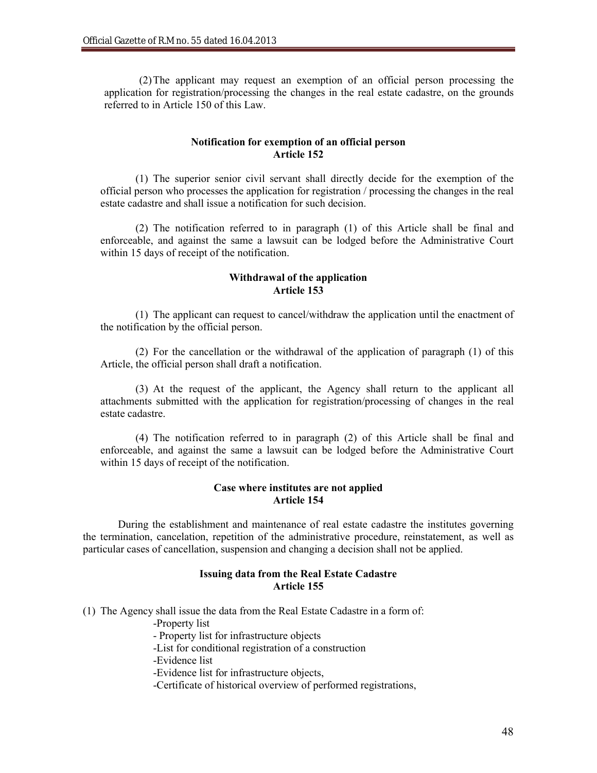(2)The applicant may request an exemption of an official person processing the application for registration/processing the changes in the real estate cadastre, on the grounds referred to in Article 150 of this Law.

## **Notification for exemption of an official person Article 152**

(1) The superior senior civil servant shall directly decide for the exemption of the official person who processes the application for registration / processing the changes in the real estate cadastre and shall issue a notification for such decision.

(2) The notification referred to in paragraph (1) of this Article shall be final and enforceable, and against the same a lawsuit can be lodged before the Administrative Court within 15 days of receipt of the notification.

## **Withdrawal of the application Article 153**

(1) The applicant can request to cancel/withdraw the application until the enactment of the notification by the official person.

(2) For the cancellation or the withdrawal of the application of paragraph (1) of this Article, the official person shall draft a notification.

(3) At the request of the applicant, the Agency shall return to the applicant all attachments submitted with the application for registration/processing of changes in the real estate cadastre.

(4) The notification referred to in paragraph (2) of this Article shall be final and enforceable, and against the same a lawsuit can be lodged before the Administrative Court within 15 days of receipt of the notification.

### **Case where institutes are not applied Article 154**

During the establishment and maintenance of real estate cadastre the institutes governing the termination, cancelation, repetition of the administrative procedure, reinstatement, as well as particular cases of cancellation, suspension and changing a decision shall not be applied.

## **Issuing data from the Real Estate Cadastre Article 155**

(1) The Agency shall issue the data from the Real Estate Cadastre in a form of:

-Property list

- Property list for infrastructure objects

-List for conditional registration of a construction

-Evidence list

-Evidence list for infrastructure objects,

-Certificate of historical overview of performed registrations,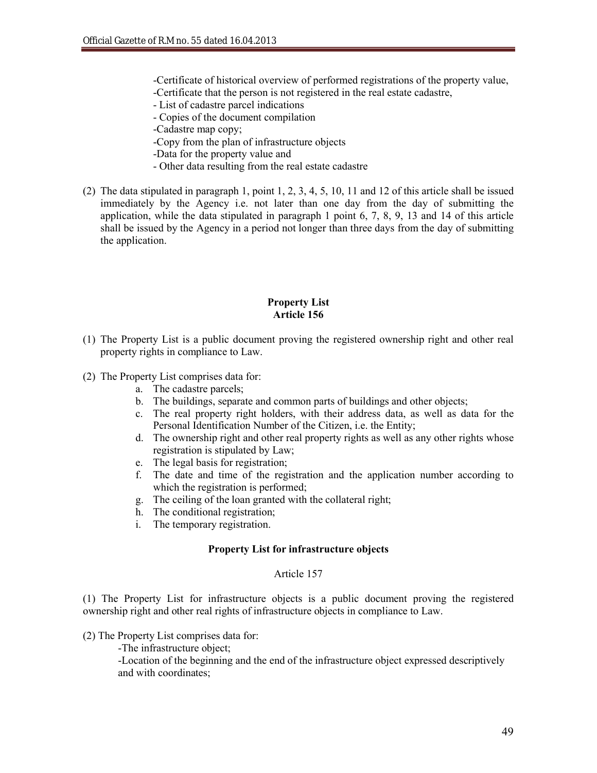-Certificate of historical overview of performed registrations of the property value, -Certificate that the person is not registered in the real estate cadastre,

- List of cadastre parcel indications
- Copies of the document compilation
- -Cadastre map copy;
- -Copy from the plan of infrastructure objects
- -Data for the property value and
- Other data resulting from the real estate cadastre
- (2) The data stipulated in paragraph 1, point 1, 2, 3, 4, 5, 10, 11 and 12 of this article shall be issued immediately by the Agency i.e. not later than one day from the day of submitting the application, while the data stipulated in paragraph 1 point 6, 7, 8, 9, 13 and 14 of this article shall be issued by the Agency in a period not longer than three days from the day of submitting the application.

### **Property List Article 156**

- (1) The Property List is a public document proving the registered ownership right and other real property rights in compliance to Law.
- (2) The Property List comprises data for:
	- a. The cadastre parcels;
	- b. The buildings, separate and common parts of buildings and other objects;
	- c. The real property right holders, with their address data, as well as data for the Personal Identification Number of the Citizen, i.e. the Entity;
	- d. The ownership right and other real property rights as well as any other rights whose registration is stipulated by Law;
	- e. The legal basis for registration;
	- f. The date and time of the registration and the application number according to which the registration is performed;
	- g. The ceiling of the loan granted with the collateral right;
	- h. The conditional registration;
	- i. The temporary registration.

#### **Property List for infrastructure objects**

## Article 157

(1) The Property List for infrastructure objects is a public document proving the registered ownership right and other real rights of infrastructure objects in compliance to Law.

### (2) The Property List comprises data for:

-The infrastructure object;

-Location of the beginning and the end of the infrastructure object expressed descriptively and with coordinates;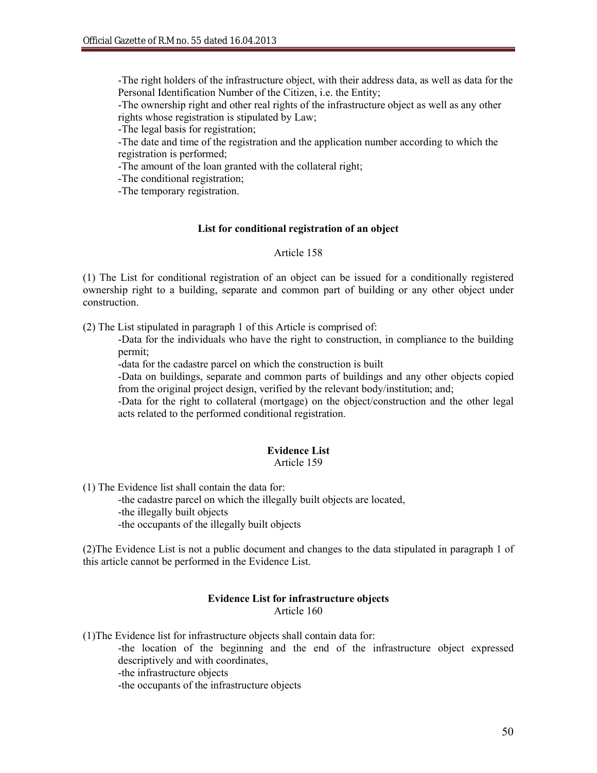-The right holders of the infrastructure object, with their address data, as well as data for the Personal Identification Number of the Citizen, i.e. the Entity;

-The ownership right and other real rights of the infrastructure object as well as any other rights whose registration is stipulated by Law;

-The legal basis for registration;

-The date and time of the registration and the application number according to which the registration is performed;

-The amount of the loan granted with the collateral right;

-The conditional registration;

-The temporary registration.

### **List for conditional registration of an object**

## Article 158

(1) The List for conditional registration of an object can be issued for a conditionally registered ownership right to a building, separate and common part of building or any other object under construction.

(2) The List stipulated in paragraph 1 of this Article is comprised of:

-Data for the individuals who have the right to construction, in compliance to the building permit;

-data for the cadastre parcel on which the construction is built

-Data on buildings, separate and common parts of buildings and any other objects copied from the original project design, verified by the relevant body/institution; and;

-Data for the right to collateral (mortgage) on the object/construction and the other legal acts related to the performed conditional registration.

## **Evidence List**

## Article 159

(1) The Evidence list shall contain the data for:

-the cadastre parcel on which the illegally built objects are located, -the illegally built objects -the occupants of the illegally built objects

(2)The Evidence List is not a public document and changes to the data stipulated in paragraph 1 of this article cannot be performed in the Evidence List.

### **Evidence List for infrastructure objects** Article 160

(1)The Evidence list for infrastructure objects shall contain data for:

-the location of the beginning and the end of the infrastructure object expressed descriptively and with coordinates,

-the infrastructure objects

-the occupants of the infrastructure objects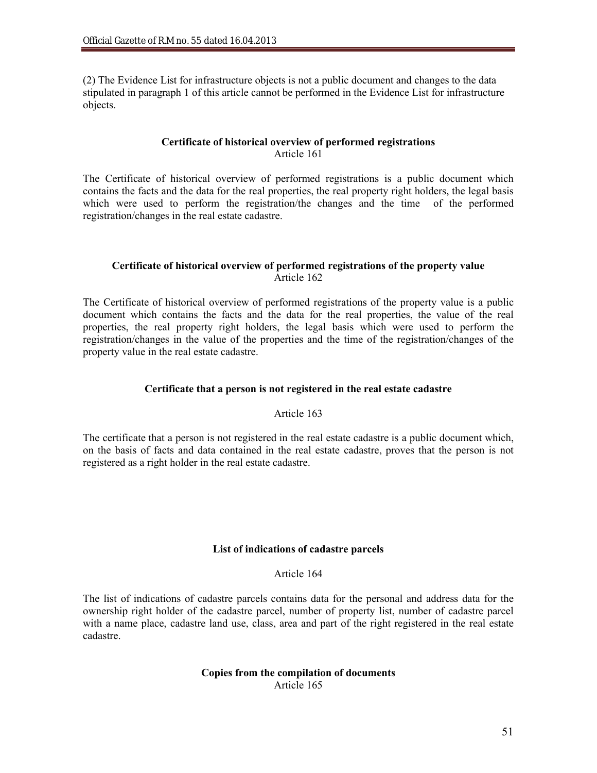(2) The Evidence List for infrastructure objects is not a public document and changes to the data stipulated in paragraph 1 of this article cannot be performed in the Evidence List for infrastructure objects.

## **Certificate of historical overview of performed registrations** Article 161

The Certificate of historical overview of performed registrations is a public document which contains the facts and the data for the real properties, the real property right holders, the legal basis which were used to perform the registration/the changes and the time of the performed registration/changes in the real estate cadastre.

## **Certificate of historical overview of performed registrations of the property value** Article 162

The Certificate of historical overview of performed registrations of the property value is a public document which contains the facts and the data for the real properties, the value of the real properties, the real property right holders, the legal basis which were used to perform the registration/changes in the value of the properties and the time of the registration/changes of the property value in the real estate cadastre.

## **Certificate that a person is not registered in the real estate cadastre**

## Article 163

The certificate that a person is not registered in the real estate cadastre is a public document which, on the basis of facts and data contained in the real estate cadastre, proves that the person is not registered as a right holder in the real estate cadastre.

### **List of indications of cadastre parcels**

## Article 164

The list of indications of cadastre parcels contains data for the personal and address data for the ownership right holder of the cadastre parcel, number of property list, number of cadastre parcel with a name place, cadastre land use, class, area and part of the right registered in the real estate cadastre.

### **Copies from the compilation of documents** Article 165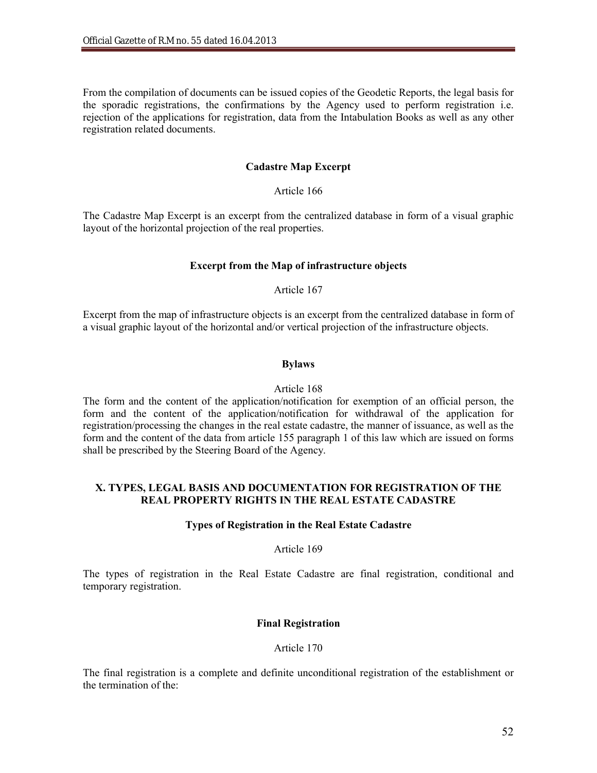From the compilation of documents can be issued copies of the Geodetic Reports, the legal basis for the sporadic registrations, the confirmations by the Agency used to perform registration i.e. rejection of the applications for registration, data from the Intabulation Books as well as any other registration related documents.

## **Cadastre Map Excerpt**

### Article 166

The Cadastre Map Excerpt is an excerpt from the centralized database in form of a visual graphic layout of the horizontal projection of the real properties.

#### **Excerpt from the Map of infrastructure objects**

## Article 167

Excerpt from the map of infrastructure objects is an excerpt from the centralized database in form of a visual graphic layout of the horizontal and/or vertical projection of the infrastructure objects.

#### **Bylaws**

#### Article 168

The form and the content of the application/notification for exemption of an official person, the form and the content of the application/notification for withdrawal of the application for registration/processing the changes in the real estate cadastre, the manner of issuance, as well as the form and the content of the data from article 155 paragraph 1 of this law which are issued on forms shall be prescribed by the Steering Board of the Agency.

## **X. TYPES, LEGAL BASIS AND DOCUMENTATION FOR REGISTRATION OF THE REAL PROPERTY RIGHTS IN THE REAL ESTATE CADASTRE**

#### **Types of Registration in the Real Estate Cadastre**

#### Article 169

The types of registration in the Real Estate Cadastre are final registration, conditional and temporary registration.

### **Final Registration**

### Article 170

The final registration is a complete and definite unconditional registration of the establishment or the termination of the: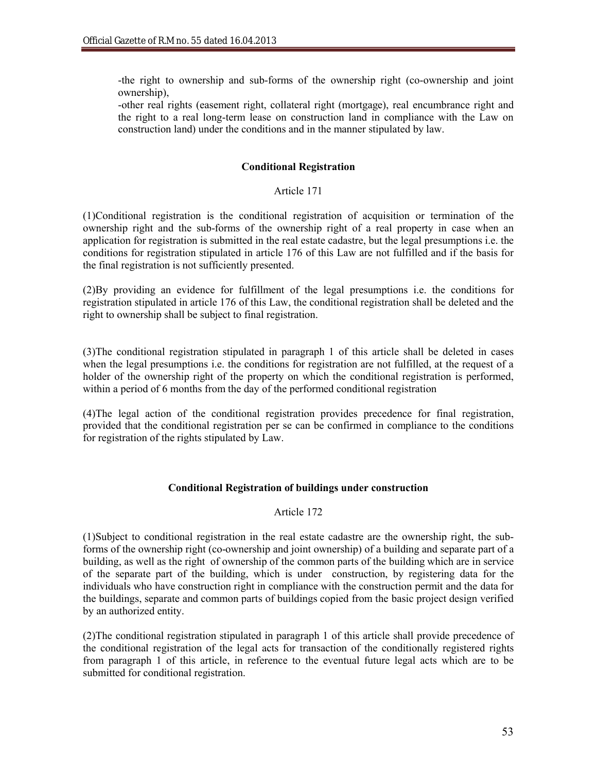-the right to ownership and sub-forms of the ownership right (co-ownership and joint ownership),

-other real rights (easement right, collateral right (mortgage), real encumbrance right and the right to a real long-term lease on construction land in compliance with the Law on construction land) under the conditions and in the manner stipulated by law.

## **Conditional Registration**

## Article 171

(1)Conditional registration is the conditional registration of acquisition or termination of the ownership right and the sub-forms of the ownership right of a real property in case when an application for registration is submitted in the real estate cadastre, but the legal presumptions i.e. the conditions for registration stipulated in article 176 of this Law are not fulfilled and if the basis for the final registration is not sufficiently presented.

(2)By providing an evidence for fulfillment of the legal presumptions i.e. the conditions for registration stipulated in article 176 of this Law, the conditional registration shall be deleted and the right to ownership shall be subject to final registration.

(3)The conditional registration stipulated in paragraph 1 of this article shall be deleted in cases when the legal presumptions i.e. the conditions for registration are not fulfilled, at the request of a holder of the ownership right of the property on which the conditional registration is performed, within a period of 6 months from the day of the performed conditional registration

(4)The legal action of the conditional registration provides precedence for final registration, provided that the conditional registration per se can be confirmed in compliance to the conditions for registration of the rights stipulated by Law.

## **Conditional Registration of buildings under construction**

## Article 172

(1)Subject to conditional registration in the real estate cadastre are the ownership right, the subforms of the ownership right (co-ownership and joint ownership) of a building and separate part of a building, as well as the right of ownership of the common parts of the building which are in service of the separate part of the building, which is under construction, by registering data for the individuals who have construction right in compliance with the construction permit and the data for the buildings, separate and common parts of buildings copied from the basic project design verified by an authorized entity.

(2)The conditional registration stipulated in paragraph 1 of this article shall provide precedence of the conditional registration of the legal acts for transaction of the conditionally registered rights from paragraph 1 of this article, in reference to the eventual future legal acts which are to be submitted for conditional registration.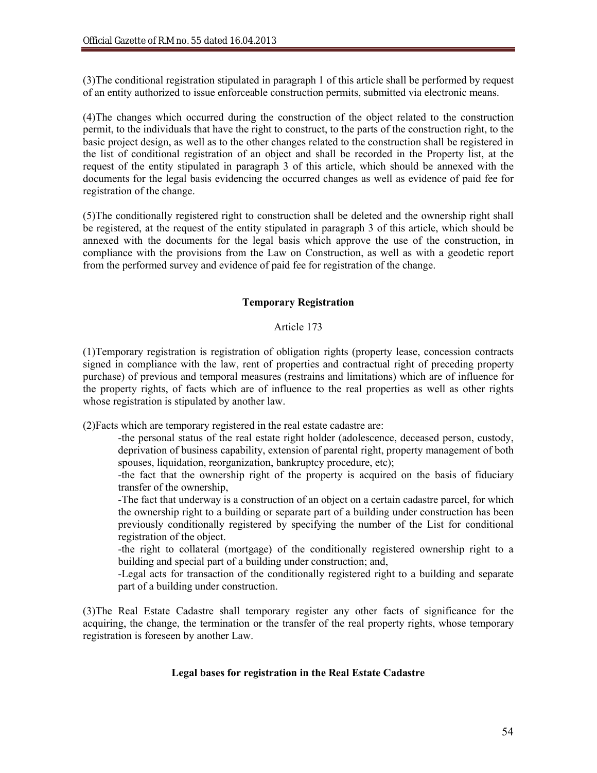(3)The conditional registration stipulated in paragraph 1 of this article shall be performed by request of an entity authorized to issue enforceable construction permits, submitted via electronic means.

(4)The changes which occurred during the construction of the object related to the construction permit, to the individuals that have the right to construct, to the parts of the construction right, to the basic project design, as well as to the other changes related to the construction shall be registered in the list of conditional registration of an object and shall be recorded in the Property list, at the request of the entity stipulated in paragraph 3 of this article, which should be annexed with the documents for the legal basis evidencing the occurred changes as well as evidence of paid fee for registration of the change.

(5)The conditionally registered right to construction shall be deleted and the ownership right shall be registered, at the request of the entity stipulated in paragraph 3 of this article, which should be annexed with the documents for the legal basis which approve the use of the construction, in compliance with the provisions from the Law on Construction, as well as with a geodetic report from the performed survey and evidence of paid fee for registration of the change.

## **Temporary Registration**

## Article 173

(1)Temporary registration is registration of obligation rights (property lease, concession contracts signed in compliance with the law, rent of properties and contractual right of preceding property purchase) of previous and temporal measures (restrains and limitations) which are of influence for the property rights, of facts which are of influence to the real properties as well as other rights whose registration is stipulated by another law.

(2)Facts which are temporary registered in the real estate cadastre are:

- -the personal status of the real estate right holder (adolescence, deceased person, custody, deprivation of business capability, extension of parental right, property management of both spouses, liquidation, reorganization, bankruptcy procedure, etc);
- -the fact that the ownership right of the property is acquired on the basis of fiduciary transfer of the ownership,
- -The fact that underway is a construction of an object on a certain cadastre parcel, for which the ownership right to a building or separate part of a building under construction has been previously conditionally registered by specifying the number of the List for conditional registration of the object.

-the right to collateral (mortgage) of the conditionally registered ownership right to a building and special part of a building under construction; and,

-Legal acts for transaction of the conditionally registered right to a building and separate part of a building under construction.

(3)The Real Estate Cadastre shall temporary register any other facts of significance for the acquiring, the change, the termination or the transfer of the real property rights, whose temporary registration is foreseen by another Law.

## **Legal bases for registration in the Real Estate Cadastre**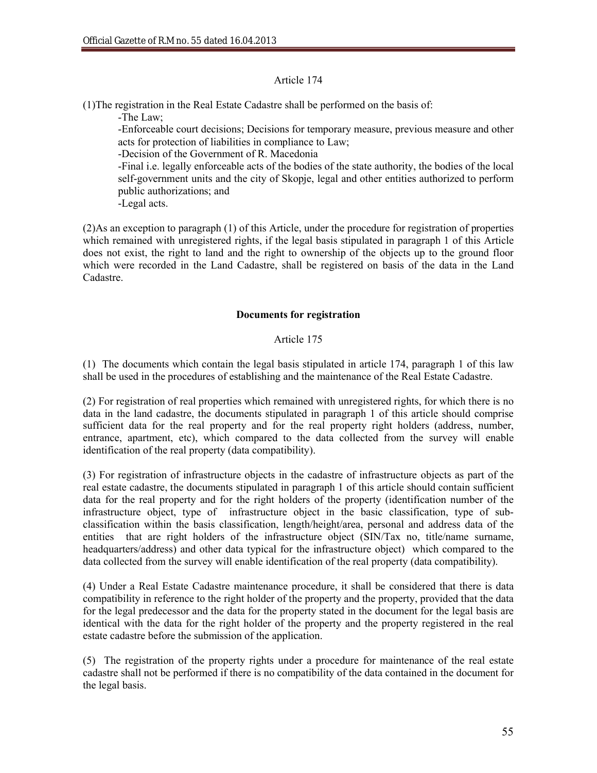## Article 174

(1)The registration in the Real Estate Cadastre shall be performed on the basis of:

-The Law;

-Enforceable court decisions; Decisions for temporary measure, previous measure and other acts for protection of liabilities in compliance to Law;

-Decision of the Government of R. Macedonia

-Final i.e. legally enforceable acts of the bodies of the state authority, the bodies of the local self-government units and the city of Skopje, legal and other entities authorized to perform public authorizations; and

-Legal acts.

(2)As an exception to paragraph (1) of this Article, under the procedure for registration of properties which remained with unregistered rights, if the legal basis stipulated in paragraph 1 of this Article does not exist, the right to land and the right to ownership of the objects up to the ground floor which were recorded in the Land Cadastre, shall be registered on basis of the data in the Land Cadastre.

## **Documents for registration**

## Article 175

(1) The documents which contain the legal basis stipulated in article 174, paragraph 1 of this law shall be used in the procedures of establishing and the maintenance of the Real Estate Cadastre.

(2) For registration of real properties which remained with unregistered rights, for which there is no data in the land cadastre, the documents stipulated in paragraph 1 of this article should comprise sufficient data for the real property and for the real property right holders (address, number, entrance, apartment, etc), which compared to the data collected from the survey will enable identification of the real property (data compatibility).

(3) For registration of infrastructure objects in the cadastre of infrastructure objects as part of the real estate cadastre, the documents stipulated in paragraph 1 of this article should contain sufficient data for the real property and for the right holders of the property (identification number of the infrastructure object, type of infrastructure object in the basic classification, type of subclassification within the basis classification, length/height/area, personal and address data of the entities that are right holders of the infrastructure object (SIN/Tax no, title/name surname, headquarters/address) and other data typical for the infrastructure object) which compared to the data collected from the survey will enable identification of the real property (data compatibility).

(4) Under a Real Estate Cadastre maintenance procedure, it shall be considered that there is data compatibility in reference to the right holder of the property and the property, provided that the data for the legal predecessor and the data for the property stated in the document for the legal basis are identical with the data for the right holder of the property and the property registered in the real estate cadastre before the submission of the application.

(5) The registration of the property rights under a procedure for maintenance of the real estate cadastre shall not be performed if there is no compatibility of the data contained in the document for the legal basis.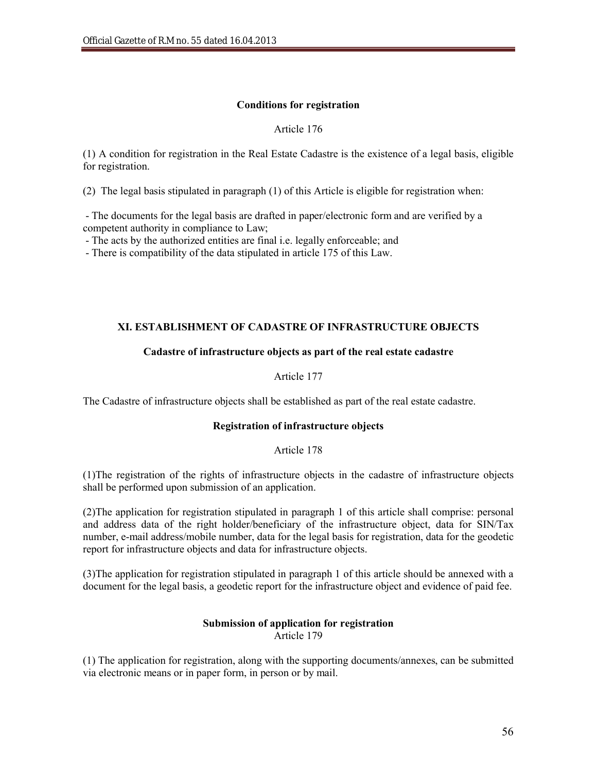## **Conditions for registration**

## Article 176

(1) A condition for registration in the Real Estate Cadastre is the existence of a legal basis, eligible for registration.

(2) The legal basis stipulated in paragraph (1) of this Article is eligible for registration when:

- The documents for the legal basis are drafted in paper/electronic form and are verified by a competent authority in compliance to Law;

- The acts by the authorized entities are final i.e. legally enforceable; and

- There is compatibility of the data stipulated in article 175 of this Law.

## **XI. ESTABLISHMENT OF CADASTRE OF INFRASTRUCTURE OBJECTS**

## **Cadastre of infrastructure objects as part of the real estate cadastre**

Article 177

The Cadastre of infrastructure objects shall be established as part of the real estate cadastre.

## **Registration of infrastructure objects**

Article 178

(1)The registration of the rights of infrastructure objects in the cadastre of infrastructure objects shall be performed upon submission of an application.

(2)The application for registration stipulated in paragraph 1 of this article shall comprise: personal and address data of the right holder/beneficiary of the infrastructure object, data for SIN/Tax number, e-mail address/mobile number, data for the legal basis for registration, data for the geodetic report for infrastructure objects and data for infrastructure objects.

(3)The application for registration stipulated in paragraph 1 of this article should be annexed with a document for the legal basis, a geodetic report for the infrastructure object and evidence of paid fee.

#### **Submission of application for registration** Article 179

(1) The application for registration, along with the supporting documents/annexes, can be submitted via electronic means or in paper form, in person or by mail.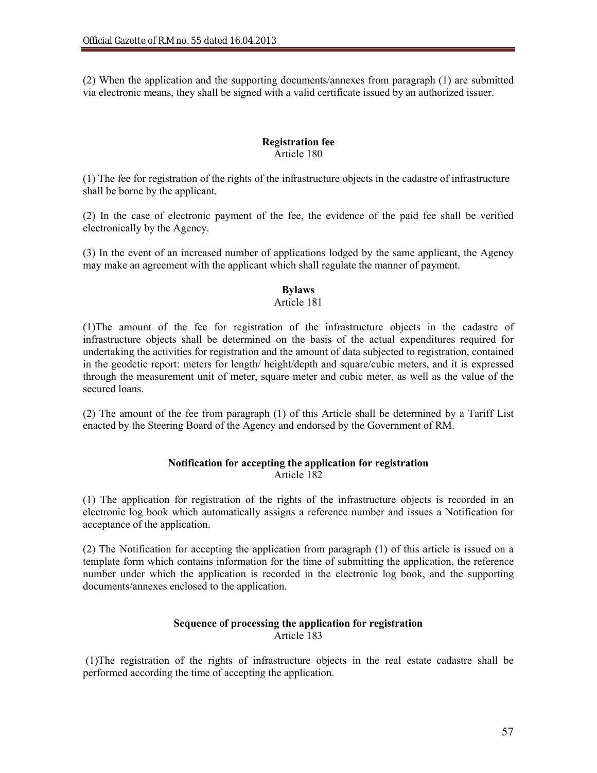(2) When the application and the supporting documents/annexes from paragraph (1) are submitted via electronic means, they shall be signed with a valid certificate issued by an authorized issuer.

## **Registration fee** Article 180

(1) The fee for registration of the rights of the infrastructure objects in the cadastre of infrastructure shall be borne by the applicant.

(2) In the case of electronic payment of the fee, the evidence of the paid fee shall be verified electronically by the Agency.

(3) In the event of an increased number of applications lodged by the same applicant, the Agency may make an agreement with the applicant which shall regulate the manner of payment.

## **Bylaws**

## Article 181

(1)The amount of the fee for registration of the infrastructure objects in the cadastre of infrastructure objects shall be determined on the basis of the actual expenditures required for undertaking the activities for registration and the amount of data subjected to registration, contained in the geodetic report: meters for length/ height/depth and square/cubic meters, and it is expressed through the measurement unit of meter, square meter and cubic meter, as well as the value of the secured loans.

(2) The amount of the fee from paragraph (1) of this Article shall be determined by a Tariff List enacted by the Steering Board of the Agency and endorsed by the Government of RM.

## **Notification for accepting the application for registration** Article 182

(1) The application for registration of the rights of the infrastructure objects is recorded in an electronic log book which automatically assigns a reference number and issues a Notification for acceptance of the application.

(2) The Notification for accepting the application from paragraph (1) of this article is issued on a template form which contains information for the time of submitting the application, the reference number under which the application is recorded in the electronic log book, and the supporting documents/annexes enclosed to the application.

## **Sequence of processing the application for registration** Article 183

(1)The registration of the rights of infrastructure objects in the real estate cadastre shall be performed according the time of accepting the application.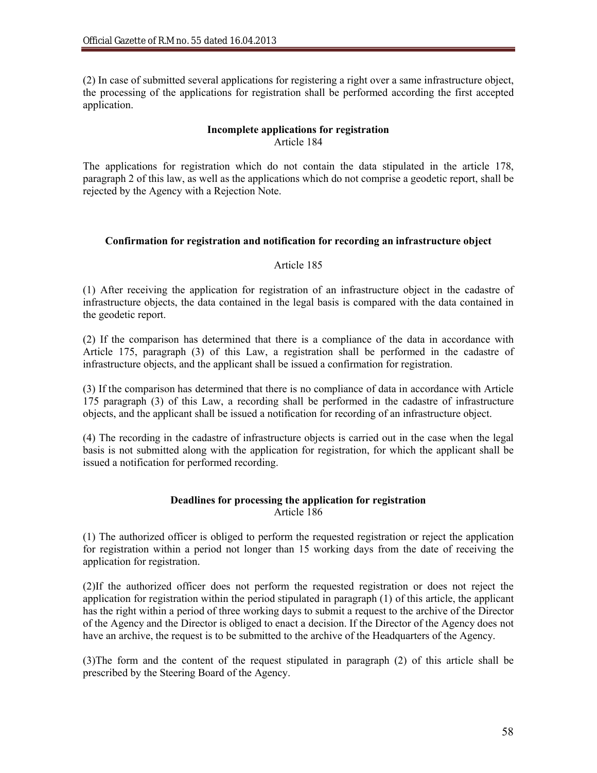(2) In case of submitted several applications for registering a right over a same infrastructure object, the processing of the applications for registration shall be performed according the first accepted application.

## **Incomplete applications for registration**  Article 184

The applications for registration which do not contain the data stipulated in the article 178, paragraph 2 of this law, as well as the applications which do not comprise a geodetic report, shall be rejected by the Agency with a Rejection Note.

## **Confirmation for registration and notification for recording an infrastructure object**

## Article 185

(1) After receiving the application for registration of an infrastructure object in the cadastre of infrastructure objects, the data contained in the legal basis is compared with the data contained in the geodetic report.

(2) If the comparison has determined that there is a compliance of the data in accordance with Article 175, paragraph (3) of this Law, a registration shall be performed in the cadastre of infrastructure objects, and the applicant shall be issued a confirmation for registration.

(3) If the comparison has determined that there is no compliance of data in accordance with Article 175 paragraph (3) of this Law, a recording shall be performed in the cadastre of infrastructure objects, and the applicant shall be issued a notification for recording of an infrastructure object.

(4) The recording in the cadastre of infrastructure objects is carried out in the case when the legal basis is not submitted along with the application for registration, for which the applicant shall be issued a notification for performed recording.

## **Deadlines for processing the application for registration** Article 186

(1) The authorized officer is obliged to perform the requested registration or reject the application for registration within a period not longer than 15 working days from the date of receiving the application for registration.

(2)If the authorized officer does not perform the requested registration or does not reject the application for registration within the period stipulated in paragraph (1) of this article, the applicant has the right within a period of three working days to submit a request to the archive of the Director of the Agency and the Director is obliged to enact a decision. If the Director of the Agency does not have an archive, the request is to be submitted to the archive of the Headquarters of the Agency.

(3)The form and the content of the request stipulated in paragraph (2) of this article shall be prescribed by the Steering Board of the Agency.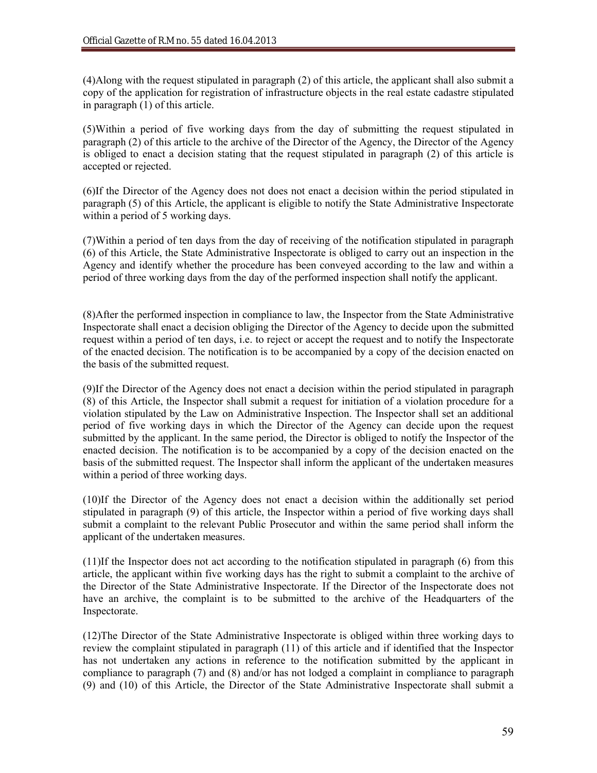(4)Along with the request stipulated in paragraph (2) of this article, the applicant shall also submit a copy of the application for registration of infrastructure objects in the real estate cadastre stipulated in paragraph (1) of this article.

(5)Within a period of five working days from the day of submitting the request stipulated in paragraph (2) of this article to the archive of the Director of the Agency, the Director of the Agency is obliged to enact a decision stating that the request stipulated in paragraph (2) of this article is accepted or rejected.

(6)If the Director of the Agency does not does not enact a decision within the period stipulated in paragraph (5) of this Article, the applicant is eligible to notify the State Administrative Inspectorate within a period of 5 working days.

(7)Within a period of ten days from the day of receiving of the notification stipulated in paragraph (6) of this Article, the State Administrative Inspectorate is obliged to carry out an inspection in the Agency and identify whether the procedure has been conveyed according to the law and within a period of three working days from the day of the performed inspection shall notify the applicant.

(8)After the performed inspection in compliance to law, the Inspector from the State Administrative Inspectorate shall enact a decision obliging the Director of the Agency to decide upon the submitted request within a period of ten days, i.e. to reject or accept the request and to notify the Inspectorate of the enacted decision. The notification is to be accompanied by a copy of the decision enacted on the basis of the submitted request.

(9)If the Director of the Agency does not enact a decision within the period stipulated in paragraph (8) of this Article, the Inspector shall submit a request for initiation of a violation procedure for a violation stipulated by the Law on Administrative Inspection. The Inspector shall set an additional period of five working days in which the Director of the Agency can decide upon the request submitted by the applicant. In the same period, the Director is obliged to notify the Inspector of the enacted decision. The notification is to be accompanied by a copy of the decision enacted on the basis of the submitted request. The Inspector shall inform the applicant of the undertaken measures within a period of three working days.

(10)If the Director of the Agency does not enact a decision within the additionally set period stipulated in paragraph (9) of this article, the Inspector within a period of five working days shall submit a complaint to the relevant Public Prosecutor and within the same period shall inform the applicant of the undertaken measures.

(11)If the Inspector does not act according to the notification stipulated in paragraph (6) from this article, the applicant within five working days has the right to submit a complaint to the archive of the Director of the State Administrative Inspectorate. If the Director of the Inspectorate does not have an archive, the complaint is to be submitted to the archive of the Headquarters of the Inspectorate.

(12)The Director of the State Administrative Inspectorate is obliged within three working days to review the complaint stipulated in paragraph (11) of this article and if identified that the Inspector has not undertaken any actions in reference to the notification submitted by the applicant in compliance to paragraph (7) and (8) and/or has not lodged a complaint in compliance to paragraph (9) and (10) of this Article, the Director of the State Administrative Inspectorate shall submit a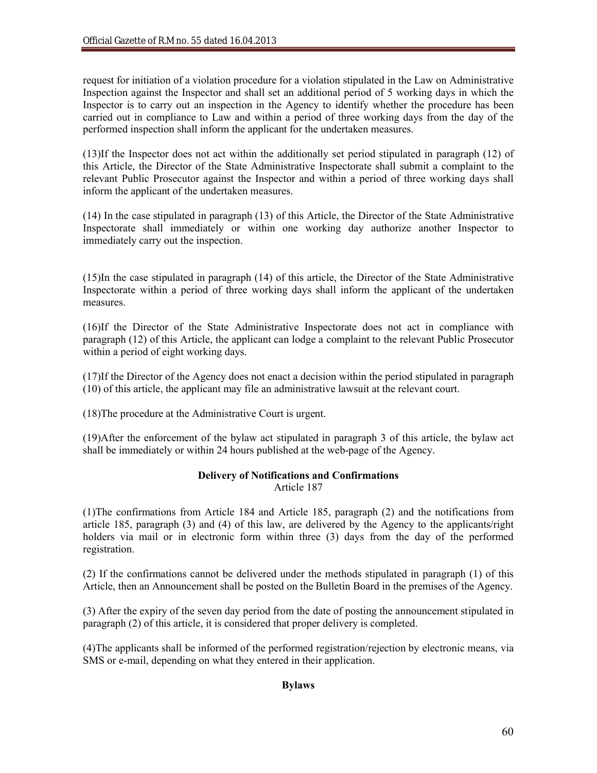request for initiation of a violation procedure for a violation stipulated in the Law on Administrative Inspection against the Inspector and shall set an additional period of 5 working days in which the Inspector is to carry out an inspection in the Agency to identify whether the procedure has been carried out in compliance to Law and within a period of three working days from the day of the performed inspection shall inform the applicant for the undertaken measures.

(13)If the Inspector does not act within the additionally set period stipulated in paragraph (12) of this Article, the Director of the State Administrative Inspectorate shall submit a complaint to the relevant Public Prosecutor against the Inspector and within a period of three working days shall inform the applicant of the undertaken measures.

(14) In the case stipulated in paragraph (13) of this Article, the Director of the State Administrative Inspectorate shall immediately or within one working day authorize another Inspector to immediately carry out the inspection.

(15)In the case stipulated in paragraph (14) of this article, the Director of the State Administrative Inspectorate within a period of three working days shall inform the applicant of the undertaken measures.

(16)If the Director of the State Administrative Inspectorate does not act in compliance with paragraph (12) of this Article, the applicant can lodge a complaint to the relevant Public Prosecutor within a period of eight working days.

(17)If the Director of the Agency does not enact a decision within the period stipulated in paragraph (10) of this article, the applicant may file an administrative lawsuit at the relevant court.

(18)The procedure at the Administrative Court is urgent.

(19)After the enforcement of the bylaw act stipulated in paragraph 3 of this article, the bylaw act shall be immediately or within 24 hours published at the web-page of the Agency.

## **Delivery of Notifications and Confirmations** Article 187

(1)The confirmations from Article 184 and Article 185, paragraph (2) and the notifications from article 185, paragraph (3) and (4) of this law, are delivered by the Agency to the applicants/right holders via mail or in electronic form within three (3) days from the day of the performed registration.

(2) If the confirmations cannot be delivered under the methods stipulated in paragraph (1) of this Article, then an Announcement shall be posted on the Bulletin Board in the premises of the Agency.

(3) After the expiry of the seven day period from the date of posting the announcement stipulated in paragraph (2) of this article, it is considered that proper delivery is completed.

(4)The applicants shall be informed of the performed registration/rejection by electronic means, via SMS or e-mail, depending on what they entered in their application.

## **Bylaws**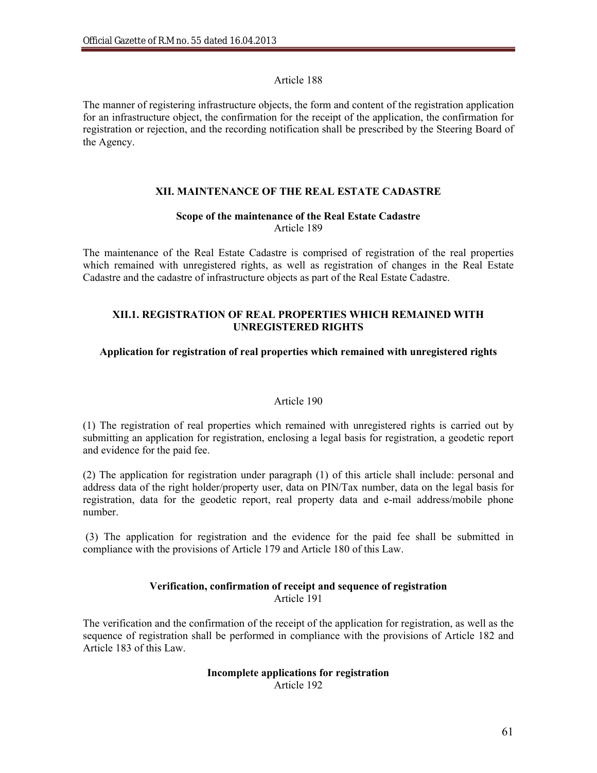## Article 188

The manner of registering infrastructure objects, the form and content of the registration application for an infrastructure object, the confirmation for the receipt of the application, the confirmation for registration or rejection, and the recording notification shall be prescribed by the Steering Board of the Agency.

## **XII. MAINTENANCE OF THE REAL ESTATE CADASTRE**

## **Scope of the maintenance of the Real Estate Cadastre**  Article 189

The maintenance of the Real Estate Cadastre is comprised of registration of the real properties which remained with unregistered rights, as well as registration of changes in the Real Estate Cadastre and the cadastre of infrastructure objects as part of the Real Estate Cadastre.

## **XII.1. REGISTRATION OF REAL PROPERTIES WHICH REMAINED WITH UNREGISTERED RIGHTS**

## **Application for registration of real properties which remained with unregistered rights**

## Article 190

(1) The registration of real properties which remained with unregistered rights is carried out by submitting an application for registration, enclosing a legal basis for registration, a geodetic report and evidence for the paid fee.

(2) The application for registration under paragraph (1) of this article shall include: personal and address data of the right holder/property user, data on PIN/Tax number, data on the legal basis for registration, data for the geodetic report, real property data and e-mail address/mobile phone number.

(3) The application for registration and the evidence for the paid fee shall be submitted in compliance with the provisions of Article 179 and Article 180 of this Law.

## **Verification, confirmation of receipt and sequence of registration** Article 191

The verification and the confirmation of the receipt of the application for registration, as well as the sequence of registration shall be performed in compliance with the provisions of Article 182 and Article 183 of this Law.

### **Incomplete applications for registration**  Article 192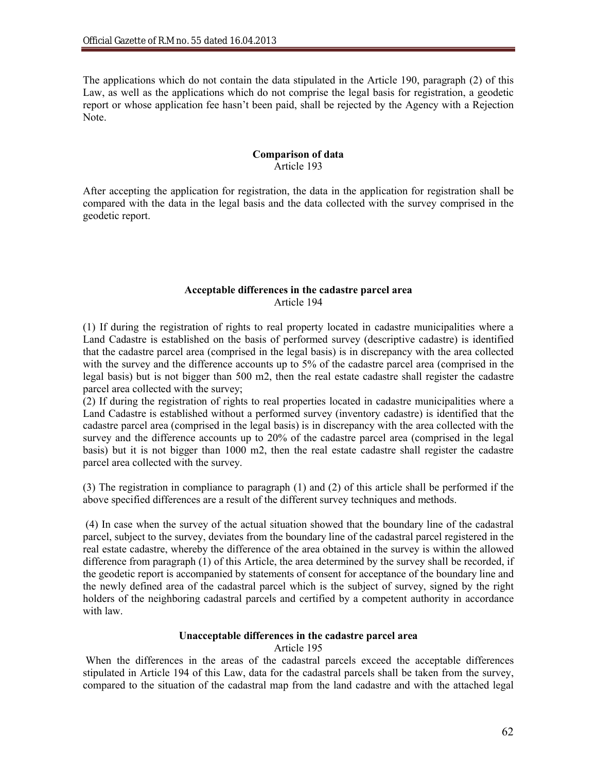The applications which do not contain the data stipulated in the Article 190, paragraph (2) of this Law, as well as the applications which do not comprise the legal basis for registration, a geodetic report or whose application fee hasn't been paid, shall be rejected by the Agency with a Rejection Note.

### **Comparison of data** Article 193

After accepting the application for registration, the data in the application for registration shall be compared with the data in the legal basis and the data collected with the survey comprised in the geodetic report.

### **Acceptable differences in the cadastre parcel area** Article 194

(1) If during the registration of rights to real property located in cadastre municipalities where a Land Cadastre is established on the basis of performed survey (descriptive cadastre) is identified that the cadastre parcel area (comprised in the legal basis) is in discrepancy with the area collected with the survey and the difference accounts up to 5% of the cadastre parcel area (comprised in the legal basis) but is not bigger than 500 m2, then the real estate cadastre shall register the cadastre parcel area collected with the survey;

(2) If during the registration of rights to real properties located in cadastre municipalities where a Land Cadastre is established without a performed survey (inventory cadastre) is identified that the cadastre parcel area (comprised in the legal basis) is in discrepancy with the area collected with the survey and the difference accounts up to 20% of the cadastre parcel area (comprised in the legal basis) but it is not bigger than 1000 m2, then the real estate cadastre shall register the cadastre parcel area collected with the survey.

(3) The registration in compliance to paragraph (1) and (2) of this article shall be performed if the above specified differences are a result of the different survey techniques and methods.

(4) In case when the survey of the actual situation showed that the boundary line of the cadastral parcel, subject to the survey, deviates from the boundary line of the cadastral parcel registered in the real estate cadastre, whereby the difference of the area obtained in the survey is within the allowed difference from paragraph (1) of this Article, the area determined by the survey shall be recorded, if the geodetic report is accompanied by statements of consent for acceptance of the boundary line and the newly defined area of the cadastral parcel which is the subject of survey, signed by the right holders of the neighboring cadastral parcels and certified by a competent authority in accordance with law.

## **Unacceptable differences in the cadastre parcel area**

Article 195

When the differences in the areas of the cadastral parcels exceed the acceptable differences stipulated in Article 194 of this Law, data for the cadastral parcels shall be taken from the survey, compared to the situation of the cadastral map from the land cadastre and with the attached legal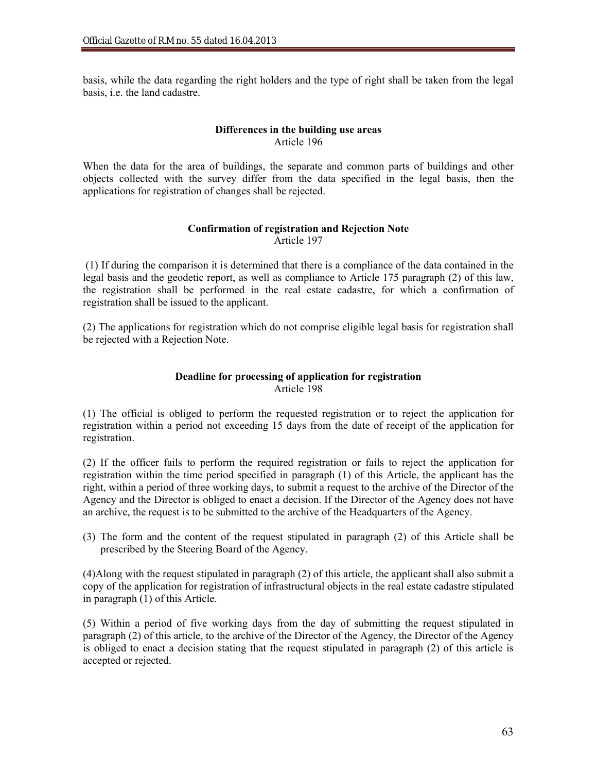basis, while the data regarding the right holders and the type of right shall be taken from the legal basis, i.e. the land cadastre.

## **Differences in the building use areas** Article 196

When the data for the area of buildings, the separate and common parts of buildings and other objects collected with the survey differ from the data specified in the legal basis, then the applications for registration of changes shall be rejected.

## **Confirmation of registration and Rejection Note** Article 197

(1) If during the comparison it is determined that there is a compliance of the data contained in the legal basis and the geodetic report, as well as compliance to Article 175 paragraph (2) of this law, the registration shall be performed in the real estate cadastre, for which a confirmation of registration shall be issued to the applicant.

(2) The applications for registration which do not comprise eligible legal basis for registration shall be rejected with a Rejection Note.

## **Deadline for processing of application for registration** Article 198

(1) The official is obliged to perform the requested registration or to reject the application for registration within a period not exceeding 15 days from the date of receipt of the application for registration.

(2) If the officer fails to perform the required registration or fails to reject the application for registration within the time period specified in paragraph (1) of this Article, the applicant has the right, within a period of three working days, to submit a request to the archive of the Director of the Agency and the Director is obliged to enact a decision. If the Director of the Agency does not have an archive, the request is to be submitted to the archive of the Headquarters of the Agency.

(3) The form and the content of the request stipulated in paragraph (2) of this Article shall be prescribed by the Steering Board of the Agency.

(4)Along with the request stipulated in paragraph (2) of this article, the applicant shall also submit a copy of the application for registration of infrastructural objects in the real estate cadastre stipulated in paragraph (1) of this Article.

(5) Within a period of five working days from the day of submitting the request stipulated in paragraph (2) of this article, to the archive of the Director of the Agency, the Director of the Agency is obliged to enact a decision stating that the request stipulated in paragraph (2) of this article is accepted or rejected.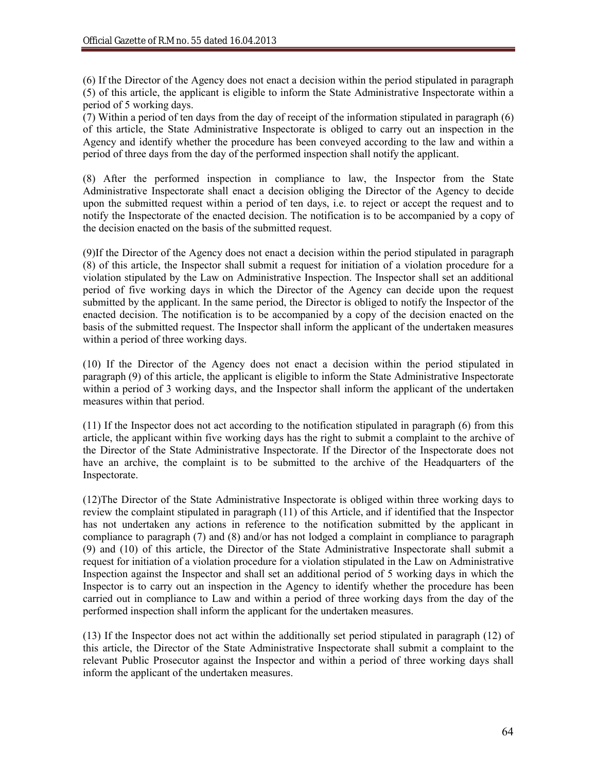(6) If the Director of the Agency does not enact a decision within the period stipulated in paragraph (5) of this article, the applicant is eligible to inform the State Administrative Inspectorate within a period of 5 working days.

(7) Within a period of ten days from the day of receipt of the information stipulated in paragraph (6) of this article, the State Administrative Inspectorate is obliged to carry out an inspection in the Agency and identify whether the procedure has been conveyed according to the law and within a period of three days from the day of the performed inspection shall notify the applicant.

(8) After the performed inspection in compliance to law, the Inspector from the State Administrative Inspectorate shall enact a decision obliging the Director of the Agency to decide upon the submitted request within a period of ten days, i.e. to reject or accept the request and to notify the Inspectorate of the enacted decision. The notification is to be accompanied by a copy of the decision enacted on the basis of the submitted request.

(9)If the Director of the Agency does not enact a decision within the period stipulated in paragraph (8) of this article, the Inspector shall submit a request for initiation of a violation procedure for a violation stipulated by the Law on Administrative Inspection. The Inspector shall set an additional period of five working days in which the Director of the Agency can decide upon the request submitted by the applicant. In the same period, the Director is obliged to notify the Inspector of the enacted decision. The notification is to be accompanied by a copy of the decision enacted on the basis of the submitted request. The Inspector shall inform the applicant of the undertaken measures within a period of three working days.

(10) If the Director of the Agency does not enact a decision within the period stipulated in paragraph (9) of this article, the applicant is eligible to inform the State Administrative Inspectorate within a period of 3 working days, and the Inspector shall inform the applicant of the undertaken measures within that period.

(11) If the Inspector does not act according to the notification stipulated in paragraph (6) from this article, the applicant within five working days has the right to submit a complaint to the archive of the Director of the State Administrative Inspectorate. If the Director of the Inspectorate does not have an archive, the complaint is to be submitted to the archive of the Headquarters of the Inspectorate.

(12)The Director of the State Administrative Inspectorate is obliged within three working days to review the complaint stipulated in paragraph (11) of this Article, and if identified that the Inspector has not undertaken any actions in reference to the notification submitted by the applicant in compliance to paragraph (7) and (8) and/or has not lodged a complaint in compliance to paragraph (9) and (10) of this article, the Director of the State Administrative Inspectorate shall submit a request for initiation of a violation procedure for a violation stipulated in the Law on Administrative Inspection against the Inspector and shall set an additional period of 5 working days in which the Inspector is to carry out an inspection in the Agency to identify whether the procedure has been carried out in compliance to Law and within a period of three working days from the day of the performed inspection shall inform the applicant for the undertaken measures.

(13) If the Inspector does not act within the additionally set period stipulated in paragraph (12) of this article, the Director of the State Administrative Inspectorate shall submit a complaint to the relevant Public Prosecutor against the Inspector and within a period of three working days shall inform the applicant of the undertaken measures.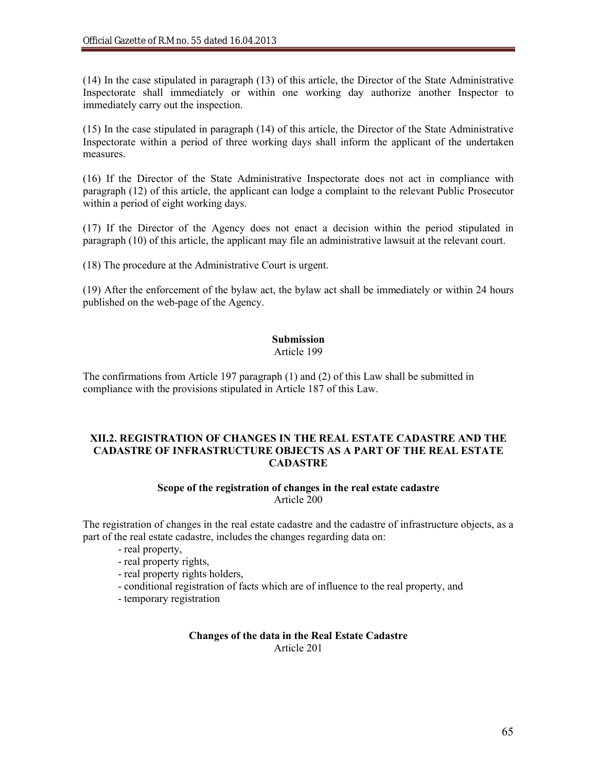(14) In the case stipulated in paragraph (13) of this article, the Director of the State Administrative Inspectorate shall immediately or within one working day authorize another Inspector to immediately carry out the inspection.

(15) In the case stipulated in paragraph (14) of this article, the Director of the State Administrative Inspectorate within a period of three working days shall inform the applicant of the undertaken measures.

(16) If the Director of the State Administrative Inspectorate does not act in compliance with paragraph (12) of this article, the applicant can lodge a complaint to the relevant Public Prosecutor within a period of eight working days.

(17) If the Director of the Agency does not enact a decision within the period stipulated in paragraph (10) of this article, the applicant may file an administrative lawsuit at the relevant court.

(18) The procedure at the Administrative Court is urgent.

(19) After the enforcement of the bylaw act, the bylaw act shall be immediately or within 24 hours published on the web-page of the Agency.

# **Submission**

Article 199

The confirmations from Article 197 paragraph (1) and (2) of this Law shall be submitted in compliance with the provisions stipulated in Article 187 of this Law.

## **XII.2. REGISTRATION OF CHANGES IN THE REAL ESTATE CADASTRE AND THE CADASTRE OF INFRASTRUCTURE OBJECTS AS A PART OF THE REAL ESTATE CADASTRE**

### **Scope of the registration of changes in the real estate cadastre** Article 200

The registration of changes in the real estate cadastre and the cadastre of infrastructure objects, as a part of the real estate cadastre, includes the changes regarding data on:

- real property,
- real property rights,
- real property rights holders,
- conditional registration of facts which are of influence to the real property, and
- temporary registration

### **Changes of the data in the Real Estate Cadastre** Article 201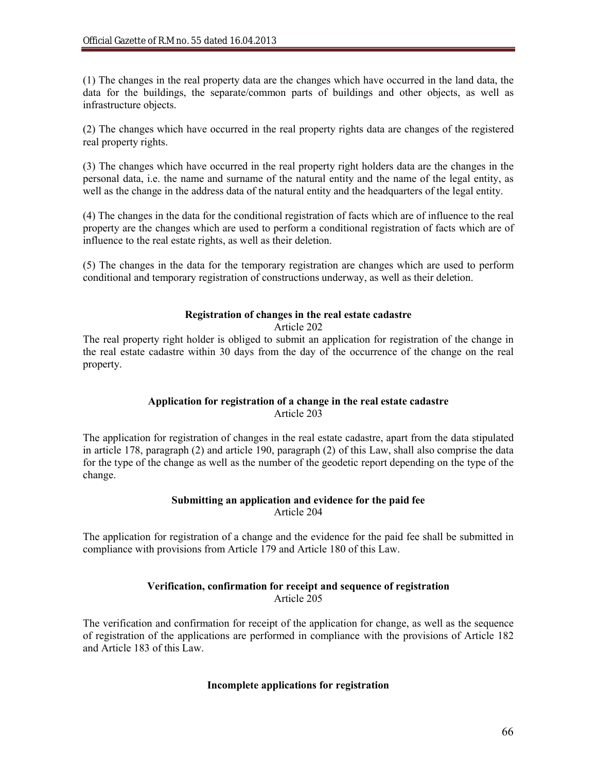(1) The changes in the real property data are the changes which have occurred in the land data, the data for the buildings, the separate/common parts of buildings and other objects, as well as infrastructure objects.

(2) The changes which have occurred in the real property rights data are changes of the registered real property rights.

(3) The changes which have occurred in the real property right holders data are the changes in the personal data, i.e. the name and surname of the natural entity and the name of the legal entity, as well as the change in the address data of the natural entity and the headquarters of the legal entity.

(4) The changes in the data for the conditional registration of facts which are of influence to the real property are the changes which are used to perform a conditional registration of facts which are of influence to the real estate rights, as well as their deletion.

(5) The changes in the data for the temporary registration are changes which are used to perform conditional and temporary registration of constructions underway, as well as their deletion.

## **Registration of changes in the real estate cadastre**

### Article 202

The real property right holder is obliged to submit an application for registration of the change in the real estate cadastre within 30 days from the day of the occurrence of the change on the real property.

## **Application for registration of a change in the real estate cadastre** Article 203

The application for registration of changes in the real estate cadastre, apart from the data stipulated in article 178, paragraph (2) and article 190, paragraph (2) of this Law, shall also comprise the data for the type of the change as well as the number of the geodetic report depending on the type of the change.

### **Submitting an application and evidence for the paid fee** Article 204

The application for registration of a change and the evidence for the paid fee shall be submitted in compliance with provisions from Article 179 and Article 180 of this Law.

## **Verification, confirmation for receipt and sequence of registration** Article 205

The verification and confirmation for receipt of the application for change, as well as the sequence of registration of the applications are performed in compliance with the provisions of Article 182 and Article 183 of this Law.

### **Incomplete applications for registration**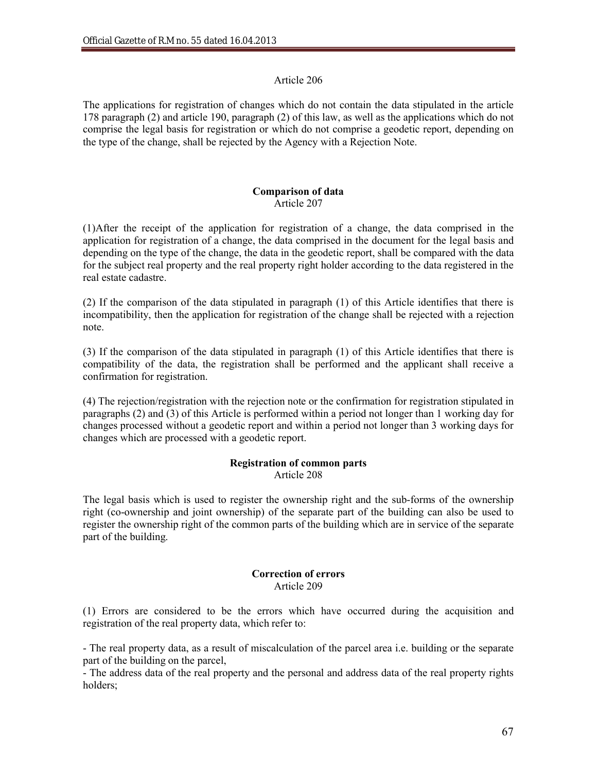## Article 206

The applications for registration of changes which do not contain the data stipulated in the article 178 paragraph (2) and article 190, paragraph (2) of this law, as well as the applications which do not comprise the legal basis for registration or which do not comprise a geodetic report, depending on the type of the change, shall be rejected by the Agency with a Rejection Note.

### **Comparison of data** Article 207

(1)After the receipt of the application for registration of a change, the data comprised in the application for registration of a change, the data comprised in the document for the legal basis and depending on the type of the change, the data in the geodetic report, shall be compared with the data for the subject real property and the real property right holder according to the data registered in the real estate cadastre.

(2) If the comparison of the data stipulated in paragraph (1) of this Article identifies that there is incompatibility, then the application for registration of the change shall be rejected with a rejection note.

(3) If the comparison of the data stipulated in paragraph (1) of this Article identifies that there is compatibility of the data, the registration shall be performed and the applicant shall receive a confirmation for registration.

(4) The rejection/registration with the rejection note or the confirmation for registration stipulated in paragraphs (2) and (3) of this Article is performed within a period not longer than 1 working day for changes processed without a geodetic report and within a period not longer than 3 working days for changes which are processed with a geodetic report.

### **Registration of common parts** Article 208

The legal basis which is used to register the ownership right and the sub-forms of the ownership right (co-ownership and joint ownership) of the separate part of the building can also be used to register the ownership right of the common parts of the building which are in service of the separate part of the building.

### **Correction of errors** Article 209

(1) Errors are considered to be the errors which have occurred during the acquisition and registration of the real property data, which refer to:

- The real property data, as a result of miscalculation of the parcel area i.e. building or the separate part of the building on the parcel,

- The address data of the real property and the personal and address data of the real property rights holders;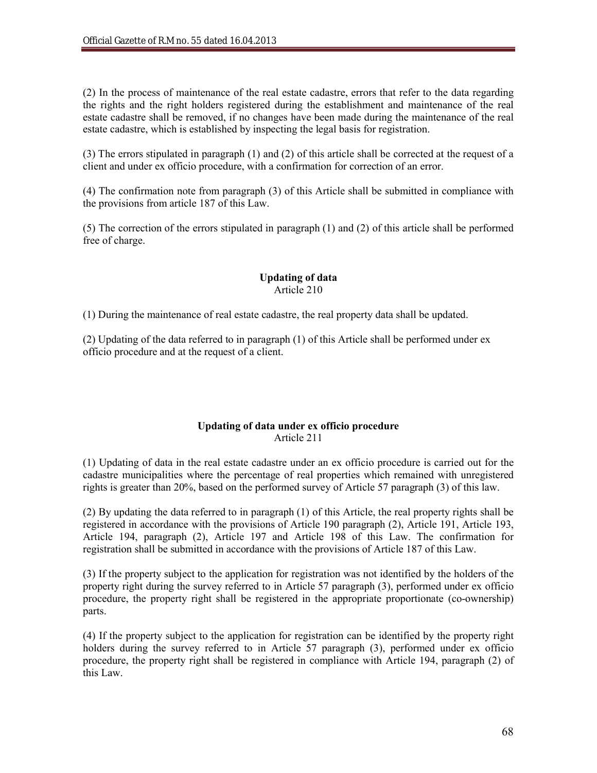(2) In the process of maintenance of the real estate cadastre, errors that refer to the data regarding the rights and the right holders registered during the establishment and maintenance of the real estate cadastre shall be removed, if no changes have been made during the maintenance of the real estate cadastre, which is established by inspecting the legal basis for registration.

(3) The errors stipulated in paragraph (1) and (2) of this article shall be corrected at the request of a client and under ex officio procedure, with a confirmation for correction of an error.

(4) The confirmation note from paragraph (3) of this Article shall be submitted in compliance with the provisions from article 187 of this Law.

(5) The correction of the errors stipulated in paragraph (1) and (2) of this article shall be performed free of charge.

## **Updating of data** Article 210

(1) During the maintenance of real estate cadastre, the real property data shall be updated.

(2) Updating of the data referred to in paragraph (1) of this Article shall be performed under ex officio procedure and at the request of a client.

## **Updating of data under ex officio procedure** Article 211

(1) Updating of data in the real estate cadastre under an ex officio procedure is carried out for the cadastre municipalities where the percentage of real properties which remained with unregistered rights is greater than 20%, based on the performed survey of Article 57 paragraph (3) of this law.

(2) By updating the data referred to in paragraph (1) of this Article, the real property rights shall be registered in accordance with the provisions of Article 190 paragraph (2), Article 191, Article 193, Article 194, paragraph (2), Article 197 and Article 198 of this Law. The confirmation for registration shall be submitted in accordance with the provisions of Article 187 of this Law.

(3) If the property subject to the application for registration was not identified by the holders of the property right during the survey referred to in Article 57 paragraph (3), performed under ex officio procedure, the property right shall be registered in the appropriate proportionate (co-ownership) parts.

(4) If the property subject to the application for registration can be identified by the property right holders during the survey referred to in Article 57 paragraph (3), performed under ex officio procedure, the property right shall be registered in compliance with Article 194, paragraph (2) of this Law.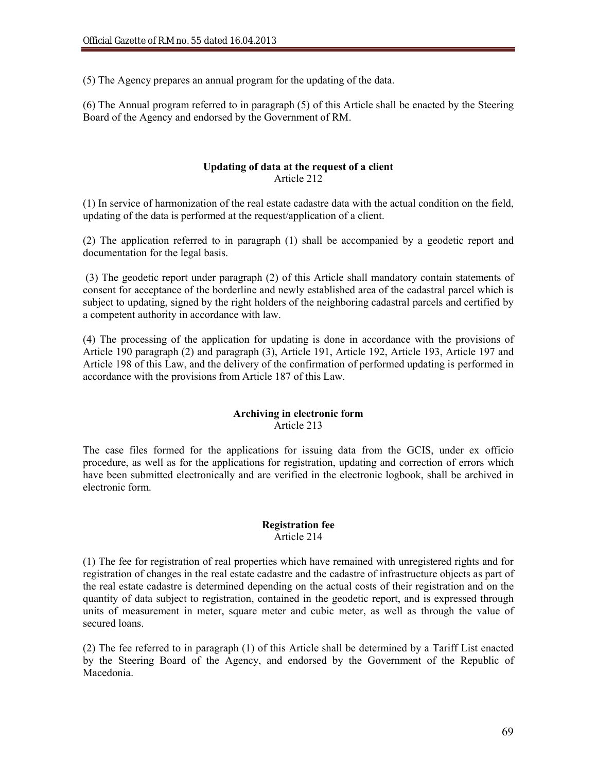(5) The Agency prepares an annual program for the updating of the data.

(6) The Annual program referred to in paragraph (5) of this Article shall be enacted by the Steering Board of the Agency and endorsed by the Government of RM.

## **Updating of data at the request of a client** Article 212

(1) In service of harmonization of the real estate cadastre data with the actual condition on the field, updating of the data is performed at the request/application of a client.

(2) The application referred to in paragraph (1) shall be accompanied by a geodetic report and documentation for the legal basis.

(3) The geodetic report under paragraph (2) of this Article shall mandatory contain statements of consent for acceptance of the borderline and newly established area of the cadastral parcel which is subject to updating, signed by the right holders of the neighboring cadastral parcels and certified by a competent authority in accordance with law.

(4) The processing of the application for updating is done in accordance with the provisions of Article 190 paragraph (2) and paragraph (3), Article 191, Article 192, Article 193, Article 197 and Article 198 of this Law, and the delivery of the confirmation of performed updating is performed in accordance with the provisions from Article 187 of this Law.

## **Archiving in electronic form** Article 213

The case files formed for the applications for issuing data from the GCIS, under ex officio procedure, as well as for the applications for registration, updating and correction of errors which have been submitted electronically and are verified in the electronic logbook, shall be archived in electronic form.

### **Registration fee** Article 214

(1) The fee for registration of real properties which have remained with unregistered rights and for registration of changes in the real estate cadastre and the cadastre of infrastructure objects as part of the real estate cadastre is determined depending on the actual costs of their registration and on the quantity of data subject to registration, contained in the geodetic report, and is expressed through units of measurement in meter, square meter and cubic meter, as well as through the value of secured loans.

(2) The fee referred to in paragraph (1) of this Article shall be determined by a Tariff List enacted by the Steering Board of the Agency, and endorsed by the Government of the Republic of Macedonia.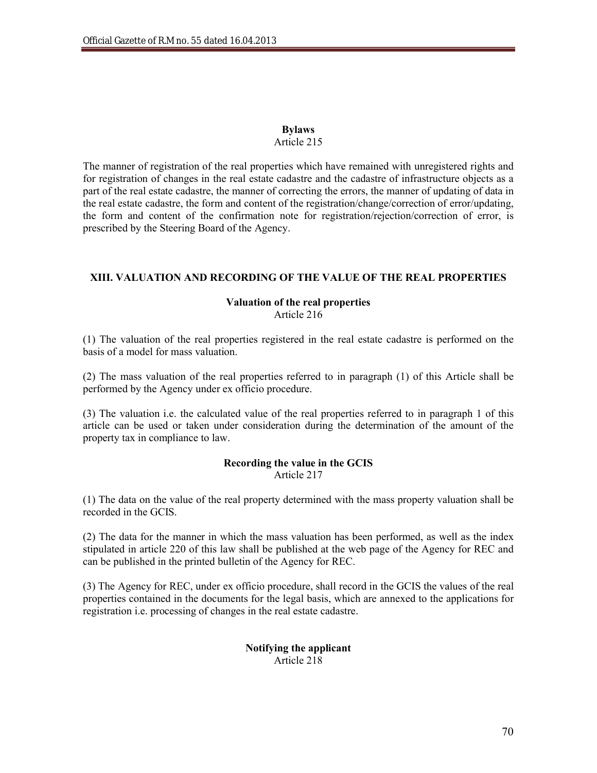## **Bylaws**

## Article 215

The manner of registration of the real properties which have remained with unregistered rights and for registration of changes in the real estate cadastre and the cadastre of infrastructure objects as a part of the real estate cadastre, the manner of correcting the errors, the manner of updating of data in the real estate cadastre, the form and content of the registration/change/correction of error/updating, the form and content of the confirmation note for registration/rejection/correction of error, is prescribed by the Steering Board of the Agency.

## **XIII. VALUATION AND RECORDING OF THE VALUE OF THE REAL PROPERTIES**

## **Valuation of the real properties**

Article 216

(1) The valuation of the real properties registered in the real estate cadastre is performed on the basis of a model for mass valuation.

(2) The mass valuation of the real properties referred to in paragraph (1) of this Article shall be performed by the Agency under ex officio procedure.

(3) The valuation i.e. the calculated value of the real properties referred to in paragraph 1 of this article can be used or taken under consideration during the determination of the amount of the property tax in compliance to law.

### **Recording the value in the GCIS** Article 217

(1) The data on the value of the real property determined with the mass property valuation shall be recorded in the GCIS.

(2) The data for the manner in which the mass valuation has been performed, as well as the index stipulated in article 220 of this law shall be published at the web page of the Agency for REC and can be published in the printed bulletin of the Agency for REC.

(3) The Agency for REC, under ex officio procedure, shall record in the GCIS the values of the real properties contained in the documents for the legal basis, which are annexed to the applications for registration i.e. processing of changes in the real estate cadastre.

## **Notifying the applicant** Article 218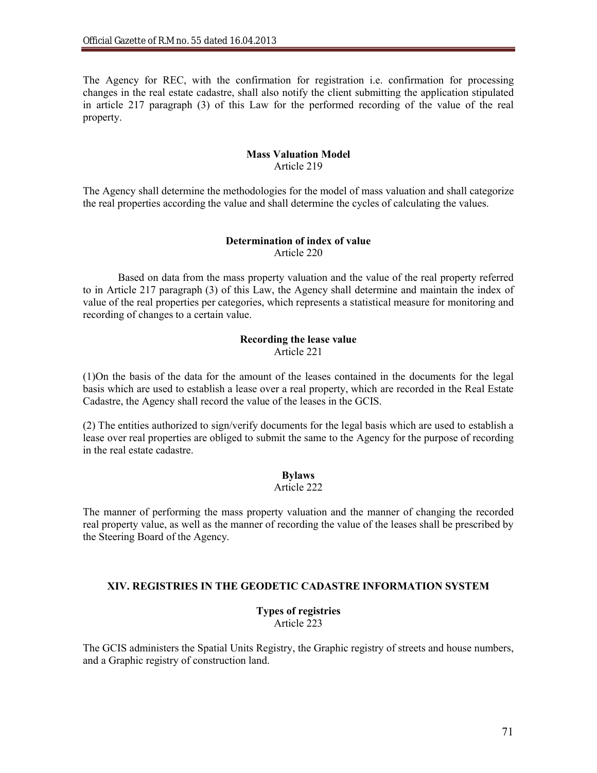The Agency for REC, with the confirmation for registration i.e. confirmation for processing changes in the real estate cadastre, shall also notify the client submitting the application stipulated in article 217 paragraph (3) of this Law for the performed recording of the value of the real property.

## **Mass Valuation Model** Article 219

The Agency shall determine the methodologies for the model of mass valuation and shall categorize the real properties according the value and shall determine the cycles of calculating the values.

### **Determination of index of value**  Article 220

Based on data from the mass property valuation and the value of the real property referred to in Article 217 paragraph (3) of this Law, the Agency shall determine and maintain the index of value of the real properties per categories, which represents a statistical measure for monitoring and recording of changes to a certain value.

### **Recording the lease value** Article 221

(1)On the basis of the data for the amount of the leases contained in the documents for the legal basis which are used to establish a lease over a real property, which are recorded in the Real Estate Cadastre, the Agency shall record the value of the leases in the GCIS.

(2) The entities authorized to sign/verify documents for the legal basis which are used to establish a lease over real properties are obliged to submit the same to the Agency for the purpose of recording in the real estate cadastre.

## **Bylaws**

### Article 222

The manner of performing the mass property valuation and the manner of changing the recorded real property value, as well as the manner of recording the value of the leases shall be prescribed by the Steering Board of the Agency.

## **XIV. REGISTRIES IN THE GEODETIC CADASTRE INFORMATION SYSTEM**

### **Types of registries** Article 223

The GCIS administers the Spatial Units Registry, the Graphic registry of streets and house numbers, and a Graphic registry of construction land.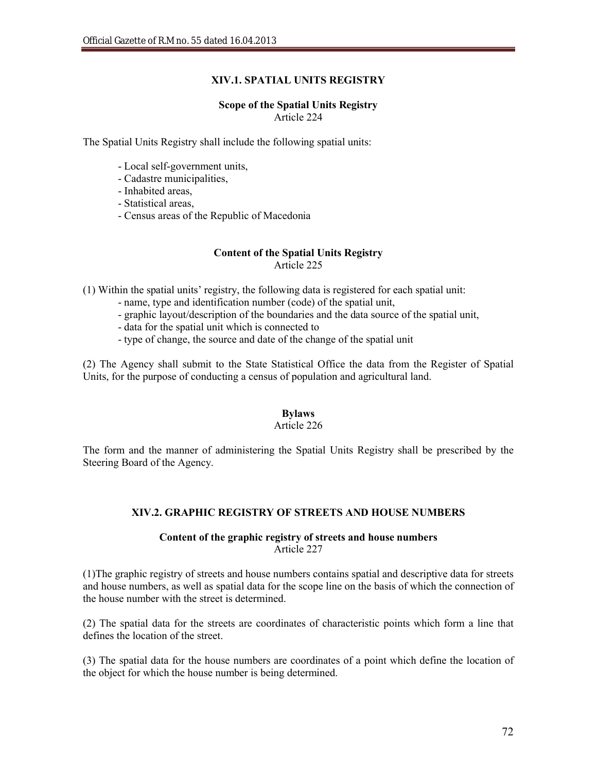# **XIV.1. SPATIAL UNITS REGISTRY**

### **Scope of the Spatial Units Registry** Article 224

The Spatial Units Registry shall include the following spatial units:

- Local self-government units,
- Cadastre municipalities,
- Inhabited areas
- Statistical areas,
- Census areas of the Republic of Macedonia

#### **Content of the Spatial Units Registry** Article 225

(1) Within the spatial units' registry, the following data is registered for each spatial unit:

- name, type and identification number (code) of the spatial unit,
- graphic layout/description of the boundaries and the data source of the spatial unit,
- data for the spatial unit which is connected to
- type of change, the source and date of the change of the spatial unit

(2) The Agency shall submit to the State Statistical Office the data from the Register of Spatial Units, for the purpose of conducting a census of population and agricultural land.

# **Bylaws**

### Article 226

The form and the manner of administering the Spatial Units Registry shall be prescribed by the Steering Board of the Agency.

# **XIV.2. GRAPHIC REGISTRY OF STREETS AND HOUSE NUMBERS**

### **Content of the graphic registry of streets and house numbers** Article 227

(1)The graphic registry of streets and house numbers contains spatial and descriptive data for streets and house numbers, as well as spatial data for the scope line on the basis of which the connection of the house number with the street is determined.

(2) The spatial data for the streets are coordinates of characteristic points which form a line that defines the location of the street.

(3) The spatial data for the house numbers are coordinates of a point which define the location of the object for which the house number is being determined.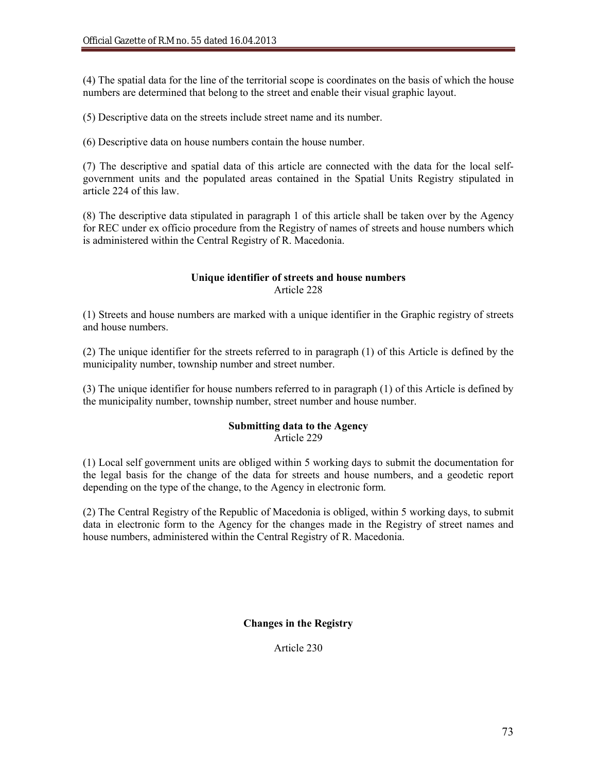(4) The spatial data for the line of the territorial scope is coordinates on the basis of which the house numbers are determined that belong to the street and enable their visual graphic layout.

(5) Descriptive data on the streets include street name and its number.

(6) Descriptive data on house numbers contain the house number.

(7) The descriptive and spatial data of this article are connected with the data for the local selfgovernment units and the populated areas contained in the Spatial Units Registry stipulated in article 224 of this law.

(8) The descriptive data stipulated in paragraph 1 of this article shall be taken over by the Agency for REC under ex officio procedure from the Registry of names of streets and house numbers which is administered within the Central Registry of R. Macedonia.

# **Unique identifier of streets and house numbers** Article 228

(1) Streets and house numbers are marked with a unique identifier in the Graphic registry of streets and house numbers.

(2) The unique identifier for the streets referred to in paragraph (1) of this Article is defined by the municipality number, township number and street number.

(3) The unique identifier for house numbers referred to in paragraph (1) of this Article is defined by the municipality number, township number, street number and house number.

# **Submitting data to the Agency**

Article 229

(1) Local self government units are obliged within 5 working days to submit the documentation for the legal basis for the change of the data for streets and house numbers, and a geodetic report depending on the type of the change, to the Agency in electronic form.

(2) The Central Registry of the Republic of Macedonia is obliged, within 5 working days, to submit data in electronic form to the Agency for the changes made in the Registry of street names and house numbers, administered within the Central Registry of R. Macedonia.

# **Changes in the Registry**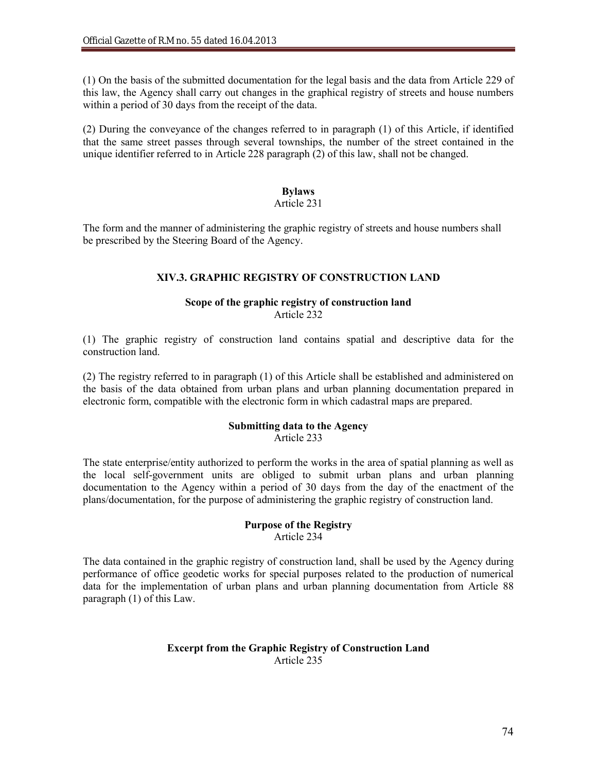(1) On the basis of the submitted documentation for the legal basis and the data from Article 229 of this law, the Agency shall carry out changes in the graphical registry of streets and house numbers within a period of 30 days from the receipt of the data.

(2) During the conveyance of the changes referred to in paragraph (1) of this Article, if identified that the same street passes through several townships, the number of the street contained in the unique identifier referred to in Article 228 paragraph (2) of this law, shall not be changed.

# **Bylaws**

### Article 231

The form and the manner of administering the graphic registry of streets and house numbers shall be prescribed by the Steering Board of the Agency.

### **XIV.3. GRAPHIC REGISTRY OF CONSTRUCTION LAND**

#### **Scope of the graphic registry of construction land**  Article 232

(1) The graphic registry of construction land contains spatial and descriptive data for the construction land.

(2) The registry referred to in paragraph (1) of this Article shall be established and administered on the basis of the data obtained from urban plans and urban planning documentation prepared in electronic form, compatible with the electronic form in which cadastral maps are prepared.

#### **Submitting data to the Agency** Article 233

The state enterprise/entity authorized to perform the works in the area of spatial planning as well as the local self-government units are obliged to submit urban plans and urban planning documentation to the Agency within a period of 30 days from the day of the enactment of the plans/documentation, for the purpose of administering the graphic registry of construction land.

#### **Purpose of the Registry** Article 234

The data contained in the graphic registry of construction land, shall be used by the Agency during performance of office geodetic works for special purposes related to the production of numerical data for the implementation of urban plans and urban planning documentation from Article 88 paragraph (1) of this Law.

#### **Excerpt from the Graphic Registry of Construction Land**  Article 235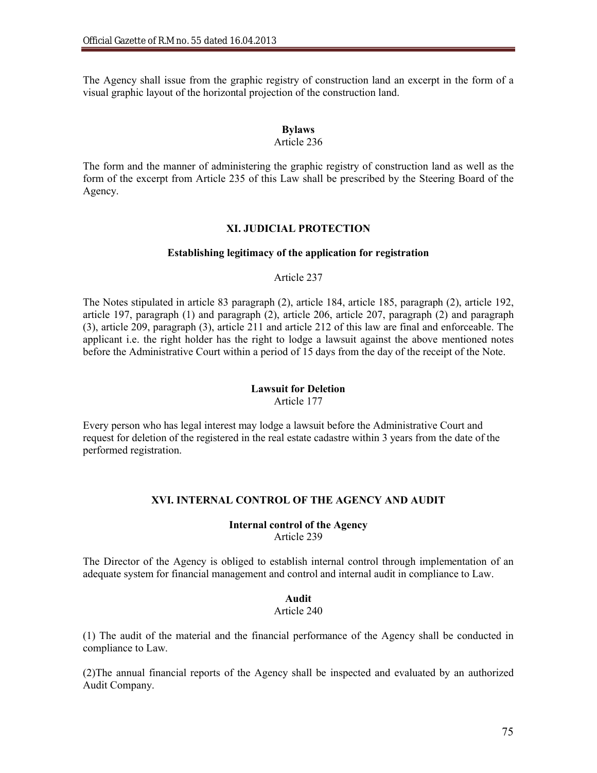The Agency shall issue from the graphic registry of construction land an excerpt in the form of a visual graphic layout of the horizontal projection of the construction land.

# **Bylaws**

# Article 236

The form and the manner of administering the graphic registry of construction land as well as the form of the excerpt from Article 235 of this Law shall be prescribed by the Steering Board of the Agency.

#### **XI. JUDICIAL PROTECTION**

#### **Establishing legitimacy of the application for registration**

#### Article 237

The Notes stipulated in article 83 paragraph (2), article 184, article 185, paragraph (2), article 192, article 197, paragraph (1) and paragraph (2), article 206, article 207, paragraph (2) and paragraph (3), article 209, paragraph (3), article 211 and article 212 of this law are final and enforceable. The applicant i.e. the right holder has the right to lodge a lawsuit against the above mentioned notes before the Administrative Court within a period of 15 days from the day of the receipt of the Note.

### **Lawsuit for Deletion**

Article 177

Every person who has legal interest may lodge a lawsuit before the Administrative Court and request for deletion of the registered in the real estate cadastre within 3 years from the date of the performed registration.

### **XVI. INTERNAL CONTROL OF THE AGENCY AND AUDIT**

#### **Internal control of the Agency** Article 239

The Director of the Agency is obliged to establish internal control through implementation of an adequate system for financial management and control and internal audit in compliance to Law.

### **Audit**

#### Article 240

(1) The audit of the material and the financial performance of the Agency shall be conducted in compliance to Law.

(2)The annual financial reports of the Agency shall be inspected and evaluated by an authorized Audit Company.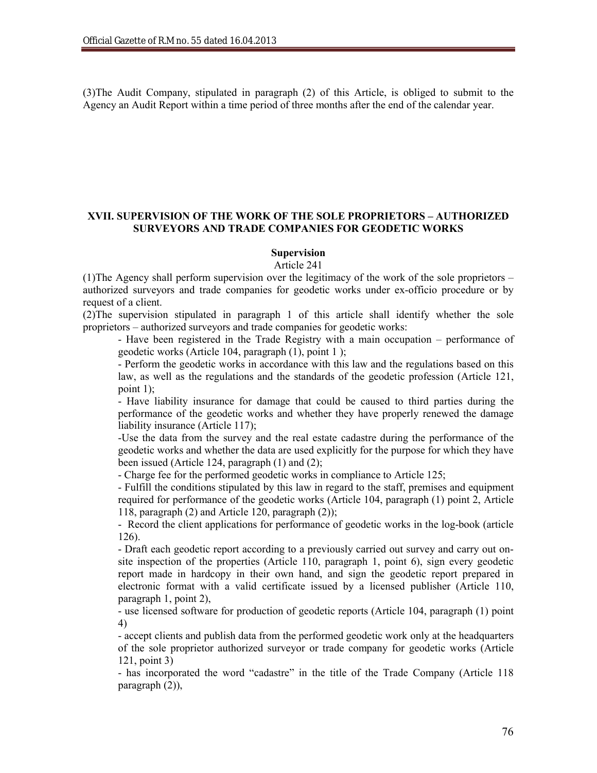(3)The Audit Company, stipulated in paragraph (2) of this Article, is obliged to submit to the Agency an Audit Report within a time period of three months after the end of the calendar year.

### **XVII. SUPERVISION OF THE WORK OF THE SOLE PROPRIETORS – AUTHORIZED SURVEYORS AND TRADE COMPANIES FOR GEODETIC WORKS**

### **Supervision**

Article 241

(1)The Agency shall perform supervision over the legitimacy of the work of the sole proprietors – authorized surveyors and trade companies for geodetic works under ex-officio procedure or by request of a client.

(2)The supervision stipulated in paragraph 1 of this article shall identify whether the sole proprietors – authorized surveyors and trade companies for geodetic works:

- Have been registered in the Trade Registry with a main occupation – performance of geodetic works (Article 104, paragraph (1), point 1 );

- Perform the geodetic works in accordance with this law and the regulations based on this law, as well as the regulations and the standards of the geodetic profession (Article 121, point 1);

- Have liability insurance for damage that could be caused to third parties during the performance of the geodetic works and whether they have properly renewed the damage liability insurance (Article 117);

-Use the data from the survey and the real estate cadastre during the performance of the geodetic works and whether the data are used explicitly for the purpose for which they have been issued (Article 124, paragraph (1) and (2);

- Charge fee for the performed geodetic works in compliance to Article 125;

- Fulfill the conditions stipulated by this law in regard to the staff, premises and equipment required for performance of the geodetic works (Article 104, paragraph (1) point 2, Article 118, paragraph (2) and Article 120, paragraph (2));

- Record the client applications for performance of geodetic works in the log-book (article 126).

- Draft each geodetic report according to a previously carried out survey and carry out onsite inspection of the properties (Article 110, paragraph 1, point 6), sign every geodetic report made in hardcopy in their own hand, and sign the geodetic report prepared in electronic format with a valid certificate issued by a licensed publisher (Article 110, paragraph 1, point 2),

- use licensed software for production of geodetic reports (Article 104, paragraph (1) point 4)

- accept clients and publish data from the performed geodetic work only at the headquarters of the sole proprietor authorized surveyor or trade company for geodetic works (Article 121, point 3)

- has incorporated the word "cadastre" in the title of the Trade Company (Article 118 paragraph (2)),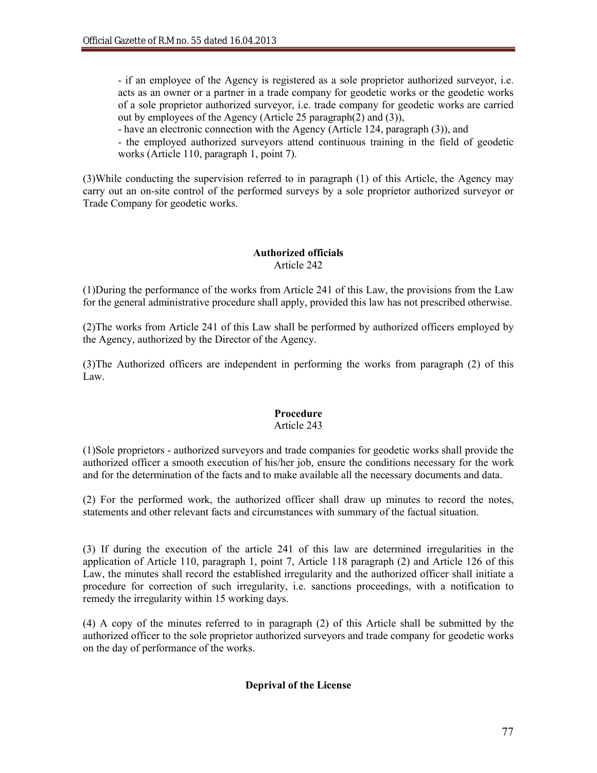- if an employee of the Agency is registered as a sole proprietor authorized surveyor, i.e. acts as an owner or a partner in a trade company for geodetic works or the geodetic works of a sole proprietor authorized surveyor, i.e. trade company for geodetic works are carried out by employees of the Agency (Article 25 paragraph(2) and (3)),

- have an electronic connection with the Agency (Article 124, paragraph (3)), and

- the employed authorized surveyors attend continuous training in the field of geodetic works (Article 110, paragraph 1, point 7).

(3)While conducting the supervision referred to in paragraph (1) of this Article, the Agency may carry out an on-site control of the performed surveys by a sole proprietor authorized surveyor or Trade Company for geodetic works.

### **Authorized officials** Article 242

(1)During the performance of the works from Article 241 of this Law, the provisions from the Law for the general administrative procedure shall apply, provided this law has not prescribed otherwise.

(2)The works from Article 241 of this Law shall be performed by authorized officers employed by the Agency, authorized by the Director of the Agency.

(3)The Authorized officers are independent in performing the works from paragraph (2) of this Law.

# **Procedure**

# Article 243

(1)Sole proprietors - authorized surveyors and trade companies for geodetic works shall provide the authorized officer a smooth execution of his/her job, ensure the conditions necessary for the work and for the determination of the facts and to make available all the necessary documents and data.

(2) For the performed work, the authorized officer shall draw up minutes to record the notes, statements and other relevant facts and circumstances with summary of the factual situation.

(3) If during the execution of the article 241 of this law are determined irregularities in the application of Article 110, paragraph 1, point 7, Article 118 paragraph (2) and Article 126 of this Law, the minutes shall record the established irregularity and the authorized officer shall initiate a procedure for correction of such irregularity, i.e. sanctions proceedings, with a notification to remedy the irregularity within 15 working days.

(4) A copy of the minutes referred to in paragraph (2) of this Article shall be submitted by the authorized officer to the sole proprietor authorized surveyors and trade company for geodetic works on the day of performance of the works.

# **Deprival of the License**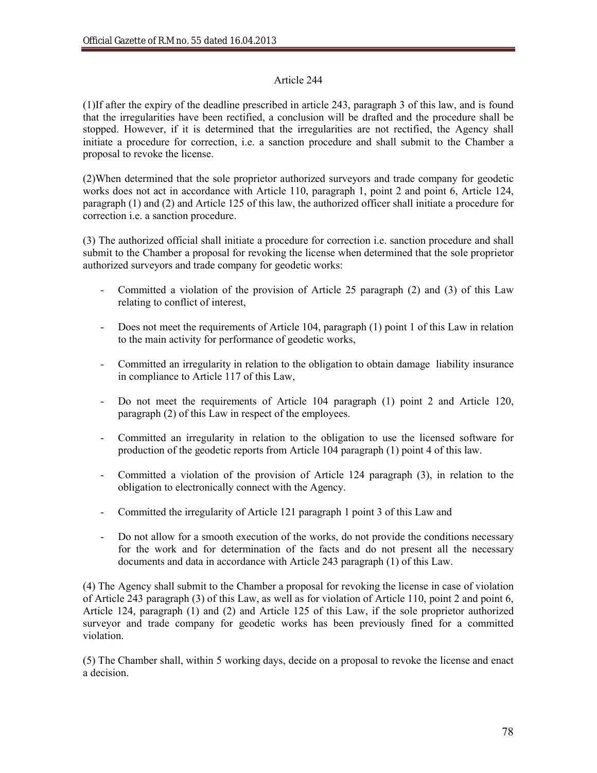# Article 244

(1)If after the expiry of the deadline prescribed in article 243, paragraph 3 of this law, and is found that the irregularities have been rectified, a conclusion will be drafted and the procedure shall be stopped. However, if it is determined that the irregularities are not rectified, the Agency shall initiate a procedure for correction, i.e. a sanction procedure and shall submit to the Chamber a proposal to revoke the license.

(2)When determined that the sole proprietor authorized surveyors and trade company for geodetic works does not act in accordance with Article 110, paragraph 1, point 2 and point 6, Article 124, paragraph (1) and (2) and Article 125 of this law, the authorized officer shall initiate a procedure for correction i.e. a sanction procedure.

(3) The authorized official shall initiate a procedure for correction i.e. sanction procedure and shall submit to the Chamber a proposal for revoking the license when determined that the sole proprietor authorized surveyors and trade company for geodetic works:

- Committed a violation of the provision of Article 25 paragraph (2) and (3) of this Law relating to conflict of interest,
- Does not meet the requirements of Article 104, paragraph (1) point 1 of this Law in relation to the main activity for performance of geodetic works,
- Committed an irregularity in relation to the obligation to obtain damage liability insurance in compliance to Article 117 of this Law,
- Do not meet the requirements of Article 104 paragraph (1) point 2 and Article 120, paragraph (2) of this Law in respect of the employees.
- Committed an irregularity in relation to the obligation to use the licensed software for production of the geodetic reports from Article 104 paragraph (1) point 4 of this law.
- Committed a violation of the provision of Article 124 paragraph (3), in relation to the obligation to electronically connect with the Agency.
- Committed the irregularity of Article 121 paragraph 1 point 3 of this Law and
- Do not allow for a smooth execution of the works, do not provide the conditions necessary for the work and for determination of the facts and do not present all the necessary documents and data in accordance with Article 243 paragraph (1) of this Law.

(4) The Agency shall submit to the Chamber a proposal for revoking the license in case of violation of Article 243 paragraph (3) of this Law, as well as for violation of Article 110, point 2 and point 6, Article 124, paragraph (1) and (2) and Article 125 of this Law, if the sole proprietor authorized surveyor and trade company for geodetic works has been previously fined for a committed violation.

(5) The Chamber shall, within 5 working days, decide on a proposal to revoke the license and enact a decision.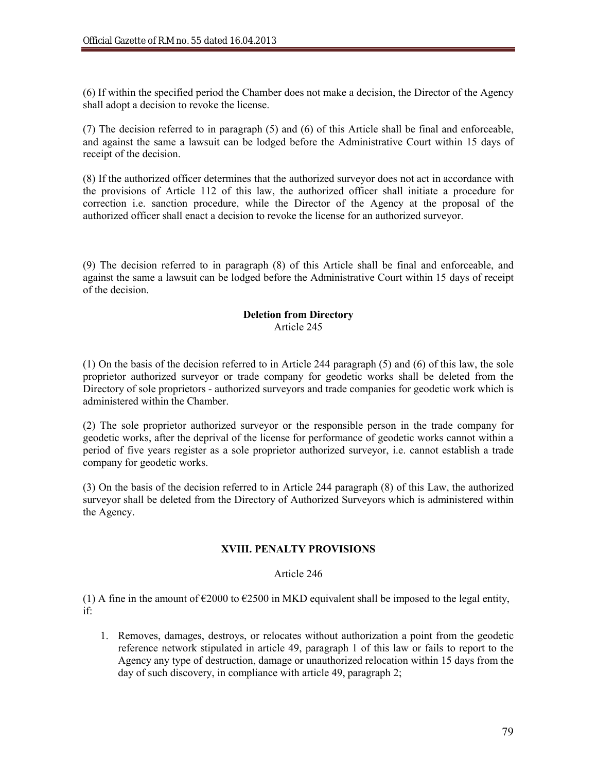(6) If within the specified period the Chamber does not make a decision, the Director of the Agency shall adopt a decision to revoke the license.

(7) The decision referred to in paragraph (5) and (6) of this Article shall be final and enforceable, and against the same a lawsuit can be lodged before the Administrative Court within 15 days of receipt of the decision.

(8) If the authorized officer determines that the authorized surveyor does not act in accordance with the provisions of Article 112 of this law, the authorized officer shall initiate a procedure for correction i.e. sanction procedure, while the Director of the Agency at the proposal of the authorized officer shall enact a decision to revoke the license for an authorized surveyor.

(9) The decision referred to in paragraph (8) of this Article shall be final and enforceable, and against the same a lawsuit can be lodged before the Administrative Court within 15 days of receipt of the decision.

#### **Deletion from Directory** Article 245

(1) On the basis of the decision referred to in Article 244 paragraph (5) and (6) of this law, the sole proprietor authorized surveyor or trade company for geodetic works shall be deleted from the Directory of sole proprietors - authorized surveyors and trade companies for geodetic work which is administered within the Chamber.

(2) The sole proprietor authorized surveyor or the responsible person in the trade company for geodetic works, after the deprival of the license for performance of geodetic works cannot within a period of five years register as a sole proprietor authorized surveyor, i.e. cannot establish a trade company for geodetic works.

(3) On the basis of the decision referred to in Article 244 paragraph (8) of this Law, the authorized surveyor shall be deleted from the Directory of Authorized Surveyors which is administered within the Agency.

# **XVIII. PENALTY PROVISIONS**

# Article 246

(1) A fine in the amount of  $\epsilon$ 2000 to  $\epsilon$ 2500 in MKD equivalent shall be imposed to the legal entity, if:

1. Removes, damages, destroys, or relocates without authorization a point from the geodetic reference network stipulated in article 49, paragraph 1 of this law or fails to report to the Agency any type of destruction, damage or unauthorized relocation within 15 days from the day of such discovery, in compliance with article 49, paragraph 2;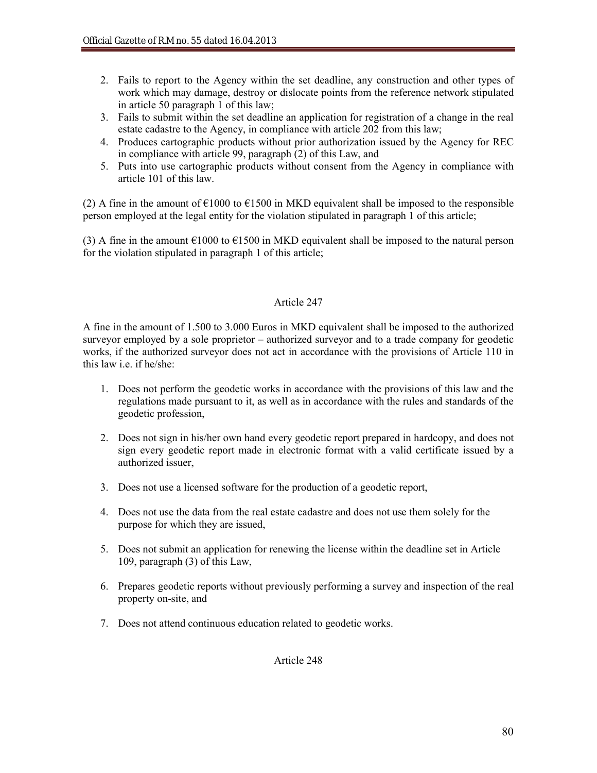- 2. Fails to report to the Agency within the set deadline, any construction and other types of work which may damage, destroy or dislocate points from the reference network stipulated in article 50 paragraph 1 of this law;
- 3. Fails to submit within the set deadline an application for registration of a change in the real estate cadastre to the Agency, in compliance with article 202 from this law;
- 4. Produces cartographic products without prior authorization issued by the Agency for REC in compliance with article 99, paragraph (2) of this Law, and
- 5. Puts into use cartographic products without consent from the Agency in compliance with article 101 of this law.

(2) A fine in the amount of  $\epsilon$ 1000 to  $\epsilon$ 1500 in MKD equivalent shall be imposed to the responsible person employed at the legal entity for the violation stipulated in paragraph 1 of this article;

(3) A fine in the amount  $\epsilon$ 1000 to  $\epsilon$ 1500 in MKD equivalent shall be imposed to the natural person for the violation stipulated in paragraph 1 of this article;

# Article 247

A fine in the amount of 1.500 to 3.000 Euros in MKD equivalent shall be imposed to the authorized surveyor employed by a sole proprietor – authorized surveyor and to a trade company for geodetic works, if the authorized surveyor does not act in accordance with the provisions of Article 110 in this law i.e. if he/she:

- 1. Does not perform the geodetic works in accordance with the provisions of this law and the regulations made pursuant to it, as well as in accordance with the rules and standards of the geodetic profession,
- 2. Does not sign in his/her own hand every geodetic report prepared in hardcopy, and does not sign every geodetic report made in electronic format with a valid certificate issued by a authorized issuer,
- 3. Does not use a licensed software for the production of a geodetic report,
- 4. Does not use the data from the real estate cadastre and does not use them solely for the purpose for which they are issued,
- 5. Does not submit an application for renewing the license within the deadline set in Article 109, paragraph (3) of this Law,
- 6. Prepares geodetic reports without previously performing a survey and inspection of the real property on-site, and
- 7. Does not attend continuous education related to geodetic works.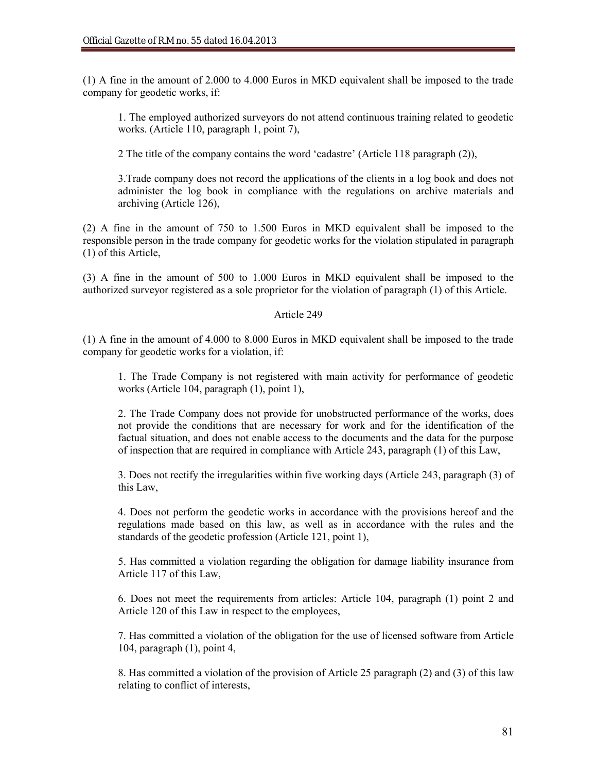(1) A fine in the amount of 2.000 to 4.000 Euros in MKD equivalent shall be imposed to the trade company for geodetic works, if:

1. The employed authorized surveyors do not attend continuous training related to geodetic works. (Article 110, paragraph 1, point 7),

2 The title of the company contains the word 'cadastre' (Article 118 paragraph (2)),

3.Trade company does not record the applications of the clients in a log book and does not administer the log book in compliance with the regulations on archive materials and archiving (Article 126),

(2) A fine in the amount of 750 to 1.500 Euros in MKD equivalent shall be imposed to the responsible person in the trade company for geodetic works for the violation stipulated in paragraph (1) of this Article,

(3) A fine in the amount of 500 to 1.000 Euros in MKD equivalent shall be imposed to the authorized surveyor registered as a sole proprietor for the violation of paragraph (1) of this Article.

#### Article 249

(1) A fine in the amount of 4.000 to 8.000 Euros in MKD equivalent shall be imposed to the trade company for geodetic works for a violation, if:

1. The Trade Company is not registered with main activity for performance of geodetic works (Article 104, paragraph (1), point 1),

2. The Trade Company does not provide for unobstructed performance of the works, does not provide the conditions that are necessary for work and for the identification of the factual situation, and does not enable access to the documents and the data for the purpose of inspection that are required in compliance with Article 243, paragraph (1) of this Law,

3. Does not rectify the irregularities within five working days (Article 243, paragraph (3) of this Law,

4. Does not perform the geodetic works in accordance with the provisions hereof and the regulations made based on this law, as well as in accordance with the rules and the standards of the geodetic profession (Article 121, point 1),

5. Has committed a violation regarding the obligation for damage liability insurance from Article 117 of this Law,

6. Does not meet the requirements from articles: Article 104, paragraph (1) point 2 and Article 120 of this Law in respect to the employees,

7. Has committed a violation of the obligation for the use of licensed software from Article 104, paragraph (1), point 4,

8. Has committed a violation of the provision of Article 25 paragraph (2) and (3) of this law relating to conflict of interests,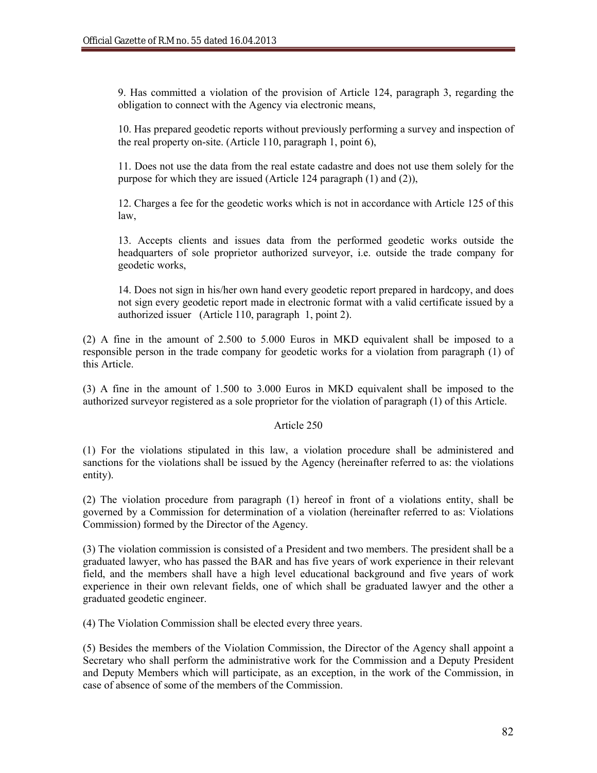9. Has committed a violation of the provision of Article 124, paragraph 3, regarding the obligation to connect with the Agency via electronic means,

10. Has prepared geodetic reports without previously performing a survey and inspection of the real property on-site. (Article 110, paragraph 1, point 6),

11. Does not use the data from the real estate cadastre and does not use them solely for the purpose for which they are issued (Article 124 paragraph (1) and (2)),

12. Charges a fee for the geodetic works which is not in accordance with Article 125 of this law,

13. Accepts clients and issues data from the performed geodetic works outside the headquarters of sole proprietor authorized surveyor, i.e. outside the trade company for geodetic works,

14. Does not sign in his/her own hand every geodetic report prepared in hardcopy, and does not sign every geodetic report made in electronic format with a valid certificate issued by a authorized issuer (Article 110, paragraph 1, point 2).

(2) A fine in the amount of 2.500 to 5.000 Euros in MKD equivalent shall be imposed to a responsible person in the trade company for geodetic works for a violation from paragraph (1) of this Article.

(3) A fine in the amount of 1.500 to 3.000 Euros in MKD equivalent shall be imposed to the authorized surveyor registered as a sole proprietor for the violation of paragraph (1) of this Article.

#### Article 250

(1) For the violations stipulated in this law, a violation procedure shall be administered and sanctions for the violations shall be issued by the Agency (hereinafter referred to as: the violations entity).

(2) The violation procedure from paragraph (1) hereof in front of a violations entity, shall be governed by a Commission for determination of a violation (hereinafter referred to as: Violations Commission) formed by the Director of the Agency.

(3) The violation commission is consisted of a President and two members. The president shall be a graduated lawyer, who has passed the BAR and has five years of work experience in their relevant field, and the members shall have a high level educational background and five years of work experience in their own relevant fields, one of which shall be graduated lawyer and the other a graduated geodetic engineer.

(4) The Violation Commission shall be elected every three years.

(5) Besides the members of the Violation Commission, the Director of the Agency shall appoint a Secretary who shall perform the administrative work for the Commission and a Deputy President and Deputy Members which will participate, as an exception, in the work of the Commission, in case of absence of some of the members of the Commission.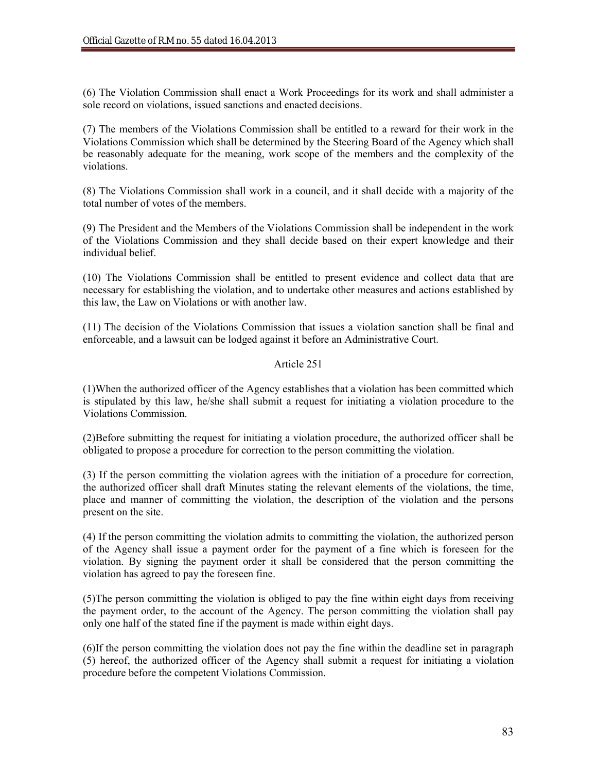(6) The Violation Commission shall enact a Work Proceedings for its work and shall administer a sole record on violations, issued sanctions and enacted decisions.

(7) The members of the Violations Commission shall be entitled to a reward for their work in the Violations Commission which shall be determined by the Steering Board of the Agency which shall be reasonably adequate for the meaning, work scope of the members and the complexity of the violations.

(8) The Violations Commission shall work in a council, and it shall decide with a majority of the total number of votes of the members.

(9) The President and the Members of the Violations Commission shall be independent in the work of the Violations Commission and they shall decide based on their expert knowledge and their individual belief.

(10) The Violations Commission shall be entitled to present evidence and collect data that are necessary for establishing the violation, and to undertake other measures and actions established by this law, the Law on Violations or with another law.

(11) The decision of the Violations Commission that issues a violation sanction shall be final and enforceable, and a lawsuit can be lodged against it before an Administrative Court.

# Article 251

(1)When the authorized officer of the Agency establishes that a violation has been committed which is stipulated by this law, he/she shall submit a request for initiating a violation procedure to the Violations Commission.

(2)Before submitting the request for initiating a violation procedure, the authorized officer shall be obligated to propose a procedure for correction to the person committing the violation.

(3) If the person committing the violation agrees with the initiation of a procedure for correction, the authorized officer shall draft Minutes stating the relevant elements of the violations, the time, place and manner of committing the violation, the description of the violation and the persons present on the site.

(4) If the person committing the violation admits to committing the violation, the authorized person of the Agency shall issue a payment order for the payment of a fine which is foreseen for the violation. By signing the payment order it shall be considered that the person committing the violation has agreed to pay the foreseen fine.

(5)The person committing the violation is obliged to pay the fine within eight days from receiving the payment order, to the account of the Agency. The person committing the violation shall pay only one half of the stated fine if the payment is made within eight days.

(6)If the person committing the violation does not pay the fine within the deadline set in paragraph (5) hereof, the authorized officer of the Agency shall submit a request for initiating a violation procedure before the competent Violations Commission.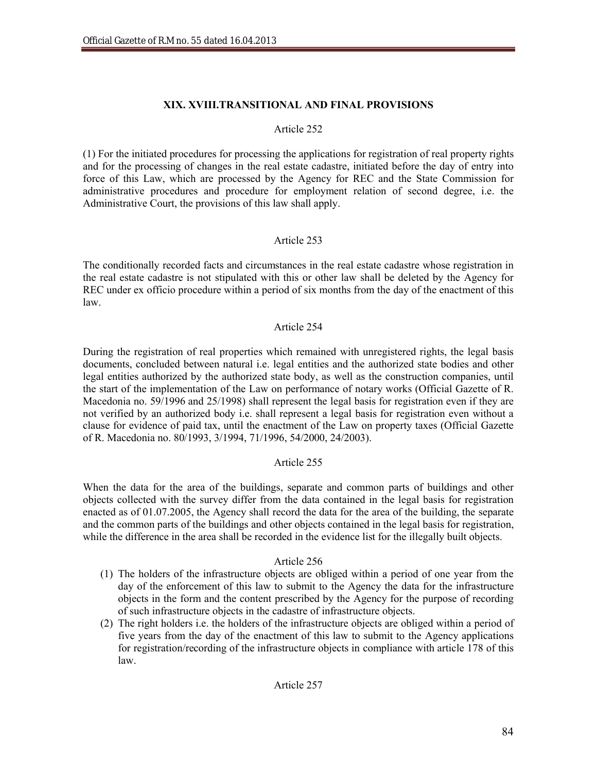### **XIX. ХVIII.TRANSITIONAL AND FINAL PROVISIONS**

#### Article 252

(1) For the initiated procedures for processing the applications for registration of real property rights and for the processing of changes in the real estate cadastre, initiated before the day of entry into force of this Law, which are processed by the Agency for REC and the State Commission for administrative procedures and procedure for employment relation of second degree, i.e. the Administrative Court, the provisions of this law shall apply.

### Article 253

The conditionally recorded facts and circumstances in the real estate cadastre whose registration in the real estate cadastre is not stipulated with this or other law shall be deleted by the Agency for REC under ex officio procedure within a period of six months from the day of the enactment of this law.

#### Article 254

During the registration of real properties which remained with unregistered rights, the legal basis documents, concluded between natural i.e. legal entities and the authorized state bodies and other legal entities authorized by the authorized state body, as well as the construction companies, until the start of the implementation of the Law on performance of notary works (Official Gazette of R. Macedonia no. 59/1996 and 25/1998) shall represent the legal basis for registration even if they are not verified by an authorized body i.e. shall represent a legal basis for registration even without a clause for evidence of paid tax, until the enactment of the Law on property taxes (Official Gazette of R. Macedonia no. 80/1993, 3/1994, 71/1996, 54/2000, 24/2003).

### Article 255

When the data for the area of the buildings, separate and common parts of buildings and other objects collected with the survey differ from the data contained in the legal basis for registration enacted as of 01.07.2005, the Agency shall record the data for the area of the building, the separate and the common parts of the buildings and other objects contained in the legal basis for registration, while the difference in the area shall be recorded in the evidence list for the illegally built objects.

- (1) The holders of the infrastructure objects are obliged within a period of one year from the day of the enforcement of this law to submit to the Agency the data for the infrastructure objects in the form and the content prescribed by the Agency for the purpose of recording of such infrastructure objects in the cadastre of infrastructure objects.
- (2) The right holders i.e. the holders of the infrastructure objects are obliged within a period of five years from the day of the enactment of this law to submit to the Agency applications for registration/recording of the infrastructure objects in compliance with article 178 of this law.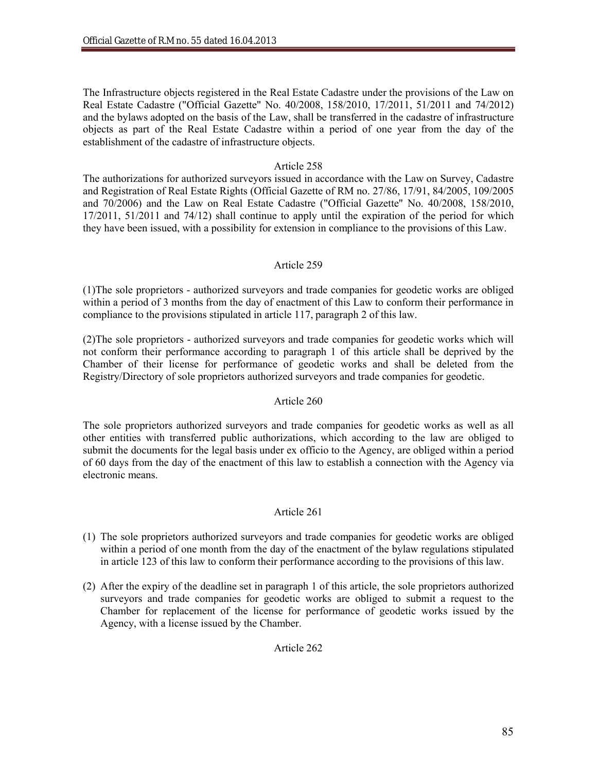The Infrastructure objects registered in the Real Estate Cadastre under the provisions of the Law on Real Estate Cadastre ("Official Gazette" No. 40/2008, 158/2010, 17/2011, 51/2011 and 74/2012) and the bylaws adopted on the basis of the Law, shall be transferred in the cadastre of infrastructure objects as part of the Real Estate Cadastre within a period of one year from the day of the establishment of the cadastre of infrastructure objects.

# Article 258

The authorizations for authorized surveyors issued in accordance with the Law on Survey, Cadastre and Registration of Real Estate Rights (Official Gazette of RM no. 27/86, 17/91, 84/2005, 109/2005 and 70/2006) and the Law on Real Estate Cadastre ("Official Gazette" No. 40/2008, 158/2010, 17/2011, 51/2011 and 74/12) shall continue to apply until the expiration of the period for which they have been issued, with a possibility for extension in compliance to the provisions of this Law.

# Article 259

(1)The sole proprietors - authorized surveyors and trade companies for geodetic works are obliged within a period of 3 months from the day of enactment of this Law to conform their performance in compliance to the provisions stipulated in article 117, paragraph 2 of this law.

(2)The sole proprietors - authorized surveyors and trade companies for geodetic works which will not conform their performance according to paragraph 1 of this article shall be deprived by the Chamber of their license for performance of geodetic works and shall be deleted from the Registry/Directory of sole proprietors authorized surveyors and trade companies for geodetic.

### Article 260

The sole proprietors authorized surveyors and trade companies for geodetic works as well as all other entities with transferred public authorizations, which according to the law are obliged to submit the documents for the legal basis under ex officio to the Agency, are obliged within a period of 60 days from the day of the enactment of this law to establish a connection with the Agency via electronic means.

### Article 261

- (1) The sole proprietors authorized surveyors and trade companies for geodetic works are obliged within a period of one month from the day of the enactment of the bylaw regulations stipulated in article 123 of this law to conform their performance according to the provisions of this law.
- (2) After the expiry of the deadline set in paragraph 1 of this article, the sole proprietors authorized surveyors and trade companies for geodetic works are obliged to submit a request to the Chamber for replacement of the license for performance of geodetic works issued by the Agency, with a license issued by the Chamber.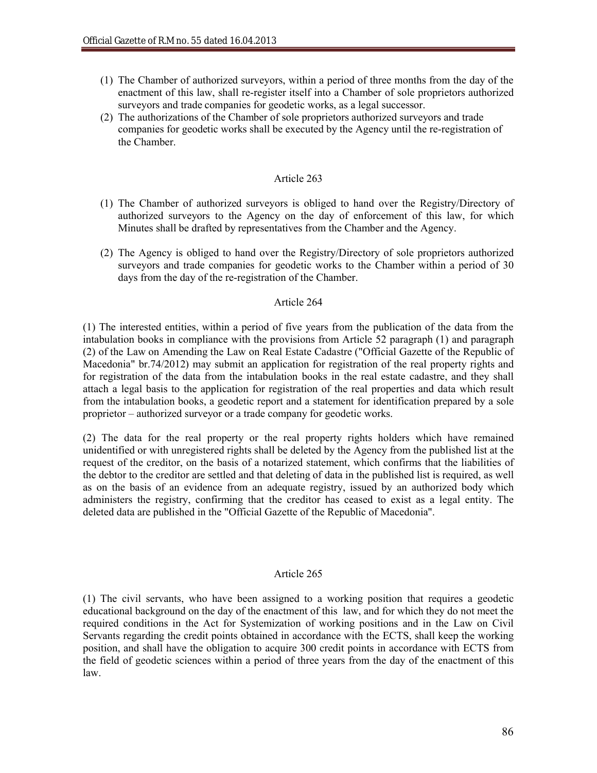- (1) The Chamber of authorized surveyors, within a period of three months from the day of the enactment of this law, shall re-register itself into a Chamber of sole proprietors authorized surveyors and trade companies for geodetic works, as a legal successor.
- (2) The authorizations of the Chamber of sole proprietors authorized surveyors and trade companies for geodetic works shall be executed by the Agency until the re-registration of the Chamber.

### Article 263

- (1) The Chamber of authorized surveyors is obliged to hand over the Registry/Directory of authorized surveyors to the Agency on the day of enforcement of this law, for which Minutes shall be drafted by representatives from the Chamber and the Agency.
- (2) The Agency is obliged to hand over the Registry/Directory of sole proprietors authorized surveyors and trade companies for geodetic works to the Chamber within a period of 30 days from the day of the re-registration of the Chamber.

#### Article 264

(1) The interested entities, within a period of five years from the publication of the data from the intabulation books in compliance with the provisions from Article 52 paragraph (1) and paragraph (2) of the Law on Amending the Law on Real Estate Cadastre ("Official Gazette of the Republic of Macedonia" br.74/2012) may submit an application for registration of the real property rights and for registration of the data from the intabulation books in the real estate cadastre, and they shall attach a legal basis to the application for registration of the real properties and data which result from the intabulation books, a geodetic report and a statement for identification prepared by a sole proprietor – authorized surveyor or a trade company for geodetic works.

(2) The data for the real property or the real property rights holders which have remained unidentified or with unregistered rights shall be deleted by the Agency from the published list at the request of the creditor, on the basis of a notarized statement, which confirms that the liabilities of the debtor to the creditor are settled and that deleting of data in the published list is required, as well as on the basis of an evidence from an adequate registry, issued by an authorized body which administers the registry, confirming that the creditor has ceased to exist as a legal entity. The deleted data are published in the "Official Gazette of the Republic of Macedonia".

### Article 265

(1) The civil servants, who have been assigned to a working position that requires a geodetic educational background on the day of the enactment of this law, and for which they do not meet the required conditions in the Act for Systemization of working positions and in the Law on Civil Servants regarding the credit points obtained in accordance with the ECTS, shall keep the working position, and shall have the obligation to acquire 300 credit points in accordance with ECTS from the field of geodetic sciences within a period of three years from the day of the enactment of this law.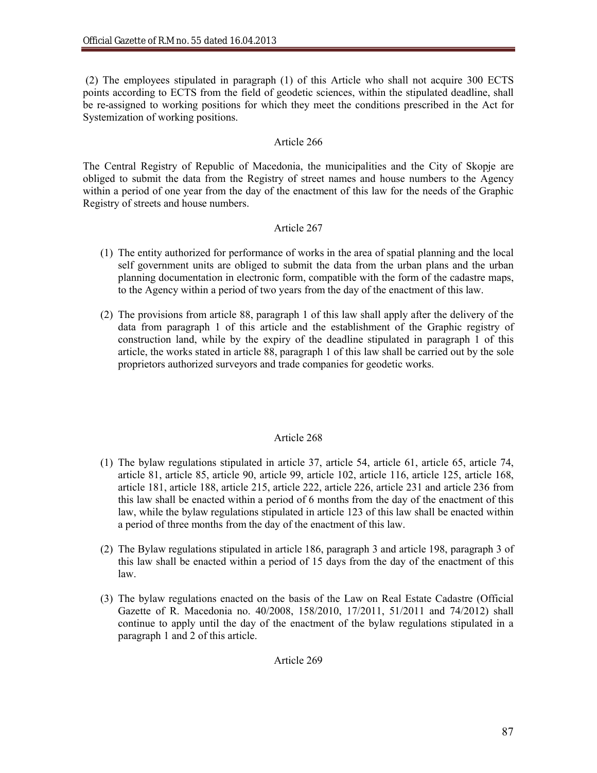(2) The employees stipulated in paragraph (1) of this Article who shall not acquire 300 ECTS points according to ECTS from the field of geodetic sciences, within the stipulated deadline, shall be re-assigned to working positions for which they meet the conditions prescribed in the Act for Systemization of working positions.

# Article 266

The Central Registry of Republic of Macedonia, the municipalities and the City of Skopje are obliged to submit the data from the Registry of street names and house numbers to the Agency within a period of one year from the day of the enactment of this law for the needs of the Graphic Registry of streets and house numbers.

# Article 267

- (1) The entity authorized for performance of works in the area of spatial planning and the local self government units are obliged to submit the data from the urban plans and the urban planning documentation in electronic form, compatible with the form of the cadastre maps, to the Agency within a period of two years from the day of the enactment of this law.
- (2) The provisions from article 88, paragraph 1 of this law shall apply after the delivery of the data from paragraph 1 of this article and the establishment of the Graphic registry of construction land, while by the expiry of the deadline stipulated in paragraph 1 of this article, the works stated in article 88, paragraph 1 of this law shall be carried out by the sole proprietors authorized surveyors and trade companies for geodetic works.

# Article 268

- (1) The bylaw regulations stipulated in article 37, article 54, article 61, article 65, article 74, article 81, article 85, article 90, article 99, article 102, article 116, article 125, article 168, article 181, article 188, article 215, article 222, article 226, article 231 and article 236 from this law shall be enacted within a period of 6 months from the day of the enactment of this law, while the bylaw regulations stipulated in article 123 of this law shall be enacted within a period of three months from the day of the enactment of this law.
- (2) The Bylaw regulations stipulated in article 186, paragraph 3 and article 198, paragraph 3 of this law shall be enacted within a period of 15 days from the day of the enactment of this law.
- (3) The bylaw regulations enacted on the basis of the Law on Real Estate Cadastre (Official Gazette of R. Macedonia no. 40/2008, 158/2010, 17/2011, 51/2011 and 74/2012) shall continue to apply until the day of the enactment of the bylaw regulations stipulated in a paragraph 1 and 2 of this article.